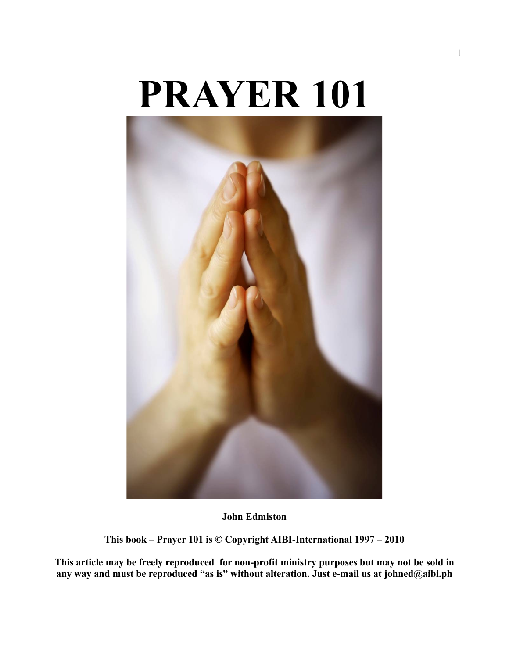# **PRAYER 101**



**John Edmiston**

**This book – Prayer 101 is © Copyright AIBI-International 1997 – 2010**

**This article may be freely reproduced for non-profit ministry purposes but may not be sold in any way and must be reproduced "as is" without alteration. Just e-mail us at johned@aibi.ph**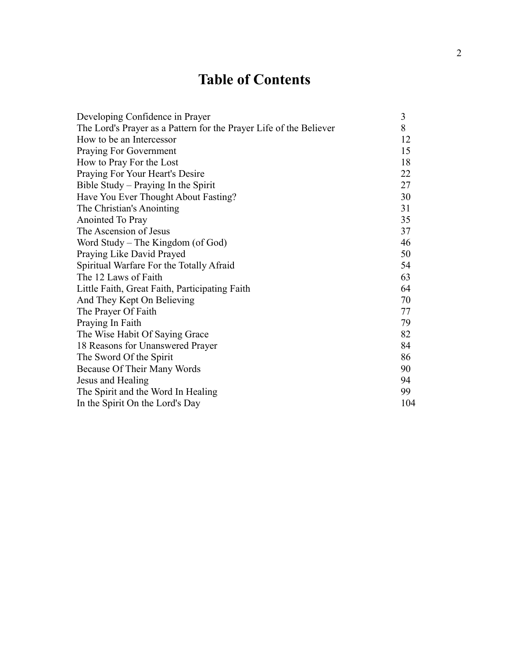# **Table of Contents**

| Developing Confidence in Prayer                                    | 3   |
|--------------------------------------------------------------------|-----|
| The Lord's Prayer as a Pattern for the Prayer Life of the Believer | 8   |
| How to be an Intercessor                                           | 12  |
| Praying For Government                                             | 15  |
| How to Pray For the Lost                                           | 18  |
| Praying For Your Heart's Desire                                    | 22  |
| Bible Study – Praying In the Spirit                                | 27  |
| Have You Ever Thought About Fasting?                               | 30  |
| The Christian's Anointing                                          | 31  |
| Anointed To Pray                                                   | 35  |
| The Ascension of Jesus                                             | 37  |
| Word Study – The Kingdom (of God)                                  | 46  |
| Praying Like David Prayed                                          | 50  |
| Spiritual Warfare For the Totally Afraid                           | 54  |
| The 12 Laws of Faith                                               | 63  |
| Little Faith, Great Faith, Participating Faith                     | 64  |
| And They Kept On Believing                                         | 70  |
| The Prayer Of Faith                                                | 77  |
| Praying In Faith                                                   | 79  |
| The Wise Habit Of Saying Grace                                     | 82  |
| 18 Reasons for Unanswered Prayer                                   | 84  |
| The Sword Of the Spirit                                            | 86  |
| Because Of Their Many Words                                        | 90  |
| Jesus and Healing                                                  | 94  |
| The Spirit and the Word In Healing                                 | 99  |
| In the Spirit On the Lord's Day                                    | 104 |
|                                                                    |     |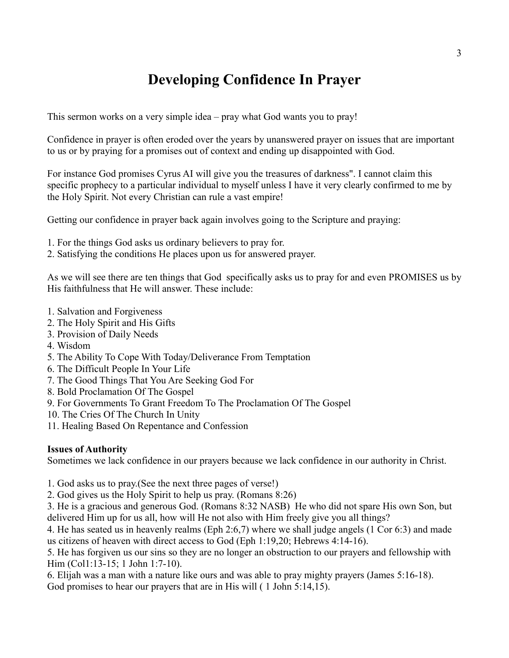# **Developing Confidence In Prayer**

This sermon works on a very simple idea – pray what God wants you to pray!

Confidence in prayer is often eroded over the years by unanswered prayer on issues that are important to us or by praying for a promises out of context and ending up disappointed with God.

For instance God promises Cyrus AI will give you the treasures of darkness". I cannot claim this specific prophecy to a particular individual to myself unless I have it very clearly confirmed to me by the Holy Spirit. Not every Christian can rule a vast empire!

Getting our confidence in prayer back again involves going to the Scripture and praying:

- 1. For the things God asks us ordinary believers to pray for.
- 2. Satisfying the conditions He places upon us for answered prayer.

As we will see there are ten things that God specifically asks us to pray for and even PROMISES us by His faithfulness that He will answer. These include:

- 1. Salvation and Forgiveness
- 2. The Holy Spirit and His Gifts
- 3. Provision of Daily Needs
- 4. Wisdom
- 5. The Ability To Cope With Today/Deliverance From Temptation
- 6. The Difficult People In Your Life
- 7. The Good Things That You Are Seeking God For
- 8. Bold Proclamation Of The Gospel
- 9. For Governments To Grant Freedom To The Proclamation Of The Gospel
- 10. The Cries Of The Church In Unity
- 11. Healing Based On Repentance and Confession

#### **Issues of Authority**

Sometimes we lack confidence in our prayers because we lack confidence in our authority in Christ.

- 1. God asks us to pray.(See the next three pages of verse!)
- 2. God gives us the Holy Spirit to help us pray. (Romans 8:26)
- 3. He is a gracious and generous God. (Romans 8:32 NASB) He who did not spare His own Son, but delivered Him up for us all, how will He not also with Him freely give you all things?
- 4. He has seated us in heavenly realms (Eph 2:6,7) where we shall judge angels (1 Cor 6:3) and made us citizens of heaven with direct access to God (Eph 1:19,20; Hebrews 4:14-16).

5. He has forgiven us our sins so they are no longer an obstruction to our prayers and fellowship with Him (Col1:13-15; 1 John 1:7-10).

6. Elijah was a man with a nature like ours and was able to pray mighty prayers (James 5:16-18). God promises to hear our prayers that are in His will ( 1 John 5:14,15).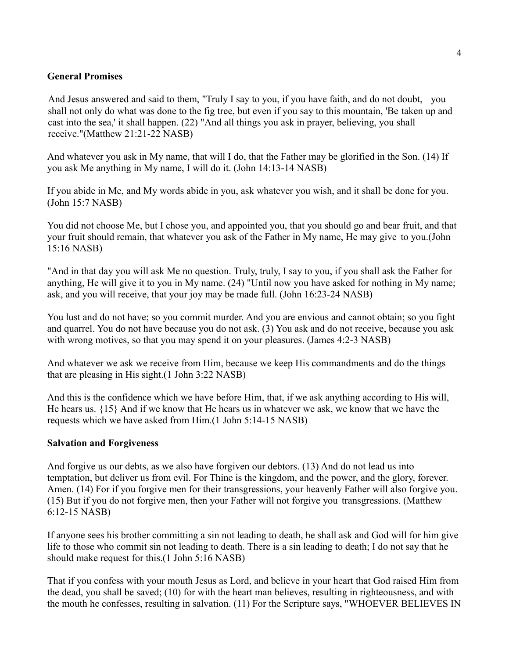#### **General Promises**

And Jesus answered and said to them, "Truly I say to you, if you have faith, and do not doubt, you shall not only do what was done to the fig tree, but even if you say to this mountain, 'Be taken up and cast into the sea,' it shall happen. (22) "And all things you ask in prayer, believing, you shall receive."(Matthew 21:21-22 NASB)

And whatever you ask in My name, that will I do, that the Father may be glorified in the Son. (14) If you ask Me anything in My name, I will do it. (John 14:13-14 NASB)

If you abide in Me, and My words abide in you, ask whatever you wish, and it shall be done for you. (John 15:7 NASB)

You did not choose Me, but I chose you, and appointed you, that you should go and bear fruit, and that your fruit should remain, that whatever you ask of the Father in My name, He may give to you.(John 15:16 NASB)

"And in that day you will ask Me no question. Truly, truly, I say to you, if you shall ask the Father for anything, He will give it to you in My name. (24) "Until now you have asked for nothing in My name; ask, and you will receive, that your joy may be made full. (John 16:23-24 NASB)

You lust and do not have; so you commit murder. And you are envious and cannot obtain; so you fight and quarrel. You do not have because you do not ask. (3) You ask and do not receive, because you ask with wrong motives, so that you may spend it on your pleasures. (James 4:2-3 NASB)

And whatever we ask we receive from Him, because we keep His commandments and do the things that are pleasing in His sight.(1 John 3:22 NASB)

And this is the confidence which we have before Him, that, if we ask anything according to His will, He hears us. {15} And if we know that He hears us in whatever we ask, we know that we have the requests which we have asked from Him.(1 John 5:14-15 NASB)

#### **Salvation and Forgiveness**

And forgive us our debts, as we also have forgiven our debtors. (13) And do not lead us into temptation, but deliver us from evil. For Thine is the kingdom, and the power, and the glory, forever. Amen. (14) For if you forgive men for their transgressions, your heavenly Father will also forgive you. (15) But if you do not forgive men, then your Father will not forgive you transgressions. (Matthew 6:12-15 NASB)

If anyone sees his brother committing a sin not leading to death, he shall ask and God will for him give life to those who commit sin not leading to death. There is a sin leading to death; I do not say that he should make request for this.(1 John 5:16 NASB)

That if you confess with your mouth Jesus as Lord, and believe in your heart that God raised Him from the dead, you shall be saved; (10) for with the heart man believes, resulting in righteousness, and with the mouth he confesses, resulting in salvation. (11) For the Scripture says, "WHOEVER BELIEVES IN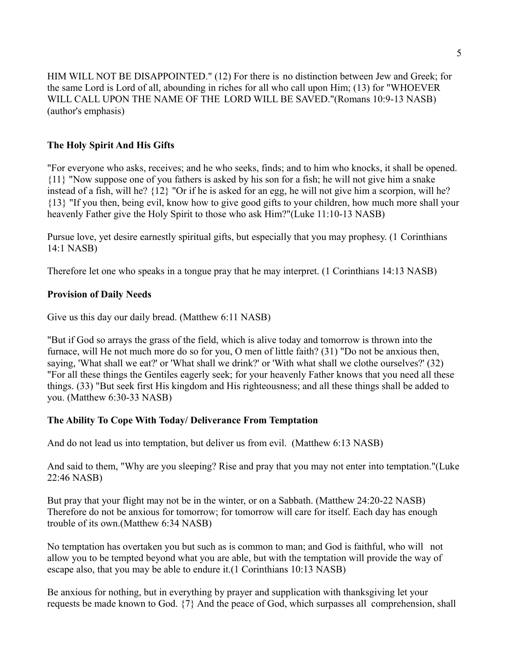HIM WILL NOT BE DISAPPOINTED." (12) For there is no distinction between Jew and Greek; for the same Lord is Lord of all, abounding in riches for all who call upon Him; (13) for "WHOEVER WILL CALL UPON THE NAME OF THE LORD WILL BE SAVED."(Romans 10:9-13 NASB) (author's emphasis)

#### **The Holy Spirit And His Gifts**

"For everyone who asks, receives; and he who seeks, finds; and to him who knocks, it shall be opened. {11} "Now suppose one of you fathers is asked by his son for a fish; he will not give him a snake instead of a fish, will he? {12} "Or if he is asked for an egg, he will not give him a scorpion, will he? {13} "If you then, being evil, know how to give good gifts to your children, how much more shall your heavenly Father give the Holy Spirit to those who ask Him?"(Luke 11:10-13 NASB)

Pursue love, yet desire earnestly spiritual gifts, but especially that you may prophesy. (1 Corinthians 14:1 NASB)

Therefore let one who speaks in a tongue pray that he may interpret. (1 Corinthians 14:13 NASB)

#### **Provision of Daily Needs**

Give us this day our daily bread. (Matthew 6:11 NASB)

"But if God so arrays the grass of the field, which is alive today and tomorrow is thrown into the furnace, will He not much more do so for you, O men of little faith? (31) "Do not be anxious then, saying, 'What shall we eat?' or 'What shall we drink?' or 'With what shall we clothe ourselves?' (32) "For all these things the Gentiles eagerly seek; for your heavenly Father knows that you need all these things. (33) "But seek first His kingdom and His righteousness; and all these things shall be added to you. (Matthew 6:30-33 NASB)

#### **The Ability To Cope With Today/ Deliverance From Temptation**

And do not lead us into temptation, but deliver us from evil. (Matthew 6:13 NASB)

And said to them, "Why are you sleeping? Rise and pray that you may not enter into temptation."(Luke 22:46 NASB)

But pray that your flight may not be in the winter, or on a Sabbath. (Matthew 24:20-22 NASB) Therefore do not be anxious for tomorrow; for tomorrow will care for itself. Each day has enough trouble of its own.(Matthew 6:34 NASB)

No temptation has overtaken you but such as is common to man; and God is faithful, who will not allow you to be tempted beyond what you are able, but with the temptation will provide the way of escape also, that you may be able to endure it.(1 Corinthians 10:13 NASB)

Be anxious for nothing, but in everything by prayer and supplication with thanksgiving let your requests be made known to God. {7} And the peace of God, which surpasses all comprehension, shall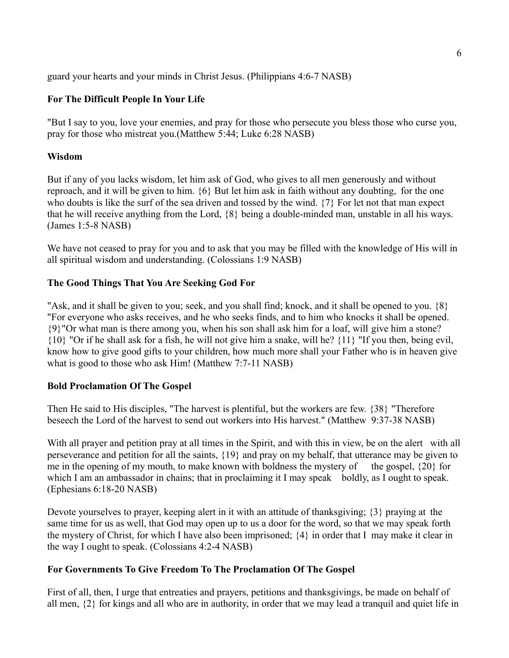guard your hearts and your minds in Christ Jesus. (Philippians 4:6-7 NASB)

#### **For The Difficult People In Your Life**

"But I say to you, love your enemies, and pray for those who persecute you bless those who curse you, pray for those who mistreat you.(Matthew 5:44; Luke 6:28 NASB)

#### **Wisdom**

But if any of you lacks wisdom, let him ask of God, who gives to all men generously and without reproach, and it will be given to him. {6} But let him ask in faith without any doubting, for the one who doubts is like the surf of the sea driven and tossed by the wind. {7} For let not that man expect that he will receive anything from the Lord, {8} being a double-minded man, unstable in all his ways. (James 1:5-8 NASB)

We have not ceased to pray for you and to ask that you may be filled with the knowledge of His will in all spiritual wisdom and understanding. (Colossians 1:9 NASB)

#### **The Good Things That You Are Seeking God For**

"Ask, and it shall be given to you; seek, and you shall find; knock, and it shall be opened to you. {8} "For everyone who asks receives, and he who seeks finds, and to him who knocks it shall be opened. {9}"Or what man is there among you, when his son shall ask him for a loaf, will give him a stone? {10} "Or if he shall ask for a fish, he will not give him a snake, will he? {11} "If you then, being evil, know how to give good gifts to your children, how much more shall your Father who is in heaven give what is good to those who ask Him! (Matthew 7:7-11 NASB)

#### **Bold Proclamation Of The Gospel**

Then He said to His disciples, "The harvest is plentiful, but the workers are few. {38} "Therefore beseech the Lord of the harvest to send out workers into His harvest." (Matthew 9:37-38 NASB)

With all prayer and petition pray at all times in the Spirit, and with this in view, be on the alert with all perseverance and petition for all the saints, {19} and pray on my behalf, that utterance may be given to me in the opening of my mouth, to make known with boldness the mystery of the gospel,  $\{20\}$  for which I am an ambassador in chains; that in proclaiming it I may speak boldly, as I ought to speak. (Ephesians 6:18-20 NASB)

Devote yourselves to prayer, keeping alert in it with an attitude of thanksgiving; {3} praying at the same time for us as well, that God may open up to us a door for the word, so that we may speak forth the mystery of Christ, for which I have also been imprisoned; {4} in order that I may make it clear in the way I ought to speak. (Colossians 4:2-4 NASB)

#### **For Governments To Give Freedom To The Proclamation Of The Gospel**

First of all, then, I urge that entreaties and prayers, petitions and thanksgivings, be made on behalf of all men, {2} for kings and all who are in authority, in order that we may lead a tranquil and quiet life in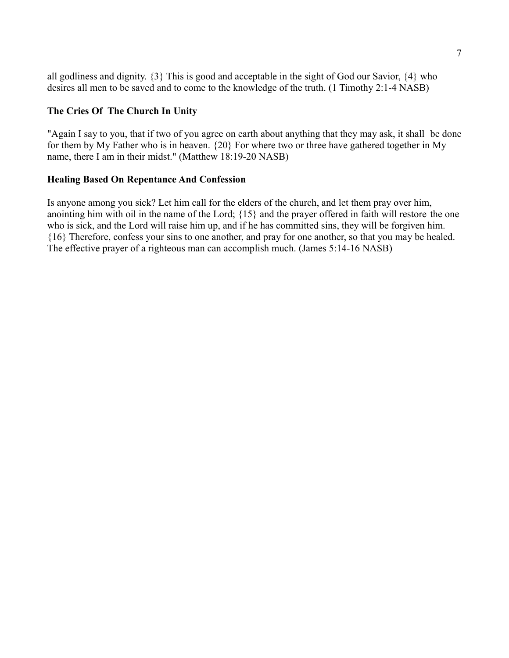all godliness and dignity. {3} This is good and acceptable in the sight of God our Savior, {4} who desires all men to be saved and to come to the knowledge of the truth. (1 Timothy 2:1-4 NASB)

#### **The Cries Of The Church In Unity**

"Again I say to you, that if two of you agree on earth about anything that they may ask, it shall be done for them by My Father who is in heaven. {20} For where two or three have gathered together in My name, there I am in their midst." (Matthew 18:19-20 NASB)

#### **Healing Based On Repentance And Confession**

Is anyone among you sick? Let him call for the elders of the church, and let them pray over him, anointing him with oil in the name of the Lord; {15} and the prayer offered in faith will restore the one who is sick, and the Lord will raise him up, and if he has committed sins, they will be forgiven him. {16} Therefore, confess your sins to one another, and pray for one another, so that you may be healed. The effective prayer of a righteous man can accomplish much. (James 5:14-16 NASB)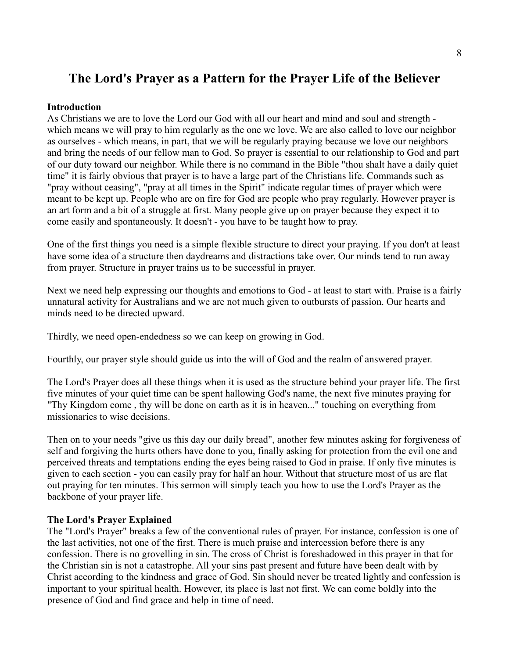## **The Lord's Prayer as a Pattern for the Prayer Life of the Believer**

#### **Introduction**

As Christians we are to love the Lord our God with all our heart and mind and soul and strength which means we will pray to him regularly as the one we love. We are also called to love our neighbor as ourselves - which means, in part, that we will be regularly praying because we love our neighbors and bring the needs of our fellow man to God. So prayer is essential to our relationship to God and part of our duty toward our neighbor. While there is no command in the Bible "thou shalt have a daily quiet time" it is fairly obvious that prayer is to have a large part of the Christians life. Commands such as "pray without ceasing", "pray at all times in the Spirit" indicate regular times of prayer which were meant to be kept up. People who are on fire for God are people who pray regularly. However prayer is an art form and a bit of a struggle at first. Many people give up on prayer because they expect it to come easily and spontaneously. It doesn't - you have to be taught how to pray.

One of the first things you need is a simple flexible structure to direct your praying. If you don't at least have some idea of a structure then daydreams and distractions take over. Our minds tend to run away from prayer. Structure in prayer trains us to be successful in prayer.

Next we need help expressing our thoughts and emotions to God - at least to start with. Praise is a fairly unnatural activity for Australians and we are not much given to outbursts of passion. Our hearts and minds need to be directed upward.

Thirdly, we need open-endedness so we can keep on growing in God.

Fourthly, our prayer style should guide us into the will of God and the realm of answered prayer.

The Lord's Prayer does all these things when it is used as the structure behind your prayer life. The first five minutes of your quiet time can be spent hallowing God's name, the next five minutes praying for "Thy Kingdom come , thy will be done on earth as it is in heaven..." touching on everything from missionaries to wise decisions.

Then on to your needs "give us this day our daily bread", another few minutes asking for forgiveness of self and forgiving the hurts others have done to you, finally asking for protection from the evil one and perceived threats and temptations ending the eyes being raised to God in praise. If only five minutes is given to each section - you can easily pray for half an hour. Without that structure most of us are flat out praying for ten minutes. This sermon will simply teach you how to use the Lord's Prayer as the backbone of your prayer life.

#### **The Lord's Prayer Explained**

The "Lord's Prayer" breaks a few of the conventional rules of prayer. For instance, confession is one of the last activities, not one of the first. There is much praise and intercession before there is any confession. There is no grovelling in sin. The cross of Christ is foreshadowed in this prayer in that for the Christian sin is not a catastrophe. All your sins past present and future have been dealt with by Christ according to the kindness and grace of God. Sin should never be treated lightly and confession is important to your spiritual health. However, its place is last not first. We can come boldly into the presence of God and find grace and help in time of need.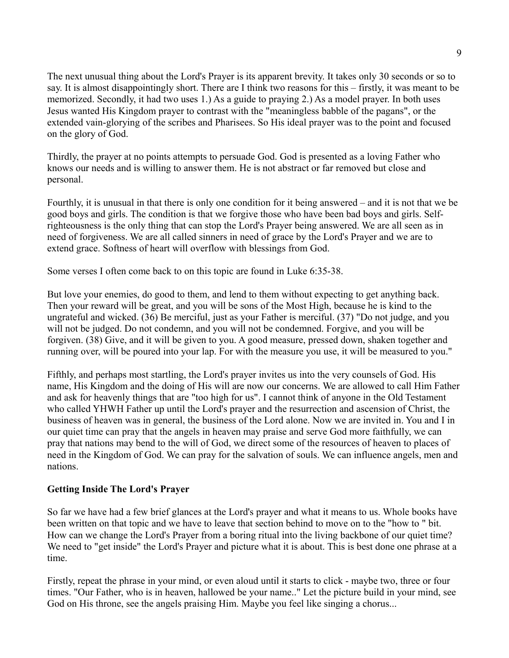The next unusual thing about the Lord's Prayer is its apparent brevity. It takes only 30 seconds or so to say. It is almost disappointingly short. There are I think two reasons for this – firstly, it was meant to be memorized. Secondly, it had two uses 1.) As a guide to praying 2.) As a model prayer. In both uses Jesus wanted His Kingdom prayer to contrast with the "meaningless babble of the pagans", or the extended vain-glorying of the scribes and Pharisees. So His ideal prayer was to the point and focused on the glory of God.

Thirdly, the prayer at no points attempts to persuade God. God is presented as a loving Father who knows our needs and is willing to answer them. He is not abstract or far removed but close and personal.

Fourthly, it is unusual in that there is only one condition for it being answered – and it is not that we be good boys and girls. The condition is that we forgive those who have been bad boys and girls. Selfrighteousness is the only thing that can stop the Lord's Prayer being answered. We are all seen as in need of forgiveness. We are all called sinners in need of grace by the Lord's Prayer and we are to extend grace. Softness of heart will overflow with blessings from God.

Some verses I often come back to on this topic are found in Luke 6:35-38.

But love your enemies, do good to them, and lend to them without expecting to get anything back. Then your reward will be great, and you will be sons of the Most High, because he is kind to the ungrateful and wicked. (36) Be merciful, just as your Father is merciful. (37) "Do not judge, and you will not be judged. Do not condemn, and you will not be condemned. Forgive, and you will be forgiven. (38) Give, and it will be given to you. A good measure, pressed down, shaken together and running over, will be poured into your lap. For with the measure you use, it will be measured to you."

Fifthly, and perhaps most startling, the Lord's prayer invites us into the very counsels of God. His name, His Kingdom and the doing of His will are now our concerns. We are allowed to call Him Father and ask for heavenly things that are "too high for us". I cannot think of anyone in the Old Testament who called YHWH Father up until the Lord's prayer and the resurrection and ascension of Christ, the business of heaven was in general, the business of the Lord alone. Now we are invited in. You and I in our quiet time can pray that the angels in heaven may praise and serve God more faithfully, we can pray that nations may bend to the will of God, we direct some of the resources of heaven to places of need in the Kingdom of God. We can pray for the salvation of souls. We can influence angels, men and nations.

#### **Getting Inside The Lord's Prayer**

So far we have had a few brief glances at the Lord's prayer and what it means to us. Whole books have been written on that topic and we have to leave that section behind to move on to the "how to " bit. How can we change the Lord's Prayer from a boring ritual into the living backbone of our quiet time? We need to "get inside" the Lord's Prayer and picture what it is about. This is best done one phrase at a time.

Firstly, repeat the phrase in your mind, or even aloud until it starts to click - maybe two, three or four times. "Our Father, who is in heaven, hallowed be your name.." Let the picture build in your mind, see God on His throne, see the angels praising Him. Maybe you feel like singing a chorus...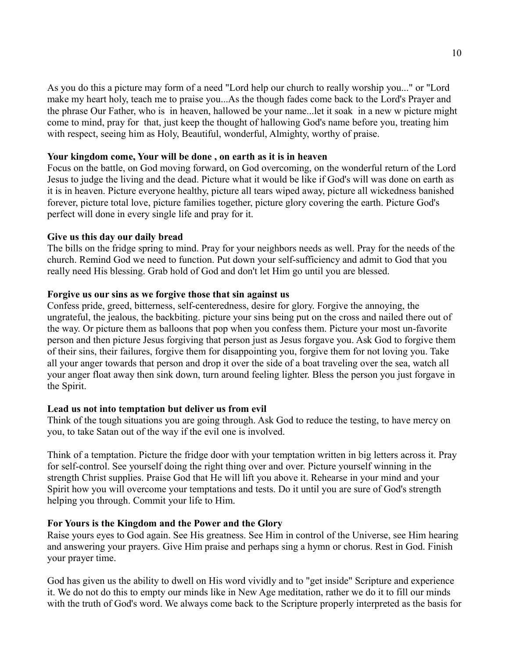As you do this a picture may form of a need "Lord help our church to really worship you..." or "Lord make my heart holy, teach me to praise you...As the though fades come back to the Lord's Prayer and the phrase Our Father, who is in heaven, hallowed be your name...let it soak in a new w picture might come to mind, pray for that, just keep the thought of hallowing God's name before you, treating him with respect, seeing him as Holy, Beautiful, wonderful, Almighty, worthy of praise.

#### **Your kingdom come, Your will be done , on earth as it is in heaven**

Focus on the battle, on God moving forward, on God overcoming, on the wonderful return of the Lord Jesus to judge the living and the dead. Picture what it would be like if God's will was done on earth as it is in heaven. Picture everyone healthy, picture all tears wiped away, picture all wickedness banished forever, picture total love, picture families together, picture glory covering the earth. Picture God's perfect will done in every single life and pray for it.

#### **Give us this day our daily bread**

The bills on the fridge spring to mind. Pray for your neighbors needs as well. Pray for the needs of the church. Remind God we need to function. Put down your self-sufficiency and admit to God that you really need His blessing. Grab hold of God and don't let Him go until you are blessed.

#### **Forgive us our sins as we forgive those that sin against us**

Confess pride, greed, bitterness, self-centeredness, desire for glory. Forgive the annoying, the ungrateful, the jealous, the backbiting. picture your sins being put on the cross and nailed there out of the way. Or picture them as balloons that pop when you confess them. Picture your most un-favorite person and then picture Jesus forgiving that person just as Jesus forgave you. Ask God to forgive them of their sins, their failures, forgive them for disappointing you, forgive them for not loving you. Take all your anger towards that person and drop it over the side of a boat traveling over the sea, watch all your anger float away then sink down, turn around feeling lighter. Bless the person you just forgave in the Spirit.

#### **Lead us not into temptation but deliver us from evil**

Think of the tough situations you are going through. Ask God to reduce the testing, to have mercy on you, to take Satan out of the way if the evil one is involved.

Think of a temptation. Picture the fridge door with your temptation written in big letters across it. Pray for self-control. See yourself doing the right thing over and over. Picture yourself winning in the strength Christ supplies. Praise God that He will lift you above it. Rehearse in your mind and your Spirit how you will overcome your temptations and tests. Do it until you are sure of God's strength helping you through. Commit your life to Him.

#### **For Yours is the Kingdom and the Power and the Glory**

Raise yours eyes to God again. See His greatness. See Him in control of the Universe, see Him hearing and answering your prayers. Give Him praise and perhaps sing a hymn or chorus. Rest in God. Finish your prayer time.

God has given us the ability to dwell on His word vividly and to "get inside" Scripture and experience it. We do not do this to empty our minds like in New Age meditation, rather we do it to fill our minds with the truth of God's word. We always come back to the Scripture properly interpreted as the basis for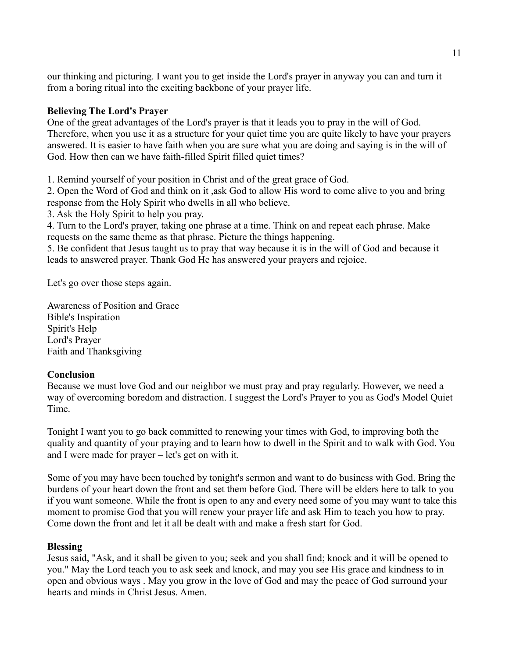our thinking and picturing. I want you to get inside the Lord's prayer in anyway you can and turn it from a boring ritual into the exciting backbone of your prayer life.

#### **Believing The Lord's Prayer**

One of the great advantages of the Lord's prayer is that it leads you to pray in the will of God. Therefore, when you use it as a structure for your quiet time you are quite likely to have your prayers answered. It is easier to have faith when you are sure what you are doing and saying is in the will of God. How then can we have faith-filled Spirit filled quiet times?

1. Remind yourself of your position in Christ and of the great grace of God.

2. Open the Word of God and think on it ,ask God to allow His word to come alive to you and bring response from the Holy Spirit who dwells in all who believe.

3. Ask the Holy Spirit to help you pray.

4. Turn to the Lord's prayer, taking one phrase at a time. Think on and repeat each phrase. Make requests on the same theme as that phrase. Picture the things happening.

5. Be confident that Jesus taught us to pray that way because it is in the will of God and because it leads to answered prayer. Thank God He has answered your prayers and rejoice.

Let's go over those steps again.

Awareness of Position and Grace Bible's Inspiration Spirit's Help Lord's Prayer Faith and Thanksgiving

#### **Conclusion**

Because we must love God and our neighbor we must pray and pray regularly. However, we need a way of overcoming boredom and distraction. I suggest the Lord's Prayer to you as God's Model Quiet Time.

Tonight I want you to go back committed to renewing your times with God, to improving both the quality and quantity of your praying and to learn how to dwell in the Spirit and to walk with God. You and I were made for prayer – let's get on with it.

Some of you may have been touched by tonight's sermon and want to do business with God. Bring the burdens of your heart down the front and set them before God. There will be elders here to talk to you if you want someone. While the front is open to any and every need some of you may want to take this moment to promise God that you will renew your prayer life and ask Him to teach you how to pray. Come down the front and let it all be dealt with and make a fresh start for God.

#### **Blessing**

Jesus said, "Ask, and it shall be given to you; seek and you shall find; knock and it will be opened to you." May the Lord teach you to ask seek and knock, and may you see His grace and kindness to in open and obvious ways . May you grow in the love of God and may the peace of God surround your hearts and minds in Christ Jesus. Amen.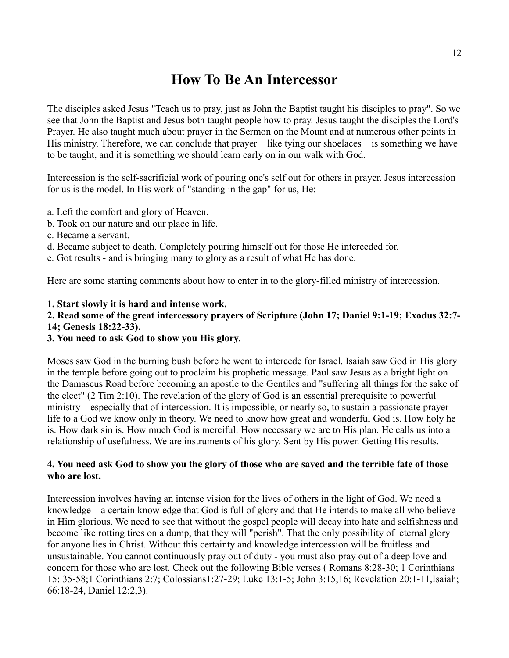## **How To Be An Intercessor**

The disciples asked Jesus "Teach us to pray, just as John the Baptist taught his disciples to pray". So we see that John the Baptist and Jesus both taught people how to pray. Jesus taught the disciples the Lord's Prayer. He also taught much about prayer in the Sermon on the Mount and at numerous other points in His ministry. Therefore, we can conclude that prayer – like tying our shoelaces – is something we have to be taught, and it is something we should learn early on in our walk with God.

Intercession is the self-sacrificial work of pouring one's self out for others in prayer. Jesus intercession for us is the model. In His work of "standing in the gap" for us, He:

- a. Left the comfort and glory of Heaven.
- b. Took on our nature and our place in life.
- c. Became a servant.
- d. Became subject to death. Completely pouring himself out for those He interceded for.
- e. Got results and is bringing many to glory as a result of what He has done.

Here are some starting comments about how to enter in to the glory-filled ministry of intercession.

#### **1. Start slowly it is hard and intense work.**

#### **2. Read some of the great intercessory prayers of Scripture (John 17; Daniel 9:1-19; Exodus 32:7- 14; Genesis 18:22-33).**

#### **3. You need to ask God to show you His glory.**

Moses saw God in the burning bush before he went to intercede for Israel. Isaiah saw God in His glory in the temple before going out to proclaim his prophetic message. Paul saw Jesus as a bright light on the Damascus Road before becoming an apostle to the Gentiles and "suffering all things for the sake of the elect" (2 Tim 2:10). The revelation of the glory of God is an essential prerequisite to powerful ministry – especially that of intercession. It is impossible, or nearly so, to sustain a passionate prayer life to a God we know only in theory. We need to know how great and wonderful God is. How holy he is. How dark sin is. How much God is merciful. How necessary we are to His plan. He calls us into a relationship of usefulness. We are instruments of his glory. Sent by His power. Getting His results.

#### **4. You need ask God to show you the glory of those who are saved and the terrible fate of those who are lost.**

Intercession involves having an intense vision for the lives of others in the light of God. We need a knowledge – a certain knowledge that God is full of glory and that He intends to make all who believe in Him glorious. We need to see that without the gospel people will decay into hate and selfishness and become like rotting tires on a dump, that they will "perish". That the only possibility of eternal glory for anyone lies in Christ. Without this certainty and knowledge intercession will be fruitless and unsustainable. You cannot continuously pray out of duty - you must also pray out of a deep love and concern for those who are lost. Check out the following Bible verses ( Romans 8:28-30; 1 Corinthians 15: 35-58;1 Corinthians 2:7; Colossians1:27-29; Luke 13:1-5; John 3:15,16; Revelation 20:1-11,Isaiah; 66:18-24, Daniel 12:2,3).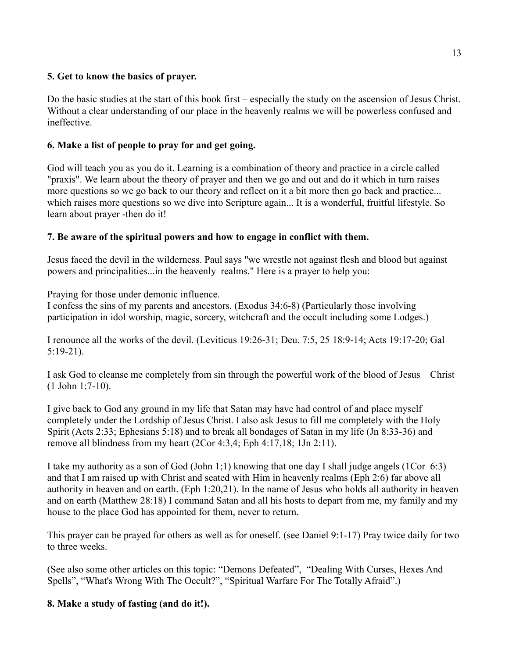#### **5. Get to know the basics of prayer.**

Do the basic studies at the start of this book first – especially the study on the ascension of Jesus Christ. Without a clear understanding of our place in the heavenly realms we will be powerless confused and ineffective.

#### **6. Make a list of people to pray for and get going.**

God will teach you as you do it. Learning is a combination of theory and practice in a circle called "praxis". We learn about the theory of prayer and then we go and out and do it which in turn raises more questions so we go back to our theory and reflect on it a bit more then go back and practice... which raises more questions so we dive into Scripture again... It is a wonderful, fruitful lifestyle. So learn about prayer -then do it!

#### **7. Be aware of the spiritual powers and how to engage in conflict with them.**

Jesus faced the devil in the wilderness. Paul says "we wrestle not against flesh and blood but against powers and principalities...in the heavenly realms." Here is a prayer to help you:

Praying for those under demonic influence.

I confess the sins of my parents and ancestors. (Exodus 34:6-8) (Particularly those involving participation in idol worship, magic, sorcery, witchcraft and the occult including some Lodges.)

I renounce all the works of the devil. (Leviticus 19:26-31; Deu. 7:5, 25 18:9-14; Acts 19:17-20; Gal 5:19-21).

I ask God to cleanse me completely from sin through the powerful work of the blood of Jesus Christ (1 John 1:7-10).

I give back to God any ground in my life that Satan may have had control of and place myself completely under the Lordship of Jesus Christ. I also ask Jesus to fill me completely with the Holy Spirit (Acts 2:33; Ephesians 5:18) and to break all bondages of Satan in my life (Jn 8:33-36) and remove all blindness from my heart (2Cor 4:3,4; Eph 4:17,18; 1Jn 2:11).

I take my authority as a son of God (John 1;1) knowing that one day I shall judge angels (1Cor 6:3) and that I am raised up with Christ and seated with Him in heavenly realms (Eph 2:6) far above all authority in heaven and on earth. (Eph 1:20,21). In the name of Jesus who holds all authority in heaven and on earth (Matthew 28:18) I command Satan and all his hosts to depart from me, my family and my house to the place God has appointed for them, never to return.

This prayer can be prayed for others as well as for oneself. (see Daniel 9:1-17) Pray twice daily for two to three weeks.

(See also some other articles on this topic: "Demons Defeated", "Dealing With Curses, Hexes And Spells", "What's Wrong With The Occult?", "Spiritual Warfare For The Totally Afraid".)

#### **8. Make a study of fasting (and do it!).**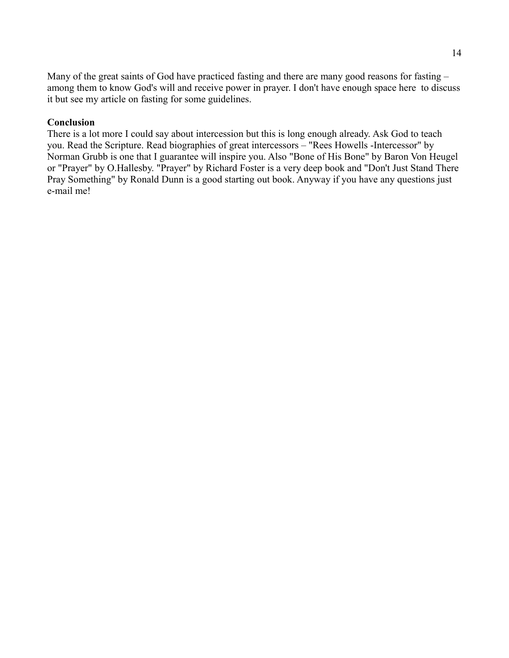Many of the great saints of God have practiced fasting and there are many good reasons for fasting – among them to know God's will and receive power in prayer. I don't have enough space here to discuss it but see my article on fasting for some guidelines.

#### **Conclusion**

There is a lot more I could say about intercession but this is long enough already. Ask God to teach you. Read the Scripture. Read biographies of great intercessors – "Rees Howells -Intercessor" by Norman Grubb is one that I guarantee will inspire you. Also "Bone of His Bone" by Baron Von Heugel or "Prayer" by O.Hallesby. "Prayer" by Richard Foster is a very deep book and "Don't Just Stand There Pray Something" by Ronald Dunn is a good starting out book. Anyway if you have any questions just e-mail me!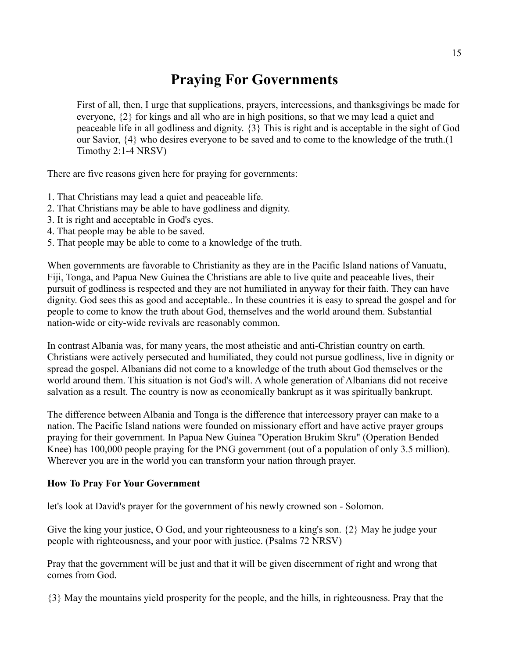# **Praying For Governments**

First of all, then, I urge that supplications, prayers, intercessions, and thanksgivings be made for everyone, {2} for kings and all who are in high positions, so that we may lead a quiet and peaceable life in all godliness and dignity. {3} This is right and is acceptable in the sight of God our Savior, {4} who desires everyone to be saved and to come to the knowledge of the truth.(1 Timothy 2:1-4 NRSV)

There are five reasons given here for praying for governments:

- 1. That Christians may lead a quiet and peaceable life.
- 2. That Christians may be able to have godliness and dignity.
- 3. It is right and acceptable in God's eyes.
- 4. That people may be able to be saved.
- 5. That people may be able to come to a knowledge of the truth.

When governments are favorable to Christianity as they are in the Pacific Island nations of Vanuatu, Fiji, Tonga, and Papua New Guinea the Christians are able to live quite and peaceable lives, their pursuit of godliness is respected and they are not humiliated in anyway for their faith. They can have dignity. God sees this as good and acceptable.. In these countries it is easy to spread the gospel and for people to come to know the truth about God, themselves and the world around them. Substantial nation-wide or city-wide revivals are reasonably common.

In contrast Albania was, for many years, the most atheistic and anti-Christian country on earth. Christians were actively persecuted and humiliated, they could not pursue godliness, live in dignity or spread the gospel. Albanians did not come to a knowledge of the truth about God themselves or the world around them. This situation is not God's will. A whole generation of Albanians did not receive salvation as a result. The country is now as economically bankrupt as it was spiritually bankrupt.

The difference between Albania and Tonga is the difference that intercessory prayer can make to a nation. The Pacific Island nations were founded on missionary effort and have active prayer groups praying for their government. In Papua New Guinea "Operation Brukim Skru" (Operation Bended Knee) has 100,000 people praying for the PNG government (out of a population of only 3.5 million). Wherever you are in the world you can transform your nation through prayer.

#### **How To Pray For Your Government**

let's look at David's prayer for the government of his newly crowned son - Solomon.

Give the king your justice, O God, and your righteousness to a king's son. {2} May he judge your people with righteousness, and your poor with justice. (Psalms 72 NRSV)

Pray that the government will be just and that it will be given discernment of right and wrong that comes from God.

{3} May the mountains yield prosperity for the people, and the hills, in righteousness. Pray that the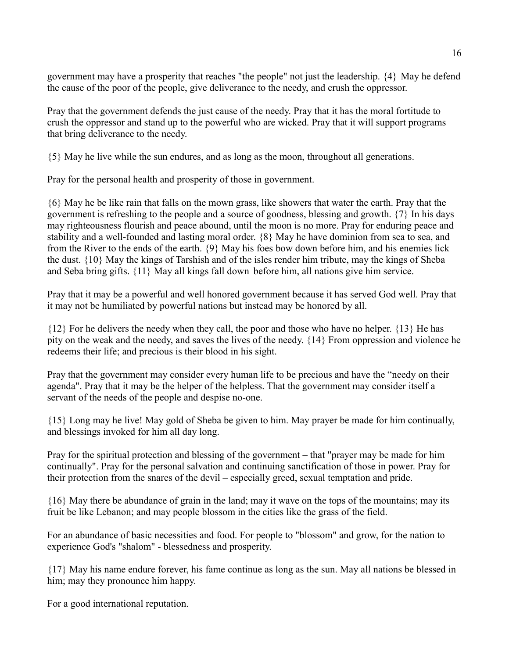government may have a prosperity that reaches "the people" not just the leadership. {4} May he defend the cause of the poor of the people, give deliverance to the needy, and crush the oppressor.

Pray that the government defends the just cause of the needy. Pray that it has the moral fortitude to crush the oppressor and stand up to the powerful who are wicked. Pray that it will support programs that bring deliverance to the needy.

{5} May he live while the sun endures, and as long as the moon, throughout all generations.

Pray for the personal health and prosperity of those in government.

{6} May he be like rain that falls on the mown grass, like showers that water the earth. Pray that the government is refreshing to the people and a source of goodness, blessing and growth. {7} In his days may righteousness flourish and peace abound, until the moon is no more. Pray for enduring peace and stability and a well-founded and lasting moral order. {8} May he have dominion from sea to sea, and from the River to the ends of the earth. {9} May his foes bow down before him, and his enemies lick the dust. {10} May the kings of Tarshish and of the isles render him tribute, may the kings of Sheba and Seba bring gifts. {11} May all kings fall down before him, all nations give him service.

Pray that it may be a powerful and well honored government because it has served God well. Pray that it may not be humiliated by powerful nations but instead may be honored by all.

{12} For he delivers the needy when they call, the poor and those who have no helper. {13} He has pity on the weak and the needy, and saves the lives of the needy. {14} From oppression and violence he redeems their life; and precious is their blood in his sight.

Pray that the government may consider every human life to be precious and have the "needy on their agenda". Pray that it may be the helper of the helpless. That the government may consider itself a servant of the needs of the people and despise no-one.

{15} Long may he live! May gold of Sheba be given to him. May prayer be made for him continually, and blessings invoked for him all day long.

Pray for the spiritual protection and blessing of the government – that "prayer may be made for him continually". Pray for the personal salvation and continuing sanctification of those in power. Pray for their protection from the snares of the devil – especially greed, sexual temptation and pride.

{16} May there be abundance of grain in the land; may it wave on the tops of the mountains; may its fruit be like Lebanon; and may people blossom in the cities like the grass of the field.

For an abundance of basic necessities and food. For people to "blossom" and grow, for the nation to experience God's "shalom" - blessedness and prosperity.

{17} May his name endure forever, his fame continue as long as the sun. May all nations be blessed in him; may they pronounce him happy.

For a good international reputation.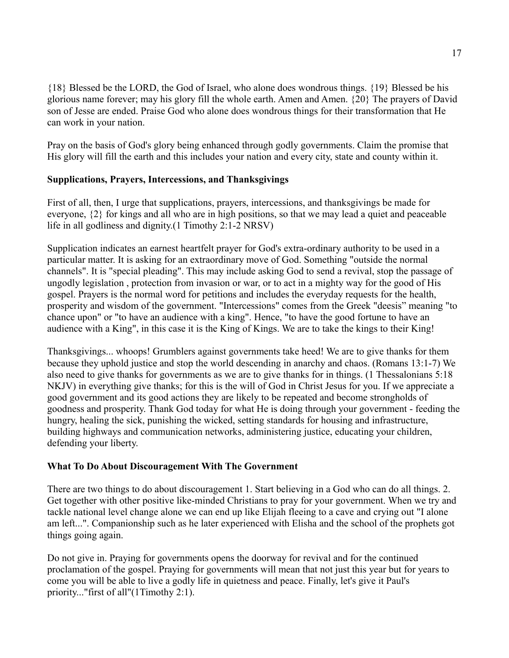{18} Blessed be the LORD, the God of Israel, who alone does wondrous things. {19} Blessed be his glorious name forever; may his glory fill the whole earth. Amen and Amen. {20} The prayers of David son of Jesse are ended. Praise God who alone does wondrous things for their transformation that He can work in your nation.

Pray on the basis of God's glory being enhanced through godly governments. Claim the promise that His glory will fill the earth and this includes your nation and every city, state and county within it.

#### **Supplications, Prayers, Intercessions, and Thanksgivings**

First of all, then, I urge that supplications, prayers, intercessions, and thanksgivings be made for everyone, {2} for kings and all who are in high positions, so that we may lead a quiet and peaceable life in all godliness and dignity.(1 Timothy 2:1-2 NRSV)

Supplication indicates an earnest heartfelt prayer for God's extra-ordinary authority to be used in a particular matter. It is asking for an extraordinary move of God. Something "outside the normal channels". It is "special pleading". This may include asking God to send a revival, stop the passage of ungodly legislation , protection from invasion or war, or to act in a mighty way for the good of His gospel. Prayers is the normal word for petitions and includes the everyday requests for the health, prosperity and wisdom of the government. "Intercessions" comes from the Greek "deesis" meaning "to chance upon" or "to have an audience with a king". Hence, "to have the good fortune to have an audience with a King", in this case it is the King of Kings. We are to take the kings to their King!

Thanksgivings... whoops! Grumblers against governments take heed! We are to give thanks for them because they uphold justice and stop the world descending in anarchy and chaos. (Romans 13:1-7) We also need to give thanks for governments as we are to give thanks for in things. (1 Thessalonians 5:18 NKJV) in everything give thanks; for this is the will of God in Christ Jesus for you. If we appreciate a good government and its good actions they are likely to be repeated and become strongholds of goodness and prosperity. Thank God today for what He is doing through your government - feeding the hungry, healing the sick, punishing the wicked, setting standards for housing and infrastructure, building highways and communication networks, administering justice, educating your children, defending your liberty.

#### **What To Do About Discouragement With The Government**

There are two things to do about discouragement 1. Start believing in a God who can do all things. 2. Get together with other positive like-minded Christians to pray for your government. When we try and tackle national level change alone we can end up like Elijah fleeing to a cave and crying out "I alone am left...". Companionship such as he later experienced with Elisha and the school of the prophets got things going again.

Do not give in. Praying for governments opens the doorway for revival and for the continued proclamation of the gospel. Praying for governments will mean that not just this year but for years to come you will be able to live a godly life in quietness and peace. Finally, let's give it Paul's priority..."first of all"(1Timothy 2:1).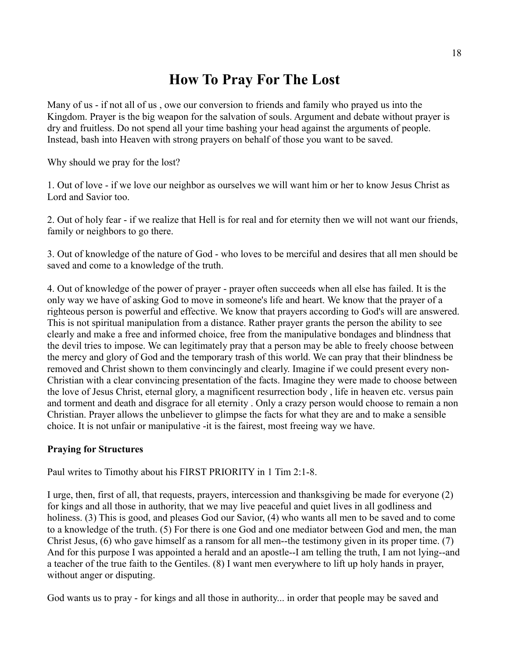## **How To Pray For The Lost**

Many of us - if not all of us , owe our conversion to friends and family who prayed us into the Kingdom. Prayer is the big weapon for the salvation of souls. Argument and debate without prayer is dry and fruitless. Do not spend all your time bashing your head against the arguments of people. Instead, bash into Heaven with strong prayers on behalf of those you want to be saved.

Why should we pray for the lost?

1. Out of love - if we love our neighbor as ourselves we will want him or her to know Jesus Christ as Lord and Savior too.

2. Out of holy fear - if we realize that Hell is for real and for eternity then we will not want our friends, family or neighbors to go there.

3. Out of knowledge of the nature of God - who loves to be merciful and desires that all men should be saved and come to a knowledge of the truth.

4. Out of knowledge of the power of prayer - prayer often succeeds when all else has failed. It is the only way we have of asking God to move in someone's life and heart. We know that the prayer of a righteous person is powerful and effective. We know that prayers according to God's will are answered. This is not spiritual manipulation from a distance. Rather prayer grants the person the ability to see clearly and make a free and informed choice, free from the manipulative bondages and blindness that the devil tries to impose. We can legitimately pray that a person may be able to freely choose between the mercy and glory of God and the temporary trash of this world. We can pray that their blindness be removed and Christ shown to them convincingly and clearly. Imagine if we could present every non-Christian with a clear convincing presentation of the facts. Imagine they were made to choose between the love of Jesus Christ, eternal glory, a magnificent resurrection body , life in heaven etc. versus pain and torment and death and disgrace for all eternity . Only a crazy person would choose to remain a non Christian. Prayer allows the unbeliever to glimpse the facts for what they are and to make a sensible choice. It is not unfair or manipulative -it is the fairest, most freeing way we have.

#### **Praying for Structures**

Paul writes to Timothy about his FIRST PRIORITY in 1 Tim 2:1-8.

I urge, then, first of all, that requests, prayers, intercession and thanksgiving be made for everyone (2) for kings and all those in authority, that we may live peaceful and quiet lives in all godliness and holiness. (3) This is good, and pleases God our Savior, (4) who wants all men to be saved and to come to a knowledge of the truth. (5) For there is one God and one mediator between God and men, the man Christ Jesus, (6) who gave himself as a ransom for all men--the testimony given in its proper time. (7) And for this purpose I was appointed a herald and an apostle--I am telling the truth, I am not lying--and a teacher of the true faith to the Gentiles. (8) I want men everywhere to lift up holy hands in prayer, without anger or disputing.

God wants us to pray - for kings and all those in authority... in order that people may be saved and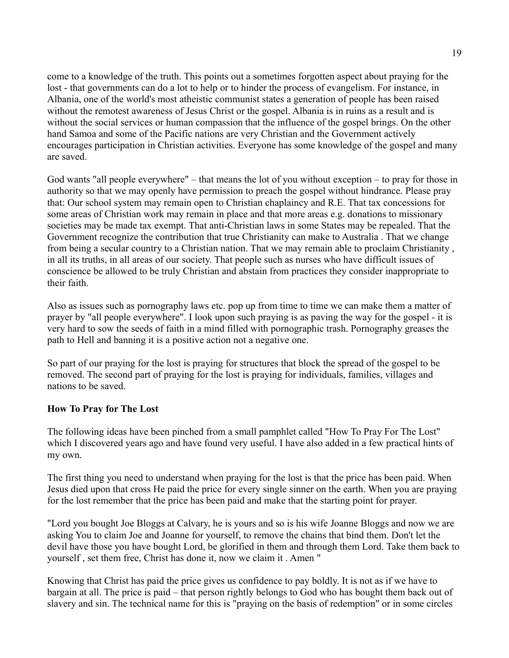come to a knowledge of the truth. This points out a sometimes forgotten aspect about praying for the lost - that governments can do a lot to help or to hinder the process of evangelism. For instance, in Albania, one of the world's most atheistic communist states a generation of people has been raised without the remotest awareness of Jesus Christ or the gospel. Albania is in ruins as a result and is without the social services or human compassion that the influence of the gospel brings. On the other hand Samoa and some of the Pacific nations are very Christian and the Government actively encourages participation in Christian activities. Everyone has some knowledge of the gospel and many are saved.

God wants "all people everywhere" – that means the lot of you without exception – to pray for those in authority so that we may openly have permission to preach the gospel without hindrance. Please pray that: Our school system may remain open to Christian chaplaincy and R.E. That tax concessions for some areas of Christian work may remain in place and that more areas e.g. donations to missionary societies may be made tax exempt. That anti-Christian laws in some States may be repealed. That the Government recognize the contribution that true Christianity can make to Australia . That we change from being a secular country to a Christian nation. That we may remain able to proclaim Christianity , in all its truths, in all areas of our society. That people such as nurses who have difficult issues of conscience be allowed to be truly Christian and abstain from practices they consider inappropriate to their faith.

Also as issues such as pornography laws etc. pop up from time to time we can make them a matter of prayer by "all people everywhere". I look upon such praying is as paving the way for the gospel - it is very hard to sow the seeds of faith in a mind filled with pornographic trash. Pornography greases the path to Hell and banning it is a positive action not a negative one.

So part of our praying for the lost is praying for structures that block the spread of the gospel to be removed. The second part of praying for the lost is praying for individuals, families, villages and nations to be saved.

#### **How To Pray for The Lost**

The following ideas have been pinched from a small pamphlet called "How To Pray For The Lost" which I discovered years ago and have found very useful. I have also added in a few practical hints of my own.

The first thing you need to understand when praying for the lost is that the price has been paid. When Jesus died upon that cross He paid the price for every single sinner on the earth. When you are praying for the lost remember that the price has been paid and make that the starting point for prayer.

"Lord you bought Joe Bloggs at Calvary, he is yours and so is his wife Joanne Bloggs and now we are asking You to claim Joe and Joanne for yourself, to remove the chains that bind them. Don't let the devil have those you have bought Lord, be glorified in them and through them Lord. Take them back to yourself , set them free, Christ has done it, now we claim it . Amen "

Knowing that Christ has paid the price gives us confidence to pay boldly. It is not as if we have to bargain at all. The price is paid – that person rightly belongs to God who has bought them back out of slavery and sin. The technical name for this is "praying on the basis of redemption" or in some circles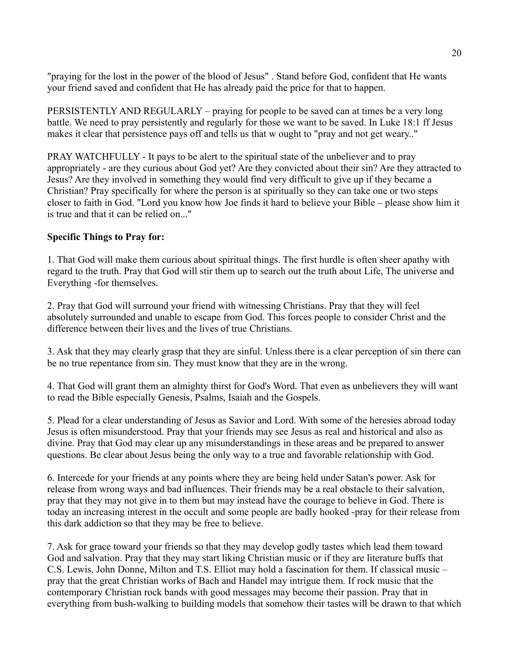"praying for the lost in the power of the blood of Jesus" . Stand before God, confident that He wants your friend saved and confident that He has already paid the price for that to happen.

PERSISTENTLY AND REGULARLY – praying for people to be saved can at times be a very long battle. We need to pray persistently and regularly for those we want to be saved. In Luke 18:1 ff Jesus makes it clear that persistence pays off and tells us that w ought to "pray and not get weary.."

PRAY WATCHFULLY - It pays to be alert to the spiritual state of the unbeliever and to pray appropriately - are they curious about God yet? Are they convicted about their sin? Are they attracted to Jesus? Are they involved in something they would find very difficult to give up if they became a Christian? Pray specifically for where the person is at spiritually so they can take one or two steps closer to faith in God. "Lord you know how Joe finds it hard to believe your Bible – please show him it is true and that it can be relied on..."

#### **Specific Things to Pray for:**

1. That God will make them curious about spiritual things. The first hurdle is often sheer apathy with regard to the truth. Pray that God will stir them up to search out the truth about Life, The universe and Everything -for themselves.

2. Pray that God will surround your friend with witnessing Christians. Pray that they will feel absolutely surrounded and unable to escape from God. This forces people to consider Christ and the difference between their lives and the lives of true Christians.

3. Ask that they may clearly grasp that they are sinful. Unless there is a clear perception of sin there can be no true repentance from sin. They must know that they are in the wrong.

4. That God will grant them an almighty thirst for God's Word. That even as unbelievers they will want to read the Bible especially Genesis, Psalms, Isaiah and the Gospels.

5. Plead for a clear understanding of Jesus as Savior and Lord. With some of the heresies abroad today Jesus is often misunderstood. Pray that your friends may see Jesus as real and historical and also as divine. Pray that God may clear up any misunderstandings in these areas and be prepared to answer questions. Be clear about Jesus being the only way to a true and favorable relationship with God.

6. Intercede for your friends at any points where they are being held under Satan's power. Ask for release from wrong ways and bad influences. Their friends may be a real obstacle to their salvation, pray that they may not give in to them but may instead have the courage to believe in God. There is today an increasing interest in the occult and some people are badly hooked -pray for their release from this dark addiction so that they may be free to believe.

7. Ask for grace toward your friends so that they may develop godly tastes which lead them toward God and salvation. Pray that they may start liking Christian music or if they are literature buffs that C.S. Lewis, John Donne, Milton and T.S. Elliot may hold a fascination for them. If classical music – pray that the great Christian works of Bach and Handel may intrigue them. If rock music that the contemporary Christian rock bands with good messages may become their passion. Pray that in everything from bush-walking to building models that somehow their tastes will be drawn to that which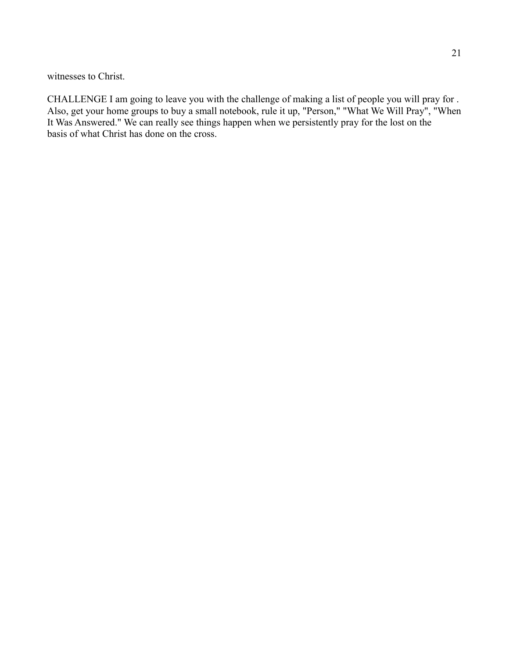witnesses to Christ.

CHALLENGE I am going to leave you with the challenge of making a list of people you will pray for . Also, get your home groups to buy a small notebook, rule it up, "Person," "What We Will Pray", "When It Was Answered." We can really see things happen when we persistently pray for the lost on the basis of what Christ has done on the cross.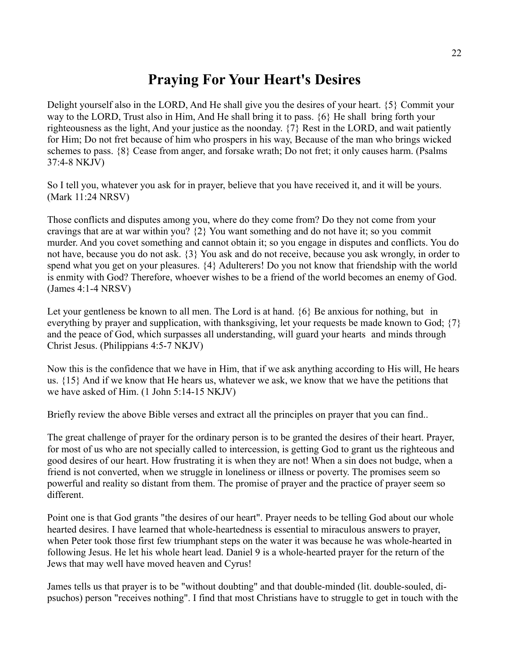## **Praying For Your Heart's Desires**

Delight yourself also in the LORD, And He shall give you the desires of your heart. {5} Commit your way to the LORD, Trust also in Him, And He shall bring it to pass. {6} He shall bring forth your righteousness as the light, And your justice as the noonday. {7} Rest in the LORD, and wait patiently for Him; Do not fret because of him who prospers in his way, Because of the man who brings wicked schemes to pass. {8} Cease from anger, and forsake wrath; Do not fret; it only causes harm. (Psalms 37:4-8 NKJV)

So I tell you, whatever you ask for in prayer, believe that you have received it, and it will be yours. (Mark 11:24 NRSV)

Those conflicts and disputes among you, where do they come from? Do they not come from your cravings that are at war within you? {2} You want something and do not have it; so you commit murder. And you covet something and cannot obtain it; so you engage in disputes and conflicts. You do not have, because you do not ask. {3} You ask and do not receive, because you ask wrongly, in order to spend what you get on your pleasures. {4} Adulterers! Do you not know that friendship with the world is enmity with God? Therefore, whoever wishes to be a friend of the world becomes an enemy of God. (James 4:1-4 NRSV)

Let your gentleness be known to all men. The Lord is at hand.  $\{6\}$  Be anxious for nothing, but in everything by prayer and supplication, with thanksgiving, let your requests be made known to God; {7} and the peace of God, which surpasses all understanding, will guard your hearts and minds through Christ Jesus. (Philippians 4:5-7 NKJV)

Now this is the confidence that we have in Him, that if we ask anything according to His will, He hears us. {15} And if we know that He hears us, whatever we ask, we know that we have the petitions that we have asked of Him. (1 John 5:14-15 NKJV)

Briefly review the above Bible verses and extract all the principles on prayer that you can find..

The great challenge of prayer for the ordinary person is to be granted the desires of their heart. Prayer, for most of us who are not specially called to intercession, is getting God to grant us the righteous and good desires of our heart. How frustrating it is when they are not! When a sin does not budge, when a friend is not converted, when we struggle in loneliness or illness or poverty. The promises seem so powerful and reality so distant from them. The promise of prayer and the practice of prayer seem so different.

Point one is that God grants "the desires of our heart". Prayer needs to be telling God about our whole hearted desires. I have learned that whole-heartedness is essential to miraculous answers to prayer, when Peter took those first few triumphant steps on the water it was because he was whole-hearted in following Jesus. He let his whole heart lead. Daniel 9 is a whole-hearted prayer for the return of the Jews that may well have moved heaven and Cyrus!

James tells us that prayer is to be "without doubting" and that double-minded (lit. double-souled, dipsuchos) person "receives nothing". I find that most Christians have to struggle to get in touch with the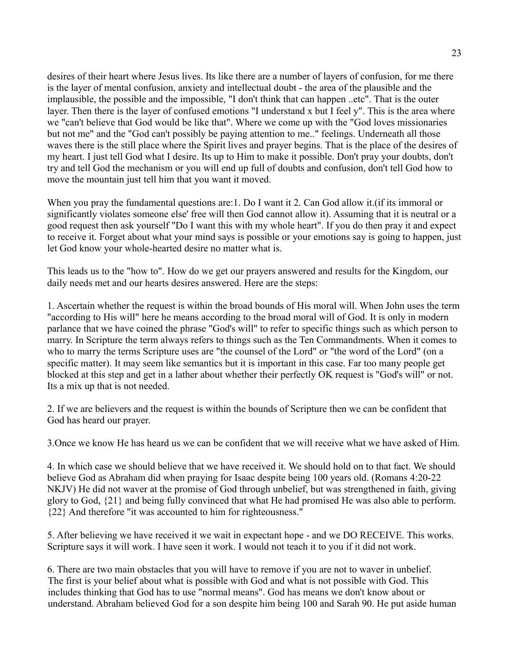desires of their heart where Jesus lives. Its like there are a number of layers of confusion, for me there is the layer of mental confusion, anxiety and intellectual doubt - the area of the plausible and the implausible, the possible and the impossible, "I don't think that can happen ..etc". That is the outer layer. Then there is the layer of confused emotions "I understand x but I feel y". This is the area where we "can't believe that God would be like that". Where we come up with the "God loves missionaries but not me" and the "God can't possibly be paying attention to me.." feelings. Underneath all those waves there is the still place where the Spirit lives and prayer begins. That is the place of the desires of my heart. I just tell God what I desire. Its up to Him to make it possible. Don't pray your doubts, don't try and tell God the mechanism or you will end up full of doubts and confusion, don't tell God how to move the mountain just tell him that you want it moved.

When you pray the fundamental questions are:1. Do I want it 2. Can God allow it.(if its immoral or significantly violates someone else' free will then God cannot allow it). Assuming that it is neutral or a good request then ask yourself "Do I want this with my whole heart". If you do then pray it and expect to receive it. Forget about what your mind says is possible or your emotions say is going to happen, just let God know your whole-hearted desire no matter what is.

This leads us to the "how to". How do we get our prayers answered and results for the Kingdom, our daily needs met and our hearts desires answered. Here are the steps:

1. Ascertain whether the request is within the broad bounds of His moral will. When John uses the term "according to His will" here he means according to the broad moral will of God. It is only in modern parlance that we have coined the phrase "God's will" to refer to specific things such as which person to marry. In Scripture the term always refers to things such as the Ten Commandments. When it comes to who to marry the terms Scripture uses are "the counsel of the Lord" or "the word of the Lord" (on a specific matter). It may seem like semantics but it is important in this case. Far too many people get blocked at this step and get in a lather about whether their perfectly OK request is "God's will" or not. Its a mix up that is not needed.

2. If we are believers and the request is within the bounds of Scripture then we can be confident that God has heard our prayer.

3.Once we know He has heard us we can be confident that we will receive what we have asked of Him.

4. In which case we should believe that we have received it. We should hold on to that fact. We should believe God as Abraham did when praying for Isaac despite being 100 years old. (Romans 4:20-22 NKJV) He did not waver at the promise of God through unbelief, but was strengthened in faith, giving glory to God, {21} and being fully convinced that what He had promised He was also able to perform. {22} And therefore "it was accounted to him for righteousness."

5. After believing we have received it we wait in expectant hope - and we DO RECEIVE. This works. Scripture says it will work. I have seen it work. I would not teach it to you if it did not work.

6. There are two main obstacles that you will have to remove if you are not to waver in unbelief. The first is your belief about what is possible with God and what is not possible with God. This includes thinking that God has to use "normal means". God has means we don't know about or understand. Abraham believed God for a son despite him being 100 and Sarah 90. He put aside human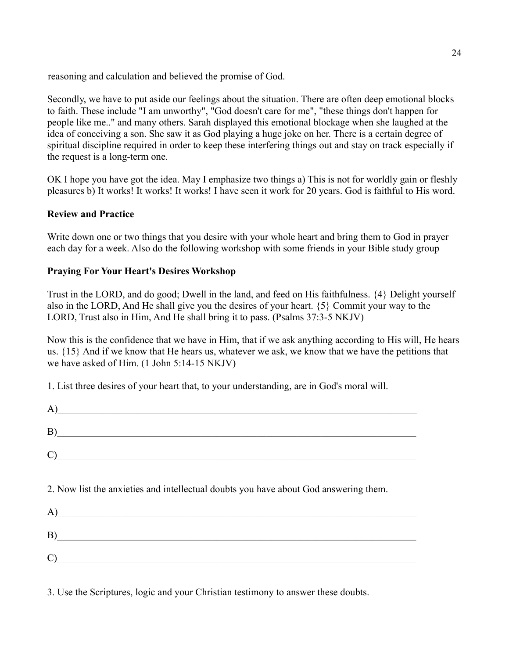reasoning and calculation and believed the promise of God.

Secondly, we have to put aside our feelings about the situation. There are often deep emotional blocks to faith. These include "I am unworthy", "God doesn't care for me", "these things don't happen for people like me.." and many others. Sarah displayed this emotional blockage when she laughed at the idea of conceiving a son. She saw it as God playing a huge joke on her. There is a certain degree of spiritual discipline required in order to keep these interfering things out and stay on track especially if the request is a long-term one.

OK I hope you have got the idea. May I emphasize two things a) This is not for worldly gain or fleshly pleasures b) It works! It works! It works! I have seen it work for 20 years. God is faithful to His word.

#### **Review and Practice**

Write down one or two things that you desire with your whole heart and bring them to God in prayer each day for a week. Also do the following workshop with some friends in your Bible study group

#### **Praying For Your Heart's Desires Workshop**

Trust in the LORD, and do good; Dwell in the land, and feed on His faithfulness. {4} Delight yourself also in the LORD, And He shall give you the desires of your heart. {5} Commit your way to the LORD, Trust also in Him, And He shall bring it to pass. (Psalms 37:3-5 NKJV)

Now this is the confidence that we have in Him, that if we ask anything according to His will, He hears us. {15} And if we know that He hears us, whatever we ask, we know that we have the petitions that we have asked of Him. (1 John 5:14-15 NKJV)

1. List three desires of your heart that, to your understanding, are in God's moral will.

| (A)                                                                                  |
|--------------------------------------------------------------------------------------|
| B)                                                                                   |
| C)                                                                                   |
| 2. Now list the anxieties and intellectual doubts you have about God answering them. |
| (A)                                                                                  |
|                                                                                      |
| C)                                                                                   |

3. Use the Scriptures, logic and your Christian testimony to answer these doubts.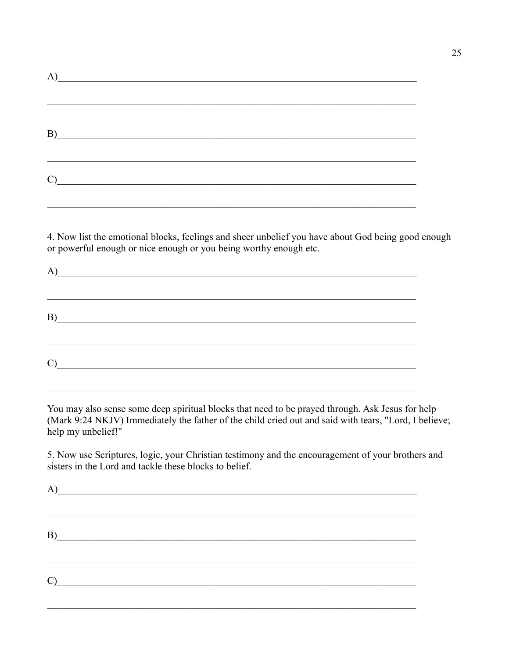| A)                                                                                                                                                                                                                                                                                                                                                                                                       |  |  |
|----------------------------------------------------------------------------------------------------------------------------------------------------------------------------------------------------------------------------------------------------------------------------------------------------------------------------------------------------------------------------------------------------------|--|--|
|                                                                                                                                                                                                                                                                                                                                                                                                          |  |  |
|                                                                                                                                                                                                                                                                                                                                                                                                          |  |  |
|                                                                                                                                                                                                                                                                                                                                                                                                          |  |  |
| B)                                                                                                                                                                                                                                                                                                                                                                                                       |  |  |
|                                                                                                                                                                                                                                                                                                                                                                                                          |  |  |
|                                                                                                                                                                                                                                                                                                                                                                                                          |  |  |
| $\mathcal{C}$ $\qquad \qquad$ $\qquad \qquad$ $\qquad \qquad$ $\qquad \qquad$ $\qquad \qquad$ $\qquad \qquad$ $\qquad \qquad$ $\qquad \qquad$ $\qquad \qquad$ $\qquad \qquad$ $\qquad \qquad$ $\qquad \qquad$ $\qquad \qquad$ $\qquad \qquad$ $\qquad \qquad$ $\qquad \qquad$ $\qquad \qquad$ $\qquad \qquad$ $\qquad \qquad$ $\qquad \qquad$ $\qquad \qquad$ $\qquad \qquad \qquad$ $\qquad \qquad$ $\$ |  |  |
|                                                                                                                                                                                                                                                                                                                                                                                                          |  |  |

4. Now list the emotional blocks, feelings and sheer unbelief you have about God being good enough or powerful enough or nice enough or you being worthy enough etc.

| A)                                                                                                                                                                                                                           |  |  |
|------------------------------------------------------------------------------------------------------------------------------------------------------------------------------------------------------------------------------|--|--|
|                                                                                                                                                                                                                              |  |  |
| $C)$ and $C$ and $C$ and $C$ and $C$ and $C$ and $C$ and $C$ and $C$ and $C$ and $C$ and $C$ and $C$ and $C$ and $C$ and $C$ and $C$ and $C$ and $C$ and $C$ and $C$ and $C$ and $C$ and $C$ and $C$ and $C$ and $C$ and $C$ |  |  |

You may also sense some deep spiritual blocks that need to be prayed through. Ask Jesus for help (Mark 9:24 NKJV) Immediately the father of the child cried out and said with tears, "Lord, I believe; help my unbelief!"

5. Now use Scriptures, logic, your Christian testimony and the encouragement of your brothers and sisters in the Lord and tackle these blocks to belief.

| A)                                                                                                                                                                                                                           |  |  |
|------------------------------------------------------------------------------------------------------------------------------------------------------------------------------------------------------------------------------|--|--|
|                                                                                                                                                                                                                              |  |  |
|                                                                                                                                                                                                                              |  |  |
|                                                                                                                                                                                                                              |  |  |
| $C)$ and $C$ and $C$ and $C$ and $C$ and $C$ and $C$ and $C$ and $C$ and $C$ and $C$ and $C$ and $C$ and $C$ and $C$ and $C$ and $C$ and $C$ and $C$ and $C$ and $C$ and $C$ and $C$ and $C$ and $C$ and $C$ and $C$ and $C$ |  |  |
|                                                                                                                                                                                                                              |  |  |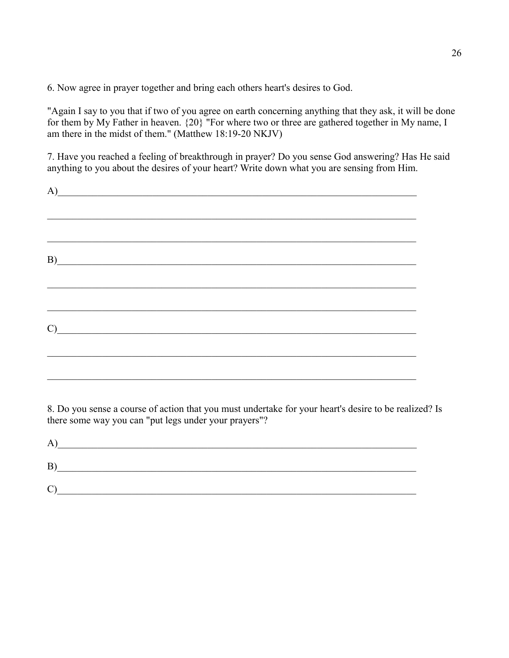6. Now agree in prayer together and bring each others heart's desires to God.

"Again I say to you that if two of you agree on earth concerning anything that they ask, it will be done for them by My Father in heaven. {20} "For where two or three are gathered together in My name, I am there in the midst of them." (Matthew 18:19-20 NKJV)

7. Have you reached a feeling of breakthrough in prayer? Do you sense God answering? Has He said anything to you about the desires of your heart? Write down what you are sensing from Him.

| (A)                                                                                                                                                                                                                                                                                                                                               |  |  |
|---------------------------------------------------------------------------------------------------------------------------------------------------------------------------------------------------------------------------------------------------------------------------------------------------------------------------------------------------|--|--|
|                                                                                                                                                                                                                                                                                                                                                   |  |  |
|                                                                                                                                                                                                                                                                                                                                                   |  |  |
| $\mathbf{B}$                                                                                                                                                                                                                                                                                                                                      |  |  |
|                                                                                                                                                                                                                                                                                                                                                   |  |  |
|                                                                                                                                                                                                                                                                                                                                                   |  |  |
| $\mathcal{C}$ $\qquad \qquad$ $\qquad \qquad$ $\qquad$ $\qquad$ $\qquad$ $\qquad$ $\qquad$ $\qquad$ $\qquad$ $\qquad$ $\qquad$ $\qquad$ $\qquad$ $\qquad$ $\qquad$ $\qquad$ $\qquad$ $\qquad$ $\qquad$ $\qquad$ $\qquad$ $\qquad$ $\qquad$ $\qquad$ $\qquad$ $\qquad$ $\qquad$ $\qquad$ $\qquad$ $\qquad$ $\qquad$ $\qquad$ $\qquad$ $\qquad$ $\$ |  |  |
|                                                                                                                                                                                                                                                                                                                                                   |  |  |
|                                                                                                                                                                                                                                                                                                                                                   |  |  |

8. Do you sense a course of action that you must undertake for your heart's desire to be realized? Is there some way you can "put legs under your prayers"?

| A                     |  |
|-----------------------|--|
| В                     |  |
| $\mathbf{\mathbf{C}}$ |  |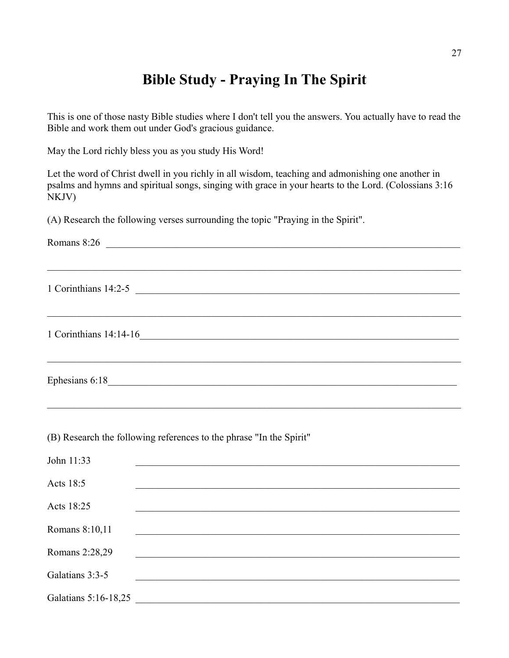## **Bible Study - Praying In The Spirit**

This is one of those nasty Bible studies where I don't tell you the answers. You actually have to read the Bible and work them out under God's gracious guidance.

May the Lord richly bless you as you study His Word!

Let the word of Christ dwell in you richly in all wisdom, teaching and admonishing one another in psalms and hymns and spiritual songs, singing with grace in your hearts to the Lord. (Colossians 3:16 NKJV)

(A) Research the following verses surrounding the topic "Praying in the Spirit".

Romans  $8:26$  $\_$  , and the contribution of the contribution of the contribution of the contribution of  $\mathcal{L}_\text{max}$ 1 Corinthians 14:2-5  $\_$  , and the contribution of the contribution of the contribution of the contribution of  $\mathcal{L}_\text{max}$ 1 Corinthians 14:14-16\_\_\_\_\_\_\_\_\_\_\_\_\_\_\_\_\_\_\_\_\_\_\_\_\_\_\_\_\_\_\_\_\_\_\_\_\_\_\_\_\_\_\_\_\_\_\_\_\_\_\_\_\_\_\_\_\_\_\_\_\_\_\_\_  $\_$  , and the contribution of the contribution of the contribution of the contribution of  $\mathcal{L}_\text{max}$ Ephesians  $6:18$  $\mathcal{L}_\mathcal{L} = \{ \mathcal{L}_\mathcal{L} = \{ \mathcal{L}_\mathcal{L} = \{ \mathcal{L}_\mathcal{L} = \{ \mathcal{L}_\mathcal{L} = \{ \mathcal{L}_\mathcal{L} = \{ \mathcal{L}_\mathcal{L} = \{ \mathcal{L}_\mathcal{L} = \{ \mathcal{L}_\mathcal{L} = \{ \mathcal{L}_\mathcal{L} = \{ \mathcal{L}_\mathcal{L} = \{ \mathcal{L}_\mathcal{L} = \{ \mathcal{L}_\mathcal{L} = \{ \mathcal{L}_\mathcal{L} = \{ \mathcal{L}_\mathcal{$ 

(B) Research the following references to the phrase "In the Spirit"

| John 11:33           |  |
|----------------------|--|
| Acts 18:5            |  |
| Acts 18:25           |  |
| Romans 8:10,11       |  |
| Romans 2:28,29       |  |
| Galatians 3:3-5      |  |
| Galatians 5:16-18,25 |  |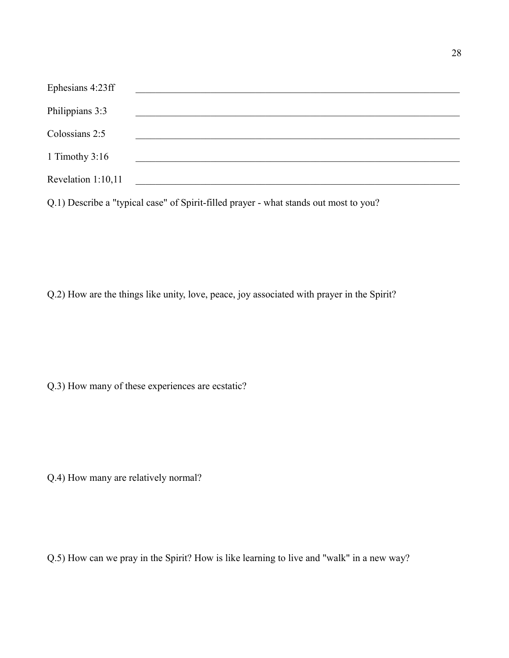| Ephesians 4:23ff   |  |
|--------------------|--|
| Philippians 3:3    |  |
| Colossians 2:5     |  |
| 1 Timothy $3:16$   |  |
| Revelation 1:10,11 |  |
|                    |  |

Q.1) Describe a "typical case" of Spirit-filled prayer - what stands out most to you?

Q.2) How are the things like unity, love, peace, joy associated with prayer in the Spirit?

Q.3) How many of these experiences are ecstatic?

Q.4) How many are relatively normal?

Q.5) How can we pray in the Spirit? How is like learning to live and "walk" in a new way?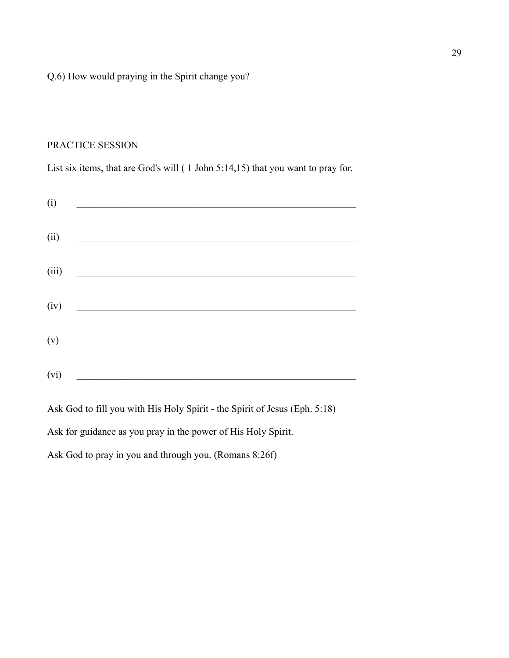#### Q.6) How would praying in the Spirit change you?

#### PRACTICE SESSION

List six items, that are God's will ( 1 John 5:14,15) that you want to pray for.

Ask God to fill you with His Holy Spirit - the Spirit of Jesus (Eph. 5:18)

Ask for guidance as you pray in the power of His Holy Spirit.

Ask God to pray in you and through you. (Romans 8:26f)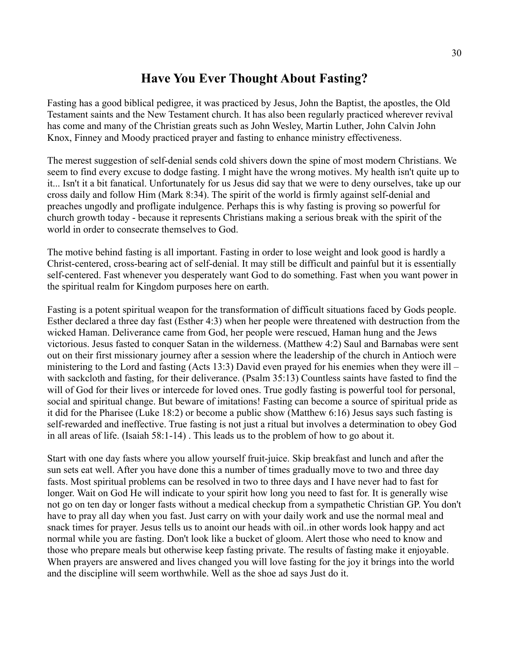### **Have You Ever Thought About Fasting?**

Fasting has a good biblical pedigree, it was practiced by Jesus, John the Baptist, the apostles, the Old Testament saints and the New Testament church. It has also been regularly practiced wherever revival has come and many of the Christian greats such as John Wesley, Martin Luther, John Calvin John Knox, Finney and Moody practiced prayer and fasting to enhance ministry effectiveness.

The merest suggestion of self-denial sends cold shivers down the spine of most modern Christians. We seem to find every excuse to dodge fasting. I might have the wrong motives. My health isn't quite up to it... Isn't it a bit fanatical. Unfortunately for us Jesus did say that we were to deny ourselves, take up our cross daily and follow Him (Mark 8:34). The spirit of the world is firmly against self-denial and preaches ungodly and profligate indulgence. Perhaps this is why fasting is proving so powerful for church growth today - because it represents Christians making a serious break with the spirit of the world in order to consecrate themselves to God.

The motive behind fasting is all important. Fasting in order to lose weight and look good is hardly a Christ-centered, cross-bearing act of self-denial. It may still be difficult and painful but it is essentially self-centered. Fast whenever you desperately want God to do something. Fast when you want power in the spiritual realm for Kingdom purposes here on earth.

Fasting is a potent spiritual weapon for the transformation of difficult situations faced by Gods people. Esther declared a three day fast (Esther 4:3) when her people were threatened with destruction from the wicked Haman. Deliverance came from God, her people were rescued, Haman hung and the Jews victorious. Jesus fasted to conquer Satan in the wilderness. (Matthew 4:2) Saul and Barnabas were sent out on their first missionary journey after a session where the leadership of the church in Antioch were ministering to the Lord and fasting (Acts 13:3) David even prayed for his enemies when they were ill – with sackcloth and fasting, for their deliverance. (Psalm 35:13) Countless saints have fasted to find the will of God for their lives or intercede for loved ones. True godly fasting is powerful tool for personal, social and spiritual change. But beware of imitations! Fasting can become a source of spiritual pride as it did for the Pharisee (Luke 18:2) or become a public show (Matthew 6:16) Jesus says such fasting is self-rewarded and ineffective. True fasting is not just a ritual but involves a determination to obey God in all areas of life. (Isaiah 58:1-14) . This leads us to the problem of how to go about it.

Start with one day fasts where you allow yourself fruit-juice. Skip breakfast and lunch and after the sun sets eat well. After you have done this a number of times gradually move to two and three day fasts. Most spiritual problems can be resolved in two to three days and I have never had to fast for longer. Wait on God He will indicate to your spirit how long you need to fast for. It is generally wise not go on ten day or longer fasts without a medical checkup from a sympathetic Christian GP. You don't have to pray all day when you fast. Just carry on with your daily work and use the normal meal and snack times for prayer. Jesus tells us to anoint our heads with oil..in other words look happy and act normal while you are fasting. Don't look like a bucket of gloom. Alert those who need to know and those who prepare meals but otherwise keep fasting private. The results of fasting make it enjoyable. When prayers are answered and lives changed you will love fasting for the joy it brings into the world and the discipline will seem worthwhile. Well as the shoe ad says Just do it.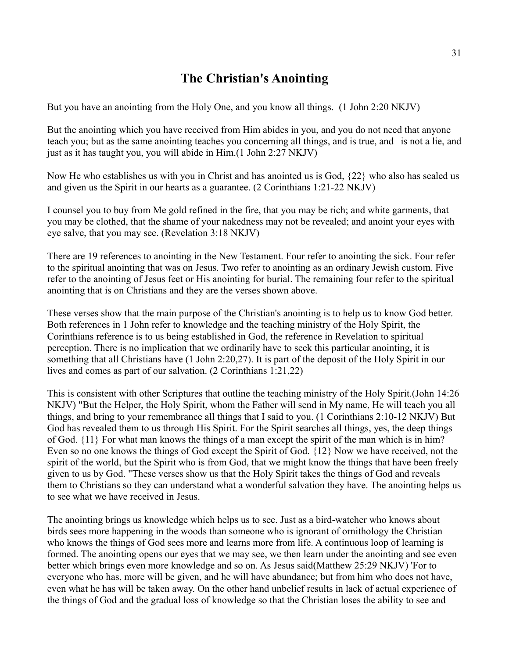## **The Christian's Anointing**

But you have an anointing from the Holy One, and you know all things. (1 John 2:20 NKJV)

But the anointing which you have received from Him abides in you, and you do not need that anyone teach you; but as the same anointing teaches you concerning all things, and is true, and is not a lie, and just as it has taught you, you will abide in Him.(1 John 2:27 NKJV)

Now He who establishes us with you in Christ and has anointed us is God, {22} who also has sealed us and given us the Spirit in our hearts as a guarantee. (2 Corinthians 1:21-22 NKJV)

I counsel you to buy from Me gold refined in the fire, that you may be rich; and white garments, that you may be clothed, that the shame of your nakedness may not be revealed; and anoint your eyes with eye salve, that you may see. (Revelation 3:18 NKJV)

There are 19 references to anointing in the New Testament. Four refer to anointing the sick. Four refer to the spiritual anointing that was on Jesus. Two refer to anointing as an ordinary Jewish custom. Five refer to the anointing of Jesus feet or His anointing for burial. The remaining four refer to the spiritual anointing that is on Christians and they are the verses shown above.

These verses show that the main purpose of the Christian's anointing is to help us to know God better. Both references in 1 John refer to knowledge and the teaching ministry of the Holy Spirit, the Corinthians reference is to us being established in God, the reference in Revelation to spiritual perception. There is no implication that we ordinarily have to seek this particular anointing, it is something that all Christians have (1 John 2:20,27). It is part of the deposit of the Holy Spirit in our lives and comes as part of our salvation. (2 Corinthians 1:21,22)

This is consistent with other Scriptures that outline the teaching ministry of the Holy Spirit.(John 14:26 NKJV) "But the Helper, the Holy Spirit, whom the Father will send in My name, He will teach you all things, and bring to your remembrance all things that I said to you. (1 Corinthians 2:10-12 NKJV) But God has revealed them to us through His Spirit. For the Spirit searches all things, yes, the deep things of God. {11} For what man knows the things of a man except the spirit of the man which is in him? Even so no one knows the things of God except the Spirit of God. {12} Now we have received, not the spirit of the world, but the Spirit who is from God, that we might know the things that have been freely given to us by God. "These verses show us that the Holy Spirit takes the things of God and reveals them to Christians so they can understand what a wonderful salvation they have. The anointing helps us to see what we have received in Jesus.

The anointing brings us knowledge which helps us to see. Just as a bird-watcher who knows about birds sees more happening in the woods than someone who is ignorant of ornithology the Christian who knows the things of God sees more and learns more from life. A continuous loop of learning is formed. The anointing opens our eyes that we may see, we then learn under the anointing and see even better which brings even more knowledge and so on. As Jesus said(Matthew 25:29 NKJV) 'For to everyone who has, more will be given, and he will have abundance; but from him who does not have, even what he has will be taken away. On the other hand unbelief results in lack of actual experience of the things of God and the gradual loss of knowledge so that the Christian loses the ability to see and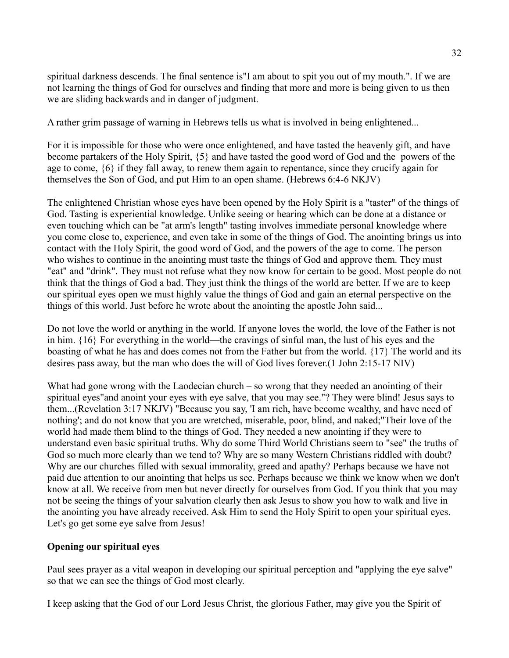spiritual darkness descends. The final sentence is"I am about to spit you out of my mouth.". If we are not learning the things of God for ourselves and finding that more and more is being given to us then we are sliding backwards and in danger of judgment.

A rather grim passage of warning in Hebrews tells us what is involved in being enlightened...

For it is impossible for those who were once enlightened, and have tasted the heavenly gift, and have become partakers of the Holy Spirit, {5} and have tasted the good word of God and the powers of the age to come, {6} if they fall away, to renew them again to repentance, since they crucify again for themselves the Son of God, and put Him to an open shame. (Hebrews 6:4-6 NKJV)

The enlightened Christian whose eyes have been opened by the Holy Spirit is a "taster" of the things of God. Tasting is experiential knowledge. Unlike seeing or hearing which can be done at a distance or even touching which can be "at arm's length" tasting involves immediate personal knowledge where you come close to, experience, and even take in some of the things of God. The anointing brings us into contact with the Holy Spirit, the good word of God, and the powers of the age to come. The person who wishes to continue in the anointing must taste the things of God and approve them. They must "eat" and "drink". They must not refuse what they now know for certain to be good. Most people do not think that the things of God a bad. They just think the things of the world are better. If we are to keep our spiritual eyes open we must highly value the things of God and gain an eternal perspective on the things of this world. Just before he wrote about the anointing the apostle John said...

Do not love the world or anything in the world. If anyone loves the world, the love of the Father is not in him. {16} For everything in the world—the cravings of sinful man, the lust of his eyes and the boasting of what he has and does comes not from the Father but from the world. {17} The world and its desires pass away, but the man who does the will of God lives forever.(1 John 2:15-17 NIV)

What had gone wrong with the Laodecian church – so wrong that they needed an anointing of their spiritual eyes"and anoint your eyes with eye salve, that you may see."? They were blind! Jesus says to them...(Revelation 3:17 NKJV) "Because you say, 'I am rich, have become wealthy, and have need of nothing'; and do not know that you are wretched, miserable, poor, blind, and naked;"Their love of the world had made them blind to the things of God. They needed a new anointing if they were to understand even basic spiritual truths. Why do some Third World Christians seem to "see" the truths of God so much more clearly than we tend to? Why are so many Western Christians riddled with doubt? Why are our churches filled with sexual immorality, greed and apathy? Perhaps because we have not paid due attention to our anointing that helps us see. Perhaps because we think we know when we don't know at all. We receive from men but never directly for ourselves from God. If you think that you may not be seeing the things of your salvation clearly then ask Jesus to show you how to walk and live in the anointing you have already received. Ask Him to send the Holy Spirit to open your spiritual eyes. Let's go get some eye salve from Jesus!

#### **Opening our spiritual eyes**

Paul sees prayer as a vital weapon in developing our spiritual perception and "applying the eye salve" so that we can see the things of God most clearly.

I keep asking that the God of our Lord Jesus Christ, the glorious Father, may give you the Spirit of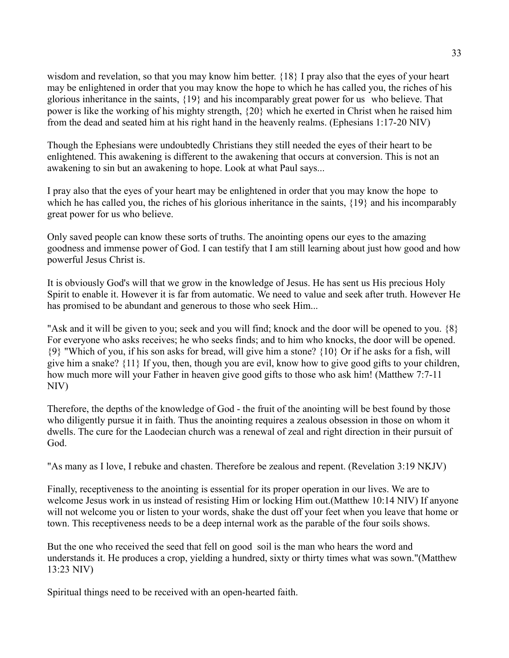wisdom and revelation, so that you may know him better. {18} I pray also that the eyes of your heart may be enlightened in order that you may know the hope to which he has called you, the riches of his glorious inheritance in the saints, {19} and his incomparably great power for us who believe. That power is like the working of his mighty strength, {20} which he exerted in Christ when he raised him from the dead and seated him at his right hand in the heavenly realms. (Ephesians 1:17-20 NIV)

Though the Ephesians were undoubtedly Christians they still needed the eyes of their heart to be enlightened. This awakening is different to the awakening that occurs at conversion. This is not an awakening to sin but an awakening to hope. Look at what Paul says...

I pray also that the eyes of your heart may be enlightened in order that you may know the hope to which he has called you, the riches of his glorious inheritance in the saints, {19} and his incomparably great power for us who believe.

Only saved people can know these sorts of truths. The anointing opens our eyes to the amazing goodness and immense power of God. I can testify that I am still learning about just how good and how powerful Jesus Christ is.

It is obviously God's will that we grow in the knowledge of Jesus. He has sent us His precious Holy Spirit to enable it. However it is far from automatic. We need to value and seek after truth. However He has promised to be abundant and generous to those who seek Him...

"Ask and it will be given to you; seek and you will find; knock and the door will be opened to you. {8} For everyone who asks receives; he who seeks finds; and to him who knocks, the door will be opened. {9} "Which of you, if his son asks for bread, will give him a stone? {10} Or if he asks for a fish, will give him a snake? {11} If you, then, though you are evil, know how to give good gifts to your children, how much more will your Father in heaven give good gifts to those who ask him! (Matthew 7:7-11 NIV)

Therefore, the depths of the knowledge of God - the fruit of the anointing will be best found by those who diligently pursue it in faith. Thus the anointing requires a zealous obsession in those on whom it dwells. The cure for the Laodecian church was a renewal of zeal and right direction in their pursuit of God.

"As many as I love, I rebuke and chasten. Therefore be zealous and repent. (Revelation 3:19 NKJV)

Finally, receptiveness to the anointing is essential for its proper operation in our lives. We are to welcome Jesus work in us instead of resisting Him or locking Him out.(Matthew 10:14 NIV) If anyone will not welcome you or listen to your words, shake the dust off your feet when you leave that home or town. This receptiveness needs to be a deep internal work as the parable of the four soils shows.

But the one who received the seed that fell on good soil is the man who hears the word and understands it. He produces a crop, yielding a hundred, sixty or thirty times what was sown."(Matthew 13:23 NIV)

Spiritual things need to be received with an open-hearted faith.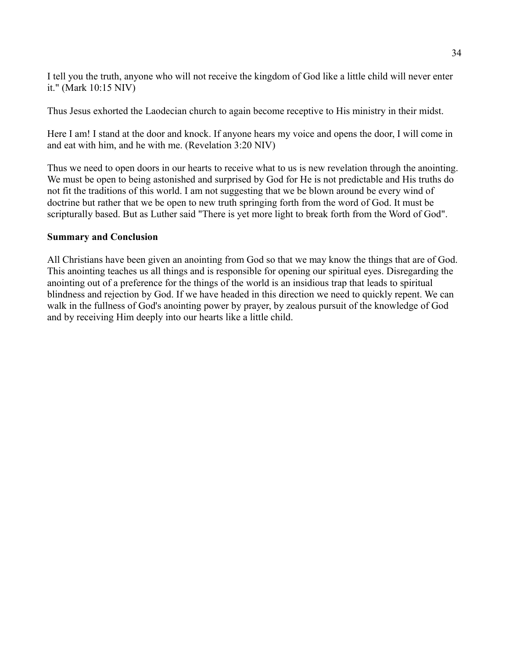I tell you the truth, anyone who will not receive the kingdom of God like a little child will never enter it." (Mark 10:15 NIV)

Thus Jesus exhorted the Laodecian church to again become receptive to His ministry in their midst.

Here I am! I stand at the door and knock. If anyone hears my voice and opens the door, I will come in and eat with him, and he with me. (Revelation 3:20 NIV)

Thus we need to open doors in our hearts to receive what to us is new revelation through the anointing. We must be open to being astonished and surprised by God for He is not predictable and His truths do not fit the traditions of this world. I am not suggesting that we be blown around be every wind of doctrine but rather that we be open to new truth springing forth from the word of God. It must be scripturally based. But as Luther said "There is yet more light to break forth from the Word of God".

#### **Summary and Conclusion**

All Christians have been given an anointing from God so that we may know the things that are of God. This anointing teaches us all things and is responsible for opening our spiritual eyes. Disregarding the anointing out of a preference for the things of the world is an insidious trap that leads to spiritual blindness and rejection by God. If we have headed in this direction we need to quickly repent. We can walk in the fullness of God's anointing power by prayer, by zealous pursuit of the knowledge of God and by receiving Him deeply into our hearts like a little child.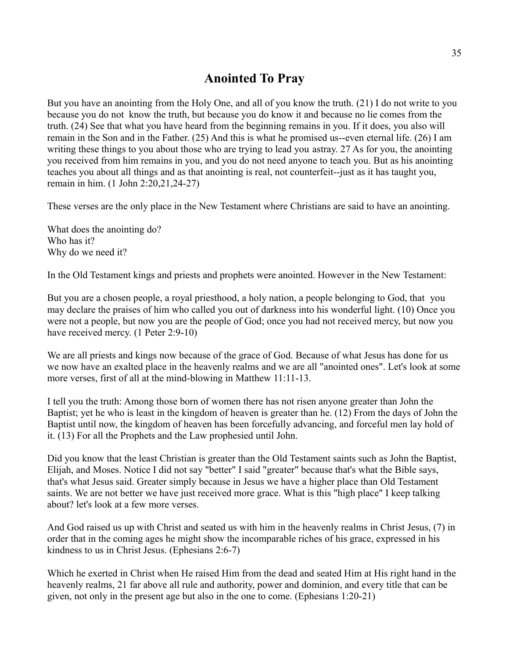## **Anointed To Pray**

But you have an anointing from the Holy One, and all of you know the truth. (21) I do not write to you because you do not know the truth, but because you do know it and because no lie comes from the truth. (24) See that what you have heard from the beginning remains in you. If it does, you also will remain in the Son and in the Father. (25) And this is what he promised us--even eternal life. (26) I am writing these things to you about those who are trying to lead you astray. 27 As for you, the anointing you received from him remains in you, and you do not need anyone to teach you. But as his anointing teaches you about all things and as that anointing is real, not counterfeit--just as it has taught you, remain in him. (1 John 2:20,21,24-27)

These verses are the only place in the New Testament where Christians are said to have an anointing.

What does the anointing do? Who has it? Why do we need it?

In the Old Testament kings and priests and prophets were anointed. However in the New Testament:

But you are a chosen people, a royal priesthood, a holy nation, a people belonging to God, that you may declare the praises of him who called you out of darkness into his wonderful light. (10) Once you were not a people, but now you are the people of God; once you had not received mercy, but now you have received mercy. (1 Peter 2:9-10)

We are all priests and kings now because of the grace of God. Because of what Jesus has done for us we now have an exalted place in the heavenly realms and we are all "anointed ones". Let's look at some more verses, first of all at the mind-blowing in Matthew 11:11-13.

I tell you the truth: Among those born of women there has not risen anyone greater than John the Baptist; yet he who is least in the kingdom of heaven is greater than he. (12) From the days of John the Baptist until now, the kingdom of heaven has been forcefully advancing, and forceful men lay hold of it. (13) For all the Prophets and the Law prophesied until John.

Did you know that the least Christian is greater than the Old Testament saints such as John the Baptist, Elijah, and Moses. Notice I did not say "better" I said "greater" because that's what the Bible says, that's what Jesus said. Greater simply because in Jesus we have a higher place than Old Testament saints. We are not better we have just received more grace. What is this "high place" I keep talking about? let's look at a few more verses.

And God raised us up with Christ and seated us with him in the heavenly realms in Christ Jesus, (7) in order that in the coming ages he might show the incomparable riches of his grace, expressed in his kindness to us in Christ Jesus. (Ephesians 2:6-7)

Which he exerted in Christ when He raised Him from the dead and seated Him at His right hand in the heavenly realms, 21 far above all rule and authority, power and dominion, and every title that can be given, not only in the present age but also in the one to come. (Ephesians 1:20-21)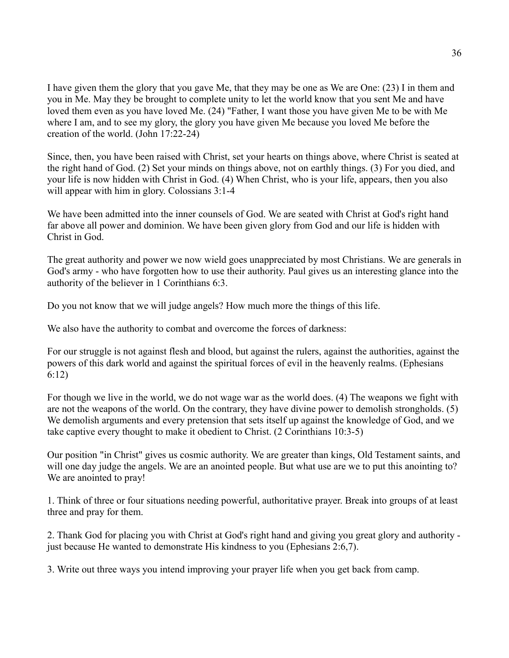I have given them the glory that you gave Me, that they may be one as We are One: (23) I in them and you in Me. May they be brought to complete unity to let the world know that you sent Me and have loved them even as you have loved Me. (24) "Father, I want those you have given Me to be with Me where I am, and to see my glory, the glory you have given Me because you loved Me before the creation of the world. (John 17:22-24)

Since, then, you have been raised with Christ, set your hearts on things above, where Christ is seated at the right hand of God. (2) Set your minds on things above, not on earthly things. (3) For you died, and your life is now hidden with Christ in God. (4) When Christ, who is your life, appears, then you also will appear with him in glory. Colossians 3:1-4

We have been admitted into the inner counsels of God. We are seated with Christ at God's right hand far above all power and dominion. We have been given glory from God and our life is hidden with Christ in God.

The great authority and power we now wield goes unappreciated by most Christians. We are generals in God's army - who have forgotten how to use their authority. Paul gives us an interesting glance into the authority of the believer in 1 Corinthians 6:3.

Do you not know that we will judge angels? How much more the things of this life.

We also have the authority to combat and overcome the forces of darkness:

For our struggle is not against flesh and blood, but against the rulers, against the authorities, against the powers of this dark world and against the spiritual forces of evil in the heavenly realms. (Ephesians 6:12)

For though we live in the world, we do not wage war as the world does. (4) The weapons we fight with are not the weapons of the world. On the contrary, they have divine power to demolish strongholds. (5) We demolish arguments and every pretension that sets itself up against the knowledge of God, and we take captive every thought to make it obedient to Christ. (2 Corinthians 10:3-5)

Our position "in Christ" gives us cosmic authority. We are greater than kings, Old Testament saints, and will one day judge the angels. We are an anointed people. But what use are we to put this anointing to? We are anointed to pray!

1. Think of three or four situations needing powerful, authoritative prayer. Break into groups of at least three and pray for them.

2. Thank God for placing you with Christ at God's right hand and giving you great glory and authority just because He wanted to demonstrate His kindness to you (Ephesians 2:6,7).

3. Write out three ways you intend improving your prayer life when you get back from camp.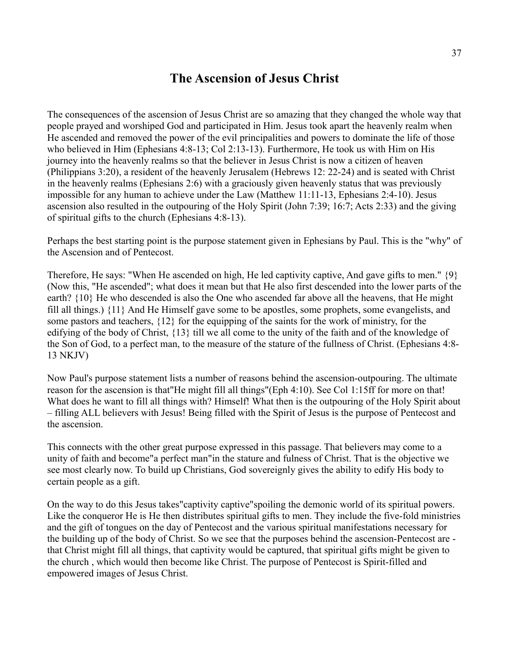### **The Ascension of Jesus Christ**

The consequences of the ascension of Jesus Christ are so amazing that they changed the whole way that people prayed and worshiped God and participated in Him. Jesus took apart the heavenly realm when He ascended and removed the power of the evil principalities and powers to dominate the life of those who believed in Him (Ephesians 4:8-13; Col 2:13-13). Furthermore, He took us with Him on His journey into the heavenly realms so that the believer in Jesus Christ is now a citizen of heaven (Philippians 3:20), a resident of the heavenly Jerusalem (Hebrews 12: 22-24) and is seated with Christ in the heavenly realms (Ephesians 2:6) with a graciously given heavenly status that was previously impossible for any human to achieve under the Law (Matthew 11:11-13, Ephesians 2:4-10). Jesus ascension also resulted in the outpouring of the Holy Spirit (John 7:39; 16:7; Acts 2:33) and the giving of spiritual gifts to the church (Ephesians 4:8-13).

Perhaps the best starting point is the purpose statement given in Ephesians by Paul. This is the "why" of the Ascension and of Pentecost.

Therefore, He says: "When He ascended on high, He led captivity captive, And gave gifts to men." {9} (Now this, "He ascended"; what does it mean but that He also first descended into the lower parts of the earth? {10} He who descended is also the One who ascended far above all the heavens, that He might fill all things.) {11} And He Himself gave some to be apostles, some prophets, some evangelists, and some pastors and teachers, {12} for the equipping of the saints for the work of ministry, for the edifying of the body of Christ, {13} till we all come to the unity of the faith and of the knowledge of the Son of God, to a perfect man, to the measure of the stature of the fullness of Christ. (Ephesians 4:8- 13 NKJV)

Now Paul's purpose statement lists a number of reasons behind the ascension-outpouring. The ultimate reason for the ascension is that"He might fill all things"(Eph 4:10). See Col 1:15ff for more on that! What does he want to fill all things with? Himself! What then is the outpouring of the Holy Spirit about – filling ALL believers with Jesus! Being filled with the Spirit of Jesus is the purpose of Pentecost and the ascension.

This connects with the other great purpose expressed in this passage. That believers may come to a unity of faith and become"a perfect man"in the stature and fulness of Christ. That is the objective we see most clearly now. To build up Christians, God sovereignly gives the ability to edify His body to certain people as a gift.

On the way to do this Jesus takes"captivity captive"spoiling the demonic world of its spiritual powers. Like the conqueror He is He then distributes spiritual gifts to men. They include the five-fold ministries and the gift of tongues on the day of Pentecost and the various spiritual manifestations necessary for the building up of the body of Christ. So we see that the purposes behind the ascension-Pentecost are that Christ might fill all things, that captivity would be captured, that spiritual gifts might be given to the church , which would then become like Christ. The purpose of Pentecost is Spirit-filled and empowered images of Jesus Christ.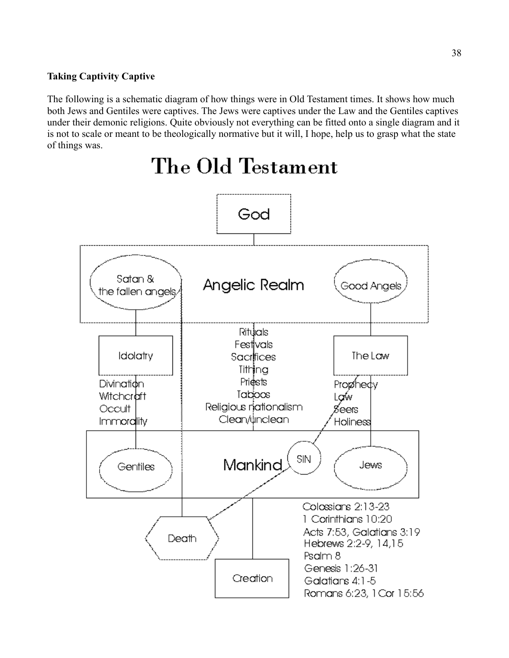#### **Taking Captivity Captive**

The following is a schematic diagram of how things were in Old Testament times. It shows how much both Jews and Gentiles were captives. The Jews were captives under the Law and the Gentiles captives under their demonic religions. Quite obviously not everything can be fitted onto a single diagram and it is not to scale or meant to be theologically normative but it will, I hope, help us to grasp what the state of things was.



# The Old Testament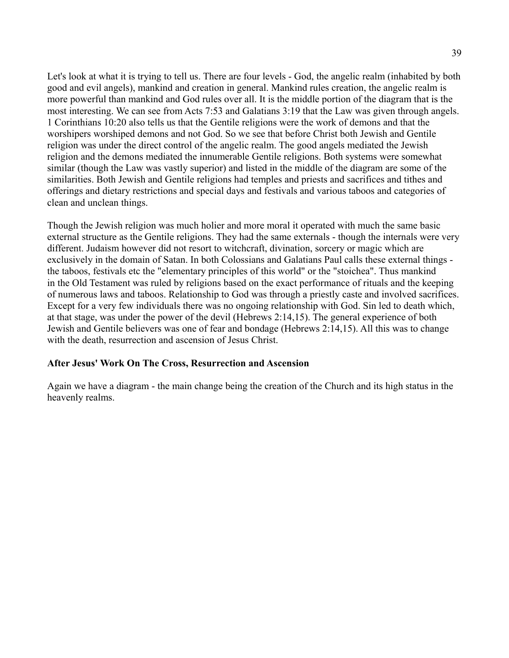Let's look at what it is trying to tell us. There are four levels - God, the angelic realm (inhabited by both good and evil angels), mankind and creation in general. Mankind rules creation, the angelic realm is more powerful than mankind and God rules over all. It is the middle portion of the diagram that is the most interesting. We can see from Acts 7:53 and Galatians 3:19 that the Law was given through angels. 1 Corinthians 10:20 also tells us that the Gentile religions were the work of demons and that the worshipers worshiped demons and not God. So we see that before Christ both Jewish and Gentile religion was under the direct control of the angelic realm. The good angels mediated the Jewish religion and the demons mediated the innumerable Gentile religions. Both systems were somewhat similar (though the Law was vastly superior) and listed in the middle of the diagram are some of the similarities. Both Jewish and Gentile religions had temples and priests and sacrifices and tithes and offerings and dietary restrictions and special days and festivals and various taboos and categories of clean and unclean things.

Though the Jewish religion was much holier and more moral it operated with much the same basic external structure as the Gentile religions. They had the same externals - though the internals were very different. Judaism however did not resort to witchcraft, divination, sorcery or magic which are exclusively in the domain of Satan. In both Colossians and Galatians Paul calls these external things the taboos, festivals etc the "elementary principles of this world" or the "stoichea". Thus mankind in the Old Testament was ruled by religions based on the exact performance of rituals and the keeping of numerous laws and taboos. Relationship to God was through a priestly caste and involved sacrifices. Except for a very few individuals there was no ongoing relationship with God. Sin led to death which, at that stage, was under the power of the devil (Hebrews 2:14,15). The general experience of both Jewish and Gentile believers was one of fear and bondage (Hebrews 2:14,15). All this was to change with the death, resurrection and ascension of Jesus Christ.

#### **After Jesus' Work On The Cross, Resurrection and Ascension**

Again we have a diagram - the main change being the creation of the Church and its high status in the heavenly realms.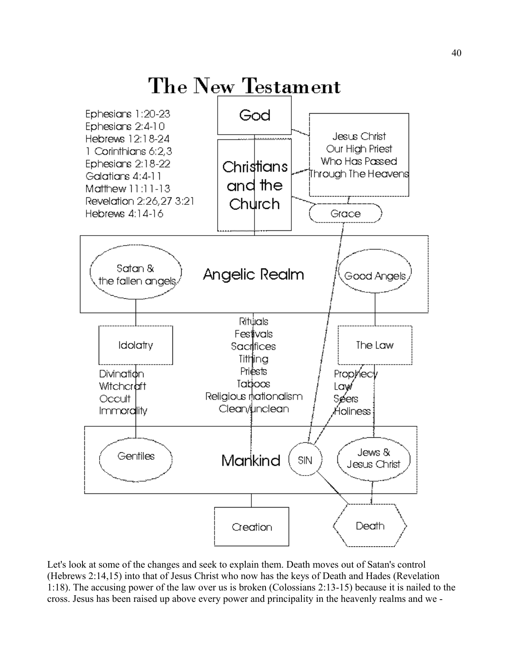

Let's look at some of the changes and seek to explain them. Death moves out of Satan's control (Hebrews 2:14,15) into that of Jesus Christ who now has the keys of Death and Hades (Revelation 1:18). The accusing power of the law over us is broken (Colossians 2:13-15) because it is nailed to the cross. Jesus has been raised up above every power and principality in the heavenly realms and we -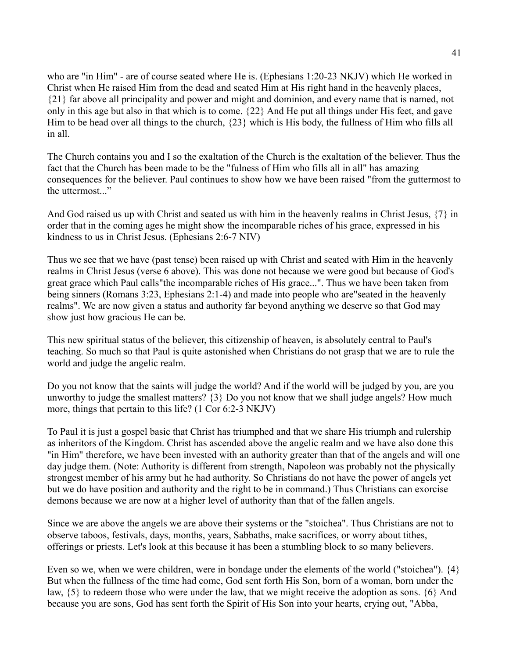who are "in Him" - are of course seated where He is. (Ephesians 1:20-23 NKJV) which He worked in Christ when He raised Him from the dead and seated Him at His right hand in the heavenly places, {21} far above all principality and power and might and dominion, and every name that is named, not only in this age but also in that which is to come. {22} And He put all things under His feet, and gave Him to be head over all things to the church, {23} which is His body, the fullness of Him who fills all in all.

The Church contains you and I so the exaltation of the Church is the exaltation of the believer. Thus the fact that the Church has been made to be the "fulness of Him who fills all in all" has amazing consequences for the believer. Paul continues to show how we have been raised "from the guttermost to the uttermost..."

And God raised us up with Christ and seated us with him in the heavenly realms in Christ Jesus, {7} in order that in the coming ages he might show the incomparable riches of his grace, expressed in his kindness to us in Christ Jesus. (Ephesians 2:6-7 NIV)

Thus we see that we have (past tense) been raised up with Christ and seated with Him in the heavenly realms in Christ Jesus (verse 6 above). This was done not because we were good but because of God's great grace which Paul calls"the incomparable riches of His grace...". Thus we have been taken from being sinners (Romans 3:23, Ephesians 2:1-4) and made into people who are"seated in the heavenly realms". We are now given a status and authority far beyond anything we deserve so that God may show just how gracious He can be.

This new spiritual status of the believer, this citizenship of heaven, is absolutely central to Paul's teaching. So much so that Paul is quite astonished when Christians do not grasp that we are to rule the world and judge the angelic realm.

Do you not know that the saints will judge the world? And if the world will be judged by you, are you unworthy to judge the smallest matters? {3} Do you not know that we shall judge angels? How much more, things that pertain to this life? (1 Cor 6:2-3 NKJV)

To Paul it is just a gospel basic that Christ has triumphed and that we share His triumph and rulership as inheritors of the Kingdom. Christ has ascended above the angelic realm and we have also done this "in Him" therefore, we have been invested with an authority greater than that of the angels and will one day judge them. (Note: Authority is different from strength, Napoleon was probably not the physically strongest member of his army but he had authority. So Christians do not have the power of angels yet but we do have position and authority and the right to be in command.) Thus Christians can exorcise demons because we are now at a higher level of authority than that of the fallen angels.

Since we are above the angels we are above their systems or the "stoichea". Thus Christians are not to observe taboos, festivals, days, months, years, Sabbaths, make sacrifices, or worry about tithes, offerings or priests. Let's look at this because it has been a stumbling block to so many believers.

Even so we, when we were children, were in bondage under the elements of the world ("stoichea"). {4} But when the fullness of the time had come, God sent forth His Son, born of a woman, born under the law, {5} to redeem those who were under the law, that we might receive the adoption as sons. {6} And because you are sons, God has sent forth the Spirit of His Son into your hearts, crying out, "Abba,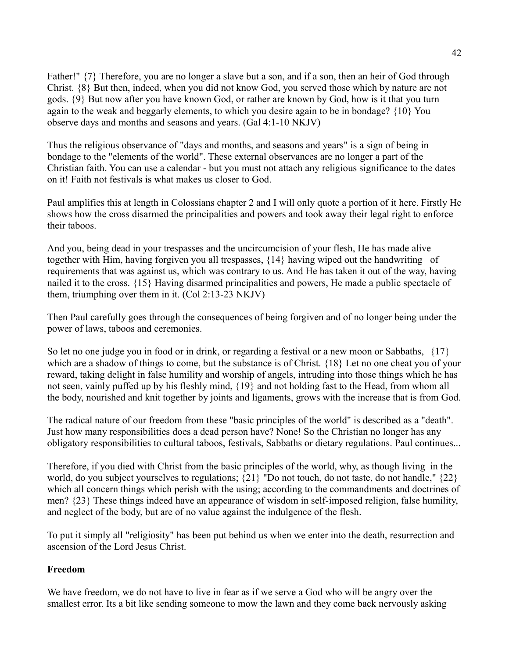Father!"  $\{7\}$  Therefore, you are no longer a slave but a son, and if a son, then an heir of God through Christ. {8} But then, indeed, when you did not know God, you served those which by nature are not gods. {9} But now after you have known God, or rather are known by God, how is it that you turn again to the weak and beggarly elements, to which you desire again to be in bondage? {10} You observe days and months and seasons and years. (Gal 4:1-10 NKJV)

Thus the religious observance of "days and months, and seasons and years" is a sign of being in bondage to the "elements of the world". These external observances are no longer a part of the Christian faith. You can use a calendar - but you must not attach any religious significance to the dates on it! Faith not festivals is what makes us closer to God.

Paul amplifies this at length in Colossians chapter 2 and I will only quote a portion of it here. Firstly He shows how the cross disarmed the principalities and powers and took away their legal right to enforce their taboos.

And you, being dead in your trespasses and the uncircumcision of your flesh, He has made alive together with Him, having forgiven you all trespasses, {14} having wiped out the handwriting of requirements that was against us, which was contrary to us. And He has taken it out of the way, having nailed it to the cross. {15} Having disarmed principalities and powers, He made a public spectacle of them, triumphing over them in it. (Col 2:13-23 NKJV)

Then Paul carefully goes through the consequences of being forgiven and of no longer being under the power of laws, taboos and ceremonies.

So let no one judge you in food or in drink, or regarding a festival or a new moon or Sabbaths, {17} which are a shadow of things to come, but the substance is of Christ. {18} Let no one cheat you of your reward, taking delight in false humility and worship of angels, intruding into those things which he has not seen, vainly puffed up by his fleshly mind, {19} and not holding fast to the Head, from whom all the body, nourished and knit together by joints and ligaments, grows with the increase that is from God.

The radical nature of our freedom from these "basic principles of the world" is described as a "death". Just how many responsibilities does a dead person have? None! So the Christian no longer has any obligatory responsibilities to cultural taboos, festivals, Sabbaths or dietary regulations. Paul continues...

Therefore, if you died with Christ from the basic principles of the world, why, as though living in the world, do you subject yourselves to regulations; {21} "Do not touch, do not taste, do not handle," {22} which all concern things which perish with the using; according to the commandments and doctrines of men? {23} These things indeed have an appearance of wisdom in self-imposed religion, false humility, and neglect of the body, but are of no value against the indulgence of the flesh.

To put it simply all "religiosity" has been put behind us when we enter into the death, resurrection and ascension of the Lord Jesus Christ.

#### **Freedom**

We have freedom, we do not have to live in fear as if we serve a God who will be angry over the smallest error. Its a bit like sending someone to mow the lawn and they come back nervously asking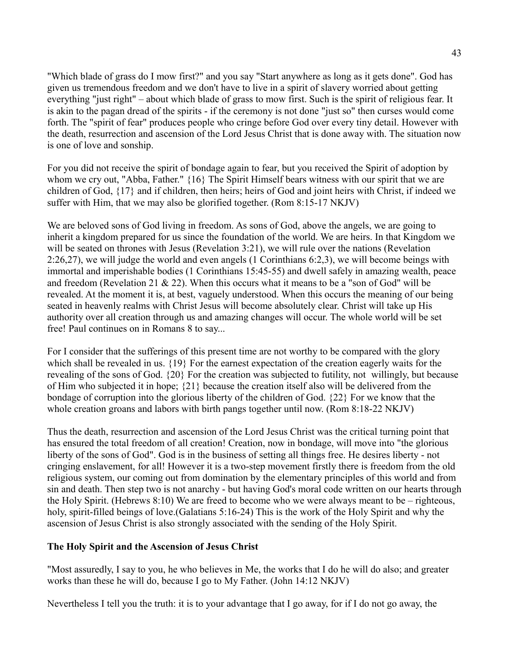"Which blade of grass do I mow first?" and you say "Start anywhere as long as it gets done". God has given us tremendous freedom and we don't have to live in a spirit of slavery worried about getting everything "just right" – about which blade of grass to mow first. Such is the spirit of religious fear. It is akin to the pagan dread of the spirits - if the ceremony is not done "just so" then curses would come forth. The "spirit of fear" produces people who cringe before God over every tiny detail. However with the death, resurrection and ascension of the Lord Jesus Christ that is done away with. The situation now is one of love and sonship.

For you did not receive the spirit of bondage again to fear, but you received the Spirit of adoption by whom we cry out, "Abba, Father." {16} The Spirit Himself bears witness with our spirit that we are children of God, {17} and if children, then heirs; heirs of God and joint heirs with Christ, if indeed we suffer with Him, that we may also be glorified together. (Rom 8:15-17 NKJV)

We are beloved sons of God living in freedom. As sons of God, above the angels, we are going to inherit a kingdom prepared for us since the foundation of the world. We are heirs. In that Kingdom we will be seated on thrones with Jesus (Revelation 3:21), we will rule over the nations (Revelation 2:26,27), we will judge the world and even angels (1 Corinthians 6:2,3), we will become beings with immortal and imperishable bodies (1 Corinthians 15:45-55) and dwell safely in amazing wealth, peace and freedom (Revelation 21  $& 22$ ). When this occurs what it means to be a "son of God" will be revealed. At the moment it is, at best, vaguely understood. When this occurs the meaning of our being seated in heavenly realms with Christ Jesus will become absolutely clear. Christ will take up His authority over all creation through us and amazing changes will occur. The whole world will be set free! Paul continues on in Romans 8 to say...

For I consider that the sufferings of this present time are not worthy to be compared with the glory which shall be revealed in us. {19} For the earnest expectation of the creation eagerly waits for the revealing of the sons of God. {20} For the creation was subjected to futility, not willingly, but because of Him who subjected it in hope; {21} because the creation itself also will be delivered from the bondage of corruption into the glorious liberty of the children of God. {22} For we know that the whole creation groans and labors with birth pangs together until now. (Rom 8:18-22 NKJV)

Thus the death, resurrection and ascension of the Lord Jesus Christ was the critical turning point that has ensured the total freedom of all creation! Creation, now in bondage, will move into "the glorious liberty of the sons of God". God is in the business of setting all things free. He desires liberty - not cringing enslavement, for all! However it is a two-step movement firstly there is freedom from the old religious system, our coming out from domination by the elementary principles of this world and from sin and death. Then step two is not anarchy - but having God's moral code written on our hearts through the Holy Spirit. (Hebrews 8:10) We are freed to become who we were always meant to be – righteous, holy, spirit-filled beings of love. (Galatians 5:16-24) This is the work of the Holy Spirit and why the ascension of Jesus Christ is also strongly associated with the sending of the Holy Spirit.

#### **The Holy Spirit and the Ascension of Jesus Christ**

"Most assuredly, I say to you, he who believes in Me, the works that I do he will do also; and greater works than these he will do, because I go to My Father. (John 14:12 NKJV)

Nevertheless I tell you the truth: it is to your advantage that I go away, for if I do not go away, the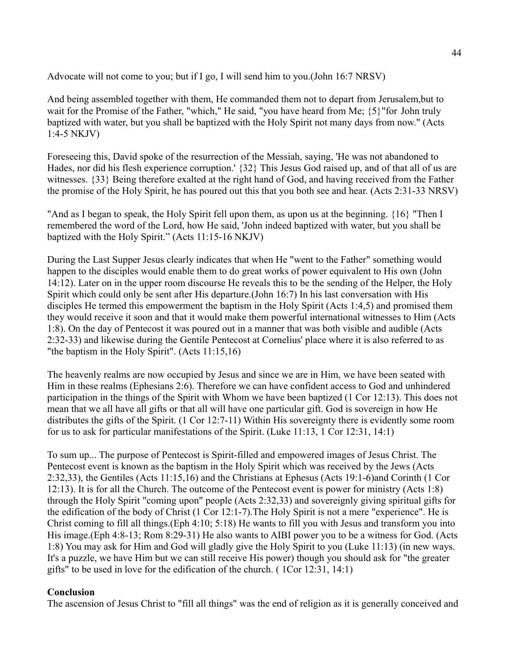Advocate will not come to you; but if I go, I will send him to you.(John 16:7 NRSV)

And being assembled together with them, He commanded them not to depart from Jerusalem,but to wait for the Promise of the Father, "which," He said, "you have heard from Me; {5}"for John truly baptized with water, but you shall be baptized with the Holy Spirit not many days from now." (Acts 1:4-5 NKJV)

Foreseeing this, David spoke of the resurrection of the Messiah, saying, 'He was not abandoned to Hades, nor did his flesh experience corruption.' {32} This Jesus God raised up, and of that all of us are witnesses. {33} Being therefore exalted at the right hand of God, and having received from the Father the promise of the Holy Spirit, he has poured out this that you both see and hear. (Acts 2:31-33 NRSV)

"And as I began to speak, the Holy Spirit fell upon them, as upon us at the beginning. {16} "Then I remembered the word of the Lord, how He said, 'John indeed baptized with water, but you shall be baptized with the Holy Spirit." (Acts 11:15-16 NKJV)

During the Last Supper Jesus clearly indicates that when He "went to the Father" something would happen to the disciples would enable them to do great works of power equivalent to His own (John 14:12). Later on in the upper room discourse He reveals this to be the sending of the Helper, the Holy Spirit which could only be sent after His departure.(John 16:7) In his last conversation with His disciples He termed this empowerment the baptism in the Holy Spirit (Acts 1:4,5) and promised them they would receive it soon and that it would make them powerful international witnesses to Him (Acts 1:8). On the day of Pentecost it was poured out in a manner that was both visible and audible (Acts 2:32-33) and likewise during the Gentile Pentecost at Cornelius' place where it is also referred to as "the baptism in the Holy Spirit". (Acts 11:15,16)

The heavenly realms are now occupied by Jesus and since we are in Him, we have been seated with Him in these realms (Ephesians 2:6). Therefore we can have confident access to God and unhindered participation in the things of the Spirit with Whom we have been baptized (1 Cor 12:13). This does not mean that we all have all gifts or that all will have one particular gift. God is sovereign in how He distributes the gifts of the Spirit. (1 Cor 12:7-11) Within His sovereignty there is evidently some room for us to ask for particular manifestations of the Spirit. (Luke 11:13, 1 Cor 12:31, 14:1)

To sum up... The purpose of Pentecost is Spirit-filled and empowered images of Jesus Christ. The Pentecost event is known as the baptism in the Holy Spirit which was received by the Jews (Acts 2:32,33), the Gentiles (Acts 11:15,16) and the Christians at Ephesus (Acts 19:1-6)and Corinth (1 Cor 12:13). It is for all the Church. The outcome of the Pentecost event is power for ministry (Acts 1:8) through the Holy Spirit "coming upon" people (Acts 2:32,33) and sovereignly giving spiritual gifts for the edification of the body of Christ (1 Cor 12:1-7).The Holy Spirit is not a mere "experience". He is Christ coming to fill all things.(Eph 4:10; 5:18) He wants to fill you with Jesus and transform you into His image.(Eph 4:8-13; Rom 8:29-31) He also wants to AIBI power you to be a witness for God. (Acts 1:8) You may ask for Him and God will gladly give the Holy Spirit to you (Luke 11:13) (in new ways. It's a puzzle, we have Him but we can still receive His power) though you should ask for "the greater gifts" to be used in love for the edification of the church. ( 1Cor 12:31, 14:1)

#### **Conclusion**

The ascension of Jesus Christ to "fill all things" was the end of religion as it is generally conceived and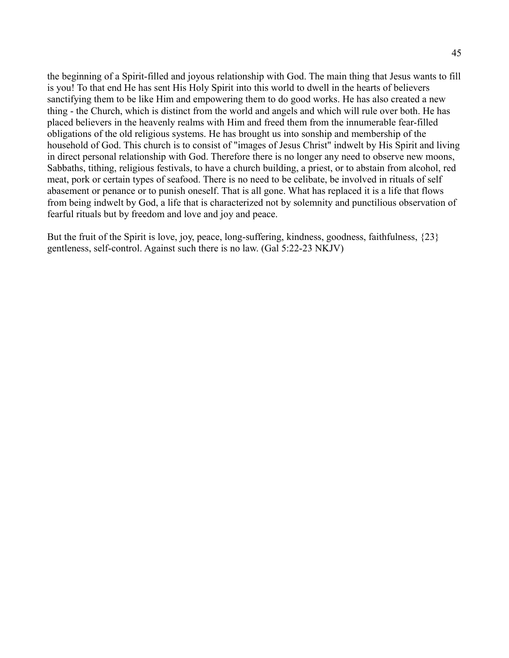the beginning of a Spirit-filled and joyous relationship with God. The main thing that Jesus wants to fill is you! To that end He has sent His Holy Spirit into this world to dwell in the hearts of believers sanctifying them to be like Him and empowering them to do good works. He has also created a new thing - the Church, which is distinct from the world and angels and which will rule over both. He has placed believers in the heavenly realms with Him and freed them from the innumerable fear-filled obligations of the old religious systems. He has brought us into sonship and membership of the household of God. This church is to consist of "images of Jesus Christ" indwelt by His Spirit and living in direct personal relationship with God. Therefore there is no longer any need to observe new moons, Sabbaths, tithing, religious festivals, to have a church building, a priest, or to abstain from alcohol, red meat, pork or certain types of seafood. There is no need to be celibate, be involved in rituals of self abasement or penance or to punish oneself. That is all gone. What has replaced it is a life that flows from being indwelt by God, a life that is characterized not by solemnity and punctilious observation of fearful rituals but by freedom and love and joy and peace.

But the fruit of the Spirit is love, joy, peace, long-suffering, kindness, goodness, faithfulness, {23} gentleness, self-control. Against such there is no law. (Gal 5:22-23 NKJV)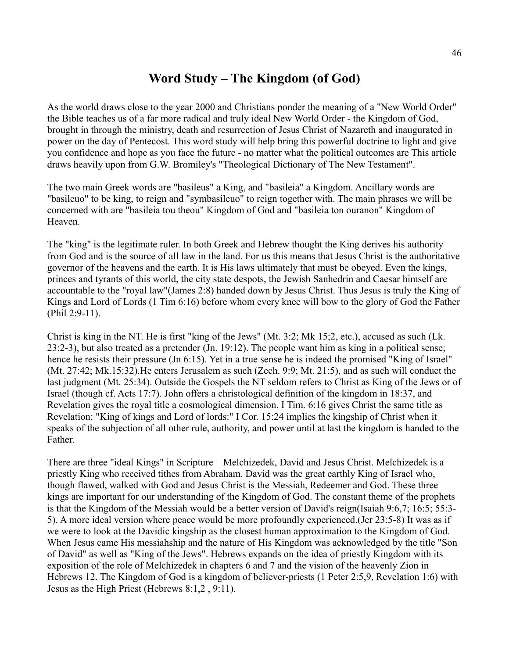## **Word Study – The Kingdom (of God)**

As the world draws close to the year 2000 and Christians ponder the meaning of a "New World Order" the Bible teaches us of a far more radical and truly ideal New World Order - the Kingdom of God, brought in through the ministry, death and resurrection of Jesus Christ of Nazareth and inaugurated in power on the day of Pentecost. This word study will help bring this powerful doctrine to light and give you confidence and hope as you face the future - no matter what the political outcomes are This article draws heavily upon from G.W. Bromiley's "Theological Dictionary of The New Testament".

The two main Greek words are "basileus" a King, and "basileia" a Kingdom. Ancillary words are "basileuo" to be king, to reign and "symbasileuo" to reign together with. The main phrases we will be concerned with are "basileia tou theou" Kingdom of God and "basileia ton ouranon" Kingdom of Heaven.

The "king" is the legitimate ruler. In both Greek and Hebrew thought the King derives his authority from God and is the source of all law in the land. For us this means that Jesus Christ is the authoritative governor of the heavens and the earth. It is His laws ultimately that must be obeyed. Even the kings, princes and tyrants of this world, the city state despots, the Jewish Sanhedrin and Caesar himself are accountable to the "royal law"(James 2:8) handed down by Jesus Christ. Thus Jesus is truly the King of Kings and Lord of Lords (1 Tim 6:16) before whom every knee will bow to the glory of God the Father (Phil 2:9-11).

Christ is king in the NT. He is first "king of the Jews" (Mt. 3:2; Mk 15;2, etc.), accused as such (Lk. 23:2-3), but also treated as a pretender (Jn. 19:12). The people want him as king in a political sense; hence he resists their pressure (Jn 6:15). Yet in a true sense he is indeed the promised "King of Israel" (Mt. 27:42; Mk.15:32).He enters Jerusalem as such (Zech. 9:9; Mt. 21:5), and as such will conduct the last judgment (Mt. 25:34). Outside the Gospels the NT seldom refers to Christ as King of the Jews or of Israel (though cf. Acts 17:7). John offers a christological definition of the kingdom in 18:37, and Revelation gives the royal title a cosmological dimension. I Tim. 6:16 gives Christ the same title as Revelation: "King of kings and Lord of lords:" I Cor. 15:24 implies the kingship of Christ when it speaks of the subjection of all other rule, authority, and power until at last the kingdom is handed to the Father.

There are three "ideal Kings" in Scripture – Melchizedek, David and Jesus Christ. Melchizedek is a priestly King who received tithes from Abraham. David was the great earthly King of Israel who, though flawed, walked with God and Jesus Christ is the Messiah, Redeemer and God. These three kings are important for our understanding of the Kingdom of God. The constant theme of the prophets is that the Kingdom of the Messiah would be a better version of David's reign(Isaiah 9:6,7; 16:5; 55:3- 5). A more ideal version where peace would be more profoundly experienced.(Jer 23:5-8) It was as if we were to look at the Davidic kingship as the closest human approximation to the Kingdom of God. When Jesus came His messiahship and the nature of His Kingdom was acknowledged by the title "Son of David" as well as "King of the Jews". Hebrews expands on the idea of priestly Kingdom with its exposition of the role of Melchizedek in chapters 6 and 7 and the vision of the heavenly Zion in Hebrews 12. The Kingdom of God is a kingdom of believer-priests (1 Peter 2:5,9, Revelation 1:6) with Jesus as the High Priest (Hebrews 8:1,2 , 9:11).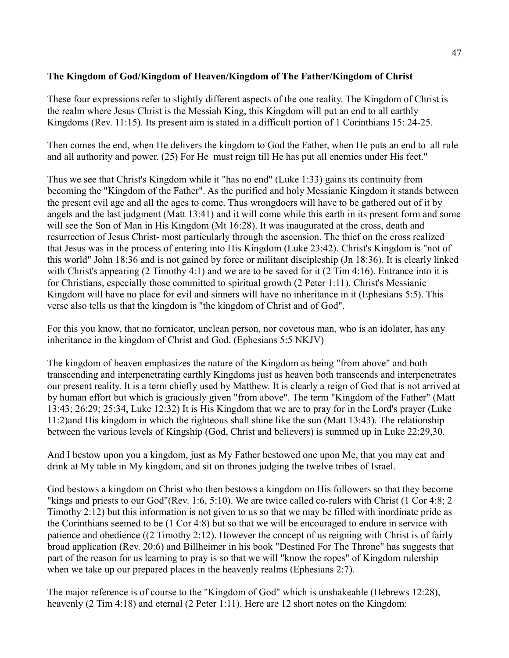#### **The Kingdom of God/Kingdom of Heaven/Kingdom of The Father/Kingdom of Christ**

These four expressions refer to slightly different aspects of the one reality. The Kingdom of Christ is the realm where Jesus Christ is the Messiah King, this Kingdom will put an end to all earthly Kingdoms (Rev. 11:15). Its present aim is stated in a difficult portion of 1 Corinthians 15: 24-25.

Then comes the end, when He delivers the kingdom to God the Father, when He puts an end to all rule and all authority and power. (25) For He must reign till He has put all enemies under His feet."

Thus we see that Christ's Kingdom while it "has no end" (Luke 1:33) gains its continuity from becoming the "Kingdom of the Father". As the purified and holy Messianic Kingdom it stands between the present evil age and all the ages to come. Thus wrongdoers will have to be gathered out of it by angels and the last judgment (Matt 13:41) and it will come while this earth in its present form and some will see the Son of Man in His Kingdom (Mt 16:28). It was inaugurated at the cross, death and resurrection of Jesus Christ- most particularly through the ascension. The thief on the cross realized that Jesus was in the process of entering into His Kingdom (Luke 23:42). Christ's Kingdom is "not of this world" John 18:36 and is not gained by force or militant discipleship (Jn 18:36). It is clearly linked with Christ's appearing (2 Timothy 4:1) and we are to be saved for it (2 Tim 4:16). Entrance into it is for Christians, especially those committed to spiritual growth (2 Peter 1:11). Christ's Messianic Kingdom will have no place for evil and sinners will have no inheritance in it (Ephesians 5:5). This verse also tells us that the kingdom is "the kingdom of Christ and of God".

For this you know, that no fornicator, unclean person, nor covetous man, who is an idolater, has any inheritance in the kingdom of Christ and God. (Ephesians 5:5 NKJV)

The kingdom of heaven emphasizes the nature of the Kingdom as being "from above" and both transcending and interpenetrating earthly Kingdoms just as heaven both transcends and interpenetrates our present reality. It is a term chiefly used by Matthew. It is clearly a reign of God that is not arrived at by human effort but which is graciously given "from above". The term "Kingdom of the Father" (Matt 13:43; 26:29; 25:34, Luke 12:32) It is His Kingdom that we are to pray for in the Lord's prayer (Luke 11:2)and His kingdom in which the righteous shall shine like the sun (Matt 13:43). The relationship between the various levels of Kingship (God, Christ and believers) is summed up in Luke 22:29,30.

And I bestow upon you a kingdom, just as My Father bestowed one upon Me, that you may eat and drink at My table in My kingdom, and sit on thrones judging the twelve tribes of Israel.

God bestows a kingdom on Christ who then bestows a kingdom on His followers so that they become "kings and priests to our God"(Rev. 1:6, 5:10). We are twice called co-rulers with Christ (1 Cor 4:8; 2 Timothy 2:12) but this information is not given to us so that we may be filled with inordinate pride as the Corinthians seemed to be (1 Cor 4:8) but so that we will be encouraged to endure in service with patience and obedience ((2 Timothy 2:12). However the concept of us reigning with Christ is of fairly broad application (Rev. 20:6) and Billheimer in his book "Destined For The Throne" has suggests that part of the reason for us learning to pray is so that we will "know the ropes" of Kingdom rulership when we take up our prepared places in the heavenly realms (Ephesians 2:7).

The major reference is of course to the "Kingdom of God" which is unshakeable (Hebrews 12:28), heavenly (2 Tim 4:18) and eternal (2 Peter 1:11). Here are 12 short notes on the Kingdom: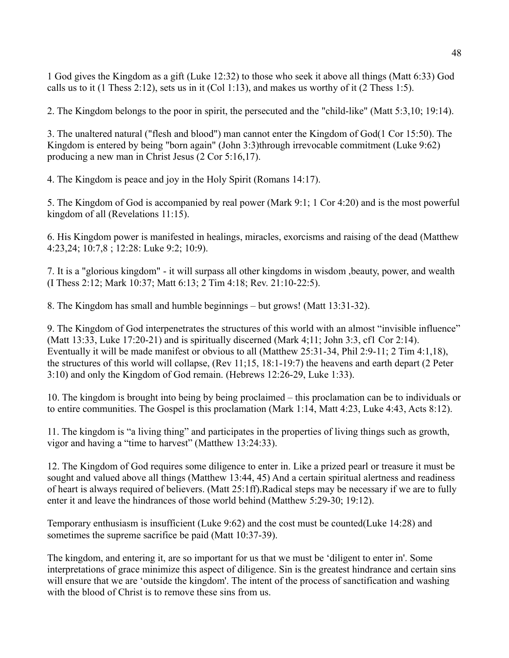1 God gives the Kingdom as a gift (Luke 12:32) to those who seek it above all things (Matt 6:33) God calls us to it (1 Thess 2:12), sets us in it (Col 1:13), and makes us worthy of it (2 Thess 1:5).

2. The Kingdom belongs to the poor in spirit, the persecuted and the "child-like" (Matt 5:3,10; 19:14).

3. The unaltered natural ("flesh and blood") man cannot enter the Kingdom of God(1 Cor 15:50). The Kingdom is entered by being "born again" (John 3:3)through irrevocable commitment (Luke 9:62) producing a new man in Christ Jesus (2 Cor 5:16,17).

4. The Kingdom is peace and joy in the Holy Spirit (Romans 14:17).

5. The Kingdom of God is accompanied by real power (Mark 9:1; 1 Cor 4:20) and is the most powerful kingdom of all (Revelations 11:15).

6. His Kingdom power is manifested in healings, miracles, exorcisms and raising of the dead (Matthew 4:23,24; 10:7,8 ; 12:28: Luke 9:2; 10:9).

7. It is a "glorious kingdom" - it will surpass all other kingdoms in wisdom ,beauty, power, and wealth (I Thess 2:12; Mark 10:37; Matt 6:13; 2 Tim 4:18; Rev. 21:10-22:5).

8. The Kingdom has small and humble beginnings – but grows! (Matt 13:31-32).

9. The Kingdom of God interpenetrates the structures of this world with an almost "invisible influence" (Matt 13:33, Luke 17:20-21) and is spiritually discerned (Mark 4;11; John 3:3, cf1 Cor 2:14). Eventually it will be made manifest or obvious to all (Matthew 25:31-34, Phil 2:9-11; 2 Tim 4:1,18), the structures of this world will collapse, (Rev 11;15, 18:1-19:7) the heavens and earth depart (2 Peter 3:10) and only the Kingdom of God remain. (Hebrews 12:26-29, Luke 1:33).

10. The kingdom is brought into being by being proclaimed – this proclamation can be to individuals or to entire communities. The Gospel is this proclamation (Mark 1:14, Matt 4:23, Luke 4:43, Acts 8:12).

11. The kingdom is "a living thing" and participates in the properties of living things such as growth, vigor and having a "time to harvest" (Matthew 13:24:33).

12. The Kingdom of God requires some diligence to enter in. Like a prized pearl or treasure it must be sought and valued above all things (Matthew 13:44, 45) And a certain spiritual alertness and readiness of heart is always required of believers. (Matt 25:1ff).Radical steps may be necessary if we are to fully enter it and leave the hindrances of those world behind (Matthew 5:29-30; 19:12).

Temporary enthusiasm is insufficient (Luke 9:62) and the cost must be counted(Luke 14:28) and sometimes the supreme sacrifice be paid (Matt 10:37-39).

The kingdom, and entering it, are so important for us that we must be 'diligent to enter in'. Some interpretations of grace minimize this aspect of diligence. Sin is the greatest hindrance and certain sins will ensure that we are 'outside the kingdom'. The intent of the process of sanctification and washing with the blood of Christ is to remove these sins from us.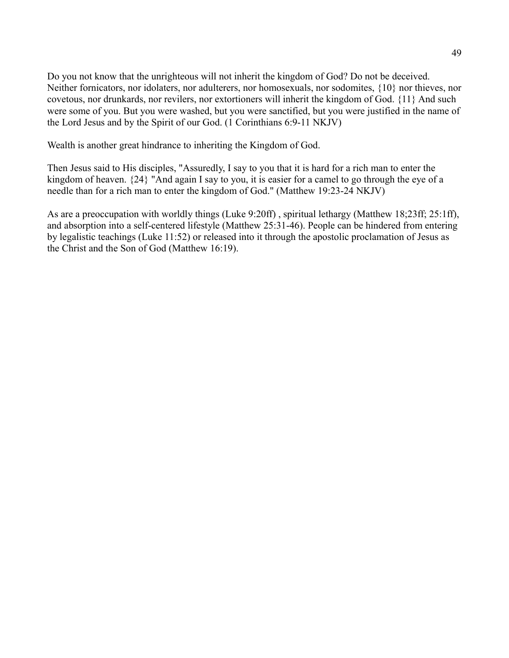Do you not know that the unrighteous will not inherit the kingdom of God? Do not be deceived. Neither fornicators, nor idolaters, nor adulterers, nor homosexuals, nor sodomites, {10} nor thieves, nor covetous, nor drunkards, nor revilers, nor extortioners will inherit the kingdom of God. {11} And such were some of you. But you were washed, but you were sanctified, but you were justified in the name of the Lord Jesus and by the Spirit of our God. (1 Corinthians 6:9-11 NKJV)

Wealth is another great hindrance to inheriting the Kingdom of God.

Then Jesus said to His disciples, "Assuredly, I say to you that it is hard for a rich man to enter the kingdom of heaven. {24} "And again I say to you, it is easier for a camel to go through the eye of a needle than for a rich man to enter the kingdom of God." (Matthew 19:23-24 NKJV)

As are a preoccupation with worldly things (Luke 9:20ff) , spiritual lethargy (Matthew 18;23ff; 25:1ff), and absorption into a self-centered lifestyle (Matthew 25:31-46). People can be hindered from entering by legalistic teachings (Luke 11:52) or released into it through the apostolic proclamation of Jesus as the Christ and the Son of God (Matthew 16:19).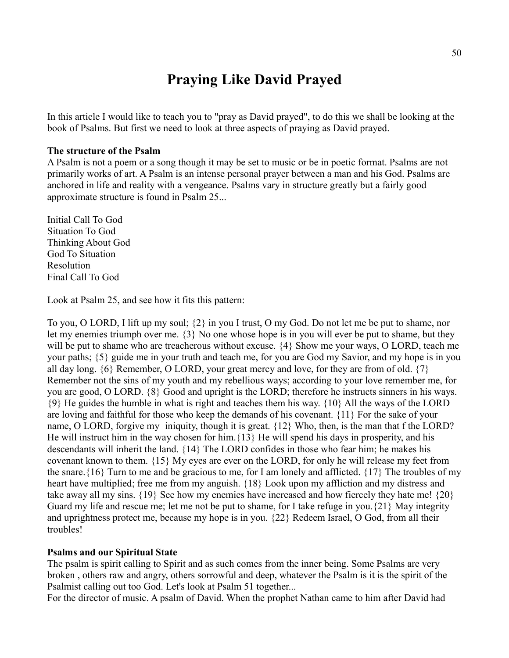## **Praying Like David Prayed**

In this article I would like to teach you to "pray as David prayed", to do this we shall be looking at the book of Psalms. But first we need to look at three aspects of praying as David prayed.

#### **The structure of the Psalm**

A Psalm is not a poem or a song though it may be set to music or be in poetic format. Psalms are not primarily works of art. A Psalm is an intense personal prayer between a man and his God. Psalms are anchored in life and reality with a vengeance. Psalms vary in structure greatly but a fairly good approximate structure is found in Psalm 25...

Initial Call To God Situation To God Thinking About God God To Situation Resolution Final Call To God

Look at Psalm 25, and see how it fits this pattern:

To you, O LORD, I lift up my soul; {2} in you I trust, O my God. Do not let me be put to shame, nor let my enemies triumph over me. {3} No one whose hope is in you will ever be put to shame, but they will be put to shame who are treacherous without excuse.  $\{4\}$  Show me your ways, O LORD, teach me your paths; {5} guide me in your truth and teach me, for you are God my Savior, and my hope is in you all day long.  $\{6\}$  Remember, O LORD, your great mercy and love, for they are from of old.  $\{7\}$ Remember not the sins of my youth and my rebellious ways; according to your love remember me, for you are good, O LORD. {8} Good and upright is the LORD; therefore he instructs sinners in his ways. {9} He guides the humble in what is right and teaches them his way. {10} All the ways of the LORD are loving and faithful for those who keep the demands of his covenant. {11} For the sake of your name, O LORD, forgive my iniquity, though it is great. {12} Who, then, is the man that f the LORD? He will instruct him in the way chosen for him.{13} He will spend his days in prosperity, and his descendants will inherit the land. {14} The LORD confides in those who fear him; he makes his covenant known to them. {15} My eyes are ever on the LORD, for only he will release my feet from the snare.{16} Turn to me and be gracious to me, for I am lonely and afflicted. {17} The troubles of my heart have multiplied; free me from my anguish. {18} Look upon my affliction and my distress and take away all my sins. {19} See how my enemies have increased and how fiercely they hate me! {20} Guard my life and rescue me; let me not be put to shame, for I take refuge in you.{21} May integrity and uprightness protect me, because my hope is in you. {22} Redeem Israel, O God, from all their troubles!

#### **Psalms and our Spiritual State**

The psalm is spirit calling to Spirit and as such comes from the inner being. Some Psalms are very broken , others raw and angry, others sorrowful and deep, whatever the Psalm is it is the spirit of the Psalmist calling out too God. Let's look at Psalm 51 together...

For the director of music. A psalm of David. When the prophet Nathan came to him after David had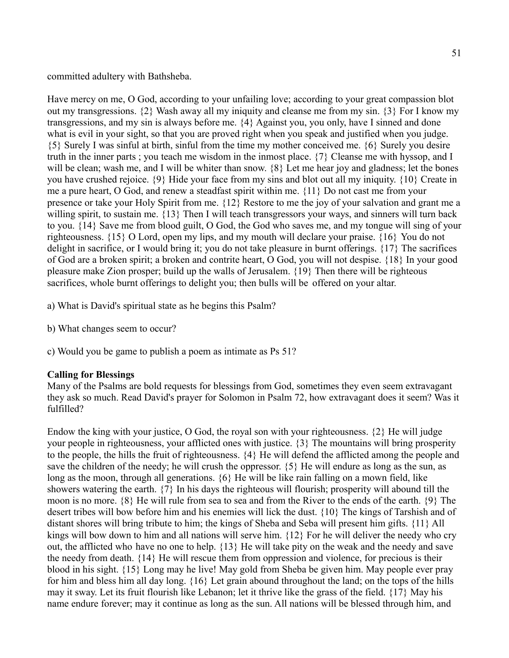committed adultery with Bathsheba.

Have mercy on me, O God, according to your unfailing love; according to your great compassion blot out my transgressions. {2} Wash away all my iniquity and cleanse me from my sin. {3} For I know my transgressions, and my sin is always before me. {4} Against you, you only, have I sinned and done what is evil in your sight, so that you are proved right when you speak and justified when you judge. {5} Surely I was sinful at birth, sinful from the time my mother conceived me. {6} Surely you desire truth in the inner parts ; you teach me wisdom in the inmost place. {7} Cleanse me with hyssop, and I will be clean; wash me, and I will be whiter than snow. {8} Let me hear joy and gladness; let the bones you have crushed rejoice. {9} Hide your face from my sins and blot out all my iniquity. {10} Create in me a pure heart, O God, and renew a steadfast spirit within me. {11} Do not cast me from your presence or take your Holy Spirit from me. {12} Restore to me the joy of your salvation and grant me a willing spirit, to sustain me.  $\{13\}$  Then I will teach transgressors your ways, and sinners will turn back to you. {14} Save me from blood guilt, O God, the God who saves me, and my tongue will sing of your righteousness. {15} O Lord, open my lips, and my mouth will declare your praise. {16} You do not delight in sacrifice, or I would bring it; you do not take pleasure in burnt offerings. {17} The sacrifices of God are a broken spirit; a broken and contrite heart, O God, you will not despise. {18} In your good pleasure make Zion prosper; build up the walls of Jerusalem. {19} Then there will be righteous sacrifices, whole burnt offerings to delight you; then bulls will be offered on your altar.

a) What is David's spiritual state as he begins this Psalm?

- b) What changes seem to occur?
- c) Would you be game to publish a poem as intimate as Ps 51?

#### **Calling for Blessings**

Many of the Psalms are bold requests for blessings from God, sometimes they even seem extravagant they ask so much. Read David's prayer for Solomon in Psalm 72, how extravagant does it seem? Was it fulfilled?

Endow the king with your justice, O God, the royal son with your righteousness. {2} He will judge your people in righteousness, your afflicted ones with justice. {3} The mountains will bring prosperity to the people, the hills the fruit of righteousness. {4} He will defend the afflicted among the people and save the children of the needy; he will crush the oppressor. {5} He will endure as long as the sun, as long as the moon, through all generations. {6} He will be like rain falling on a mown field, like showers watering the earth. {7} In his days the righteous will flourish; prosperity will abound till the moon is no more. {8} He will rule from sea to sea and from the River to the ends of the earth. {9} The desert tribes will bow before him and his enemies will lick the dust. {10} The kings of Tarshish and of distant shores will bring tribute to him; the kings of Sheba and Seba will present him gifts. {11} All kings will bow down to him and all nations will serve him. {12} For he will deliver the needy who cry out, the afflicted who have no one to help. {13} He will take pity on the weak and the needy and save the needy from death. {14} He will rescue them from oppression and violence, for precious is their blood in his sight. {15} Long may he live! May gold from Sheba be given him. May people ever pray for him and bless him all day long. {16} Let grain abound throughout the land; on the tops of the hills may it sway. Let its fruit flourish like Lebanon; let it thrive like the grass of the field. {17} May his name endure forever; may it continue as long as the sun. All nations will be blessed through him, and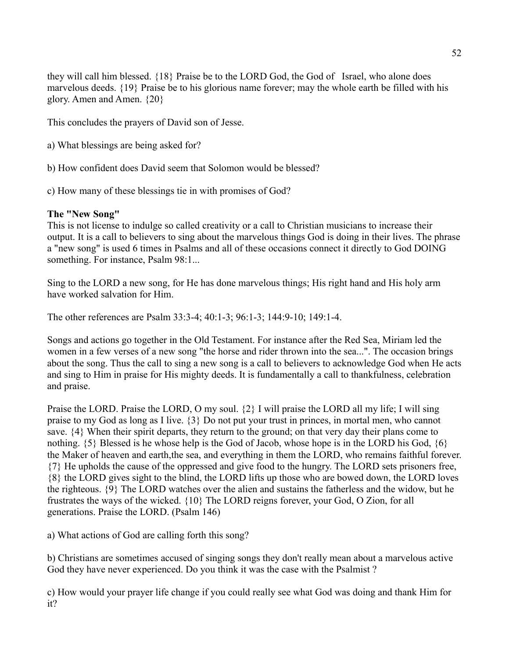they will call him blessed. {18} Praise be to the LORD God, the God of Israel, who alone does marvelous deeds. {19} Praise be to his glorious name forever; may the whole earth be filled with his glory. Amen and Amen. {20}

This concludes the prayers of David son of Jesse.

a) What blessings are being asked for?

b) How confident does David seem that Solomon would be blessed?

c) How many of these blessings tie in with promises of God?

#### **The "New Song"**

This is not license to indulge so called creativity or a call to Christian musicians to increase their output. It is a call to believers to sing about the marvelous things God is doing in their lives. The phrase a "new song" is used 6 times in Psalms and all of these occasions connect it directly to God DOING something. For instance, Psalm 98:1...

Sing to the LORD a new song, for He has done marvelous things; His right hand and His holy arm have worked salvation for Him.

The other references are Psalm 33:3-4; 40:1-3; 96:1-3; 144:9-10; 149:1-4.

Songs and actions go together in the Old Testament. For instance after the Red Sea, Miriam led the women in a few verses of a new song "the horse and rider thrown into the sea...". The occasion brings about the song. Thus the call to sing a new song is a call to believers to acknowledge God when He acts and sing to Him in praise for His mighty deeds. It is fundamentally a call to thankfulness, celebration and praise.

Praise the LORD. Praise the LORD, O my soul. {2} I will praise the LORD all my life; I will sing praise to my God as long as I live. {3} Do not put your trust in princes, in mortal men, who cannot save.  $\{4\}$  When their spirit departs, they return to the ground; on that very day their plans come to nothing.  $\{5\}$  Blessed is he whose help is the God of Jacob, whose hope is in the LORD his God,  $\{6\}$ the Maker of heaven and earth,the sea, and everything in them the LORD, who remains faithful forever. {7} He upholds the cause of the oppressed and give food to the hungry. The LORD sets prisoners free, {8} the LORD gives sight to the blind, the LORD lifts up those who are bowed down, the LORD loves the righteous. {9} The LORD watches over the alien and sustains the fatherless and the widow, but he frustrates the ways of the wicked. {10} The LORD reigns forever, your God, O Zion, for all generations. Praise the LORD. (Psalm 146)

a) What actions of God are calling forth this song?

b) Christians are sometimes accused of singing songs they don't really mean about a marvelous active God they have never experienced. Do you think it was the case with the Psalmist ?

c) How would your prayer life change if you could really see what God was doing and thank Him for it?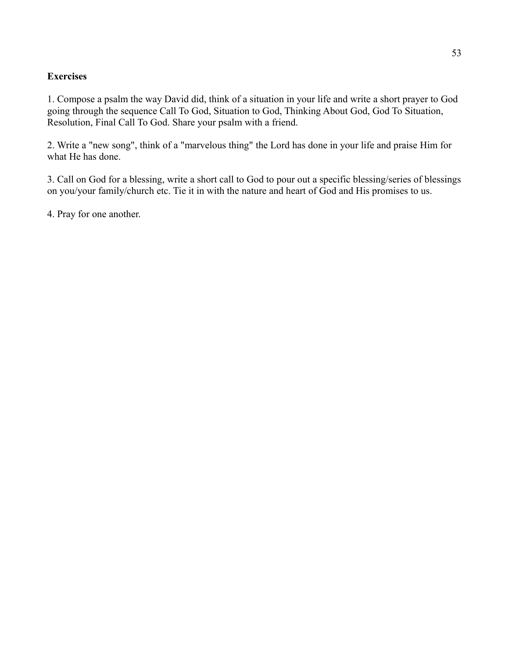#### **Exercises**

1. Compose a psalm the way David did, think of a situation in your life and write a short prayer to God going through the sequence Call To God, Situation to God, Thinking About God, God To Situation, Resolution, Final Call To God. Share your psalm with a friend.

2. Write a "new song", think of a "marvelous thing" the Lord has done in your life and praise Him for what He has done.

3. Call on God for a blessing, write a short call to God to pour out a specific blessing/series of blessings on you/your family/church etc. Tie it in with the nature and heart of God and His promises to us.

4. Pray for one another.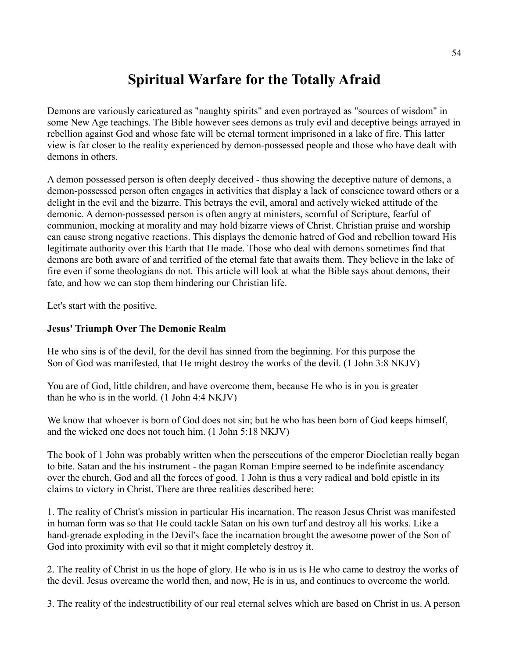## **Spiritual Warfare for the Totally Afraid**

Demons are variously caricatured as "naughty spirits" and even portrayed as "sources of wisdom" in some New Age teachings. The Bible however sees demons as truly evil and deceptive beings arrayed in rebellion against God and whose fate will be eternal torment imprisoned in a lake of fire. This latter view is far closer to the reality experienced by demon-possessed people and those who have dealt with demons in others.

A demon possessed person is often deeply deceived - thus showing the deceptive nature of demons, a demon-possessed person often engages in activities that display a lack of conscience toward others or a delight in the evil and the bizarre. This betrays the evil, amoral and actively wicked attitude of the demonic. A demon-possessed person is often angry at ministers, scornful of Scripture, fearful of communion, mocking at morality and may hold bizarre views of Christ. Christian praise and worship can cause strong negative reactions. This displays the demonic hatred of God and rebellion toward His legitimate authority over this Earth that He made. Those who deal with demons sometimes find that demons are both aware of and terrified of the eternal fate that awaits them. They believe in the lake of fire even if some theologians do not. This article will look at what the Bible says about demons, their fate, and how we can stop them hindering our Christian life.

Let's start with the positive.

#### **Jesus' Triumph Over The Demonic Realm**

He who sins is of the devil, for the devil has sinned from the beginning. For this purpose the Son of God was manifested, that He might destroy the works of the devil. (1 John 3:8 NKJV)

You are of God, little children, and have overcome them, because He who is in you is greater than he who is in the world. (1 John 4:4 NKJV)

We know that whoever is born of God does not sin; but he who has been born of God keeps himself, and the wicked one does not touch him. (1 John 5:18 NKJV)

The book of 1 John was probably written when the persecutions of the emperor Diocletian really began to bite. Satan and the his instrument - the pagan Roman Empire seemed to be indefinite ascendancy over the church, God and all the forces of good. 1 John is thus a very radical and bold epistle in its claims to victory in Christ. There are three realities described here:

1. The reality of Christ's mission in particular His incarnation. The reason Jesus Christ was manifested in human form was so that He could tackle Satan on his own turf and destroy all his works. Like a hand-grenade exploding in the Devil's face the incarnation brought the awesome power of the Son of God into proximity with evil so that it might completely destroy it.

2. The reality of Christ in us the hope of glory. He who is in us is He who came to destroy the works of the devil. Jesus overcame the world then, and now, He is in us, and continues to overcome the world.

3. The reality of the indestructibility of our real eternal selves which are based on Christ in us. A person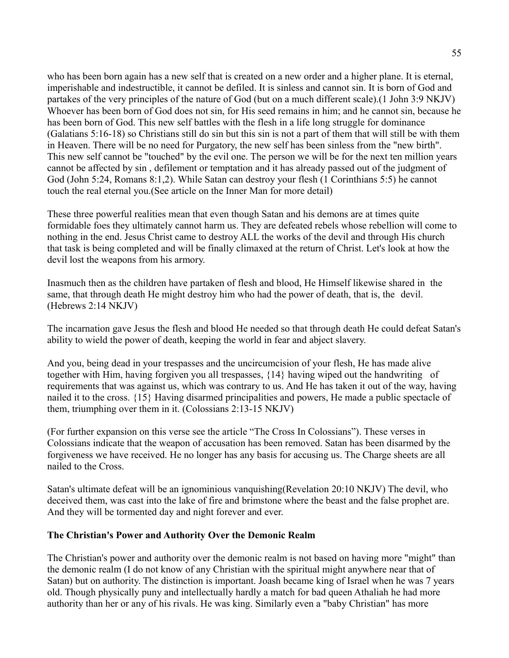who has been born again has a new self that is created on a new order and a higher plane. It is eternal, imperishable and indestructible, it cannot be defiled. It is sinless and cannot sin. It is born of God and partakes of the very principles of the nature of God (but on a much different scale).(1 John 3:9 NKJV) Whoever has been born of God does not sin, for His seed remains in him; and he cannot sin, because he has been born of God. This new self battles with the flesh in a life long struggle for dominance (Galatians 5:16-18) so Christians still do sin but this sin is not a part of them that will still be with them in Heaven. There will be no need for Purgatory, the new self has been sinless from the "new birth". This new self cannot be "touched" by the evil one. The person we will be for the next ten million years cannot be affected by sin , defilement or temptation and it has already passed out of the judgment of God (John 5:24, Romans 8:1,2). While Satan can destroy your flesh (1 Corinthians 5:5) he cannot touch the real eternal you.(See article on the Inner Man for more detail)

These three powerful realities mean that even though Satan and his demons are at times quite formidable foes they ultimately cannot harm us. They are defeated rebels whose rebellion will come to nothing in the end. Jesus Christ came to destroy ALL the works of the devil and through His church that task is being completed and will be finally climaxed at the return of Christ. Let's look at how the devil lost the weapons from his armory.

Inasmuch then as the children have partaken of flesh and blood, He Himself likewise shared in the same, that through death He might destroy him who had the power of death, that is, the devil. (Hebrews 2:14 NKJV)

The incarnation gave Jesus the flesh and blood He needed so that through death He could defeat Satan's ability to wield the power of death, keeping the world in fear and abject slavery.

And you, being dead in your trespasses and the uncircumcision of your flesh, He has made alive together with Him, having forgiven you all trespasses, {14} having wiped out the handwriting of requirements that was against us, which was contrary to us. And He has taken it out of the way, having nailed it to the cross. {15} Having disarmed principalities and powers, He made a public spectacle of them, triumphing over them in it. (Colossians 2:13-15 NKJV)

(For further expansion on this verse see the article "The Cross In Colossians"). These verses in Colossians indicate that the weapon of accusation has been removed. Satan has been disarmed by the forgiveness we have received. He no longer has any basis for accusing us. The Charge sheets are all nailed to the Cross.

Satan's ultimate defeat will be an ignominious vanquishing(Revelation 20:10 NKJV) The devil, who deceived them, was cast into the lake of fire and brimstone where the beast and the false prophet are. And they will be tormented day and night forever and ever.

#### **The Christian's Power and Authority Over the Demonic Realm**

The Christian's power and authority over the demonic realm is not based on having more "might" than the demonic realm (I do not know of any Christian with the spiritual might anywhere near that of Satan) but on authority. The distinction is important. Joash became king of Israel when he was 7 years old. Though physically puny and intellectually hardly a match for bad queen Athaliah he had more authority than her or any of his rivals. He was king. Similarly even a "baby Christian" has more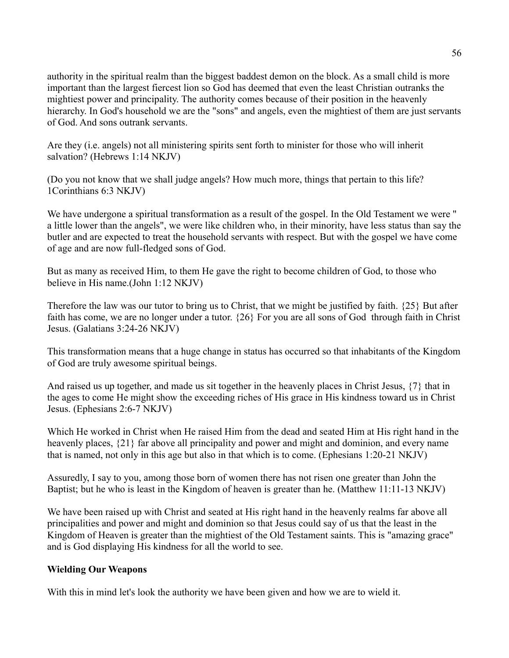authority in the spiritual realm than the biggest baddest demon on the block. As a small child is more important than the largest fiercest lion so God has deemed that even the least Christian outranks the mightiest power and principality. The authority comes because of their position in the heavenly hierarchy. In God's household we are the "sons" and angels, even the mightiest of them are just servants of God. And sons outrank servants.

Are they (i.e. angels) not all ministering spirits sent forth to minister for those who will inherit salvation? (Hebrews 1:14 NKJV)

(Do you not know that we shall judge angels? How much more, things that pertain to this life? 1Corinthians 6:3 NKJV)

We have undergone a spiritual transformation as a result of the gospel. In the Old Testament we were " a little lower than the angels", we were like children who, in their minority, have less status than say the butler and are expected to treat the household servants with respect. But with the gospel we have come of age and are now full-fledged sons of God.

But as many as received Him, to them He gave the right to become children of God, to those who believe in His name.(John 1:12 NKJV)

Therefore the law was our tutor to bring us to Christ, that we might be justified by faith. {25} But after faith has come, we are no longer under a tutor. {26} For you are all sons of God through faith in Christ Jesus. (Galatians 3:24-26 NKJV)

This transformation means that a huge change in status has occurred so that inhabitants of the Kingdom of God are truly awesome spiritual beings.

And raised us up together, and made us sit together in the heavenly places in Christ Jesus, {7} that in the ages to come He might show the exceeding riches of His grace in His kindness toward us in Christ Jesus. (Ephesians 2:6-7 NKJV)

Which He worked in Christ when He raised Him from the dead and seated Him at His right hand in the heavenly places,  $\{21\}$  far above all principality and power and might and dominion, and every name that is named, not only in this age but also in that which is to come. (Ephesians 1:20-21 NKJV)

Assuredly, I say to you, among those born of women there has not risen one greater than John the Baptist; but he who is least in the Kingdom of heaven is greater than he. (Matthew 11:11-13 NKJV)

We have been raised up with Christ and seated at His right hand in the heavenly realms far above all principalities and power and might and dominion so that Jesus could say of us that the least in the Kingdom of Heaven is greater than the mightiest of the Old Testament saints. This is "amazing grace" and is God displaying His kindness for all the world to see.

#### **Wielding Our Weapons**

With this in mind let's look the authority we have been given and how we are to wield it.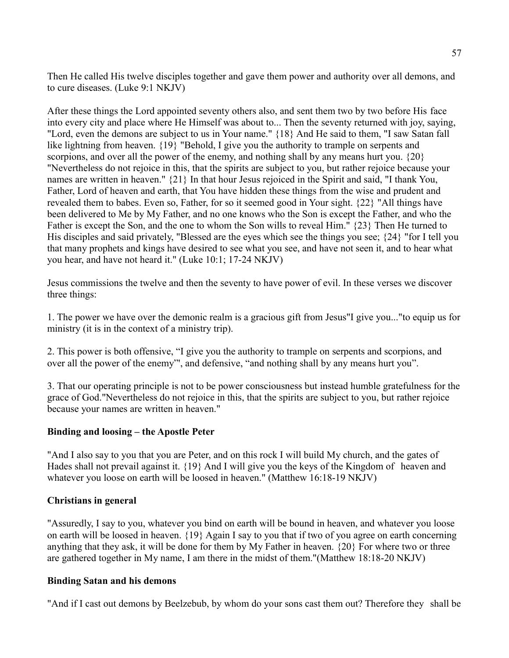Then He called His twelve disciples together and gave them power and authority over all demons, and to cure diseases. (Luke 9:1 NKJV)

After these things the Lord appointed seventy others also, and sent them two by two before His face into every city and place where He Himself was about to... Then the seventy returned with joy, saying, "Lord, even the demons are subject to us in Your name." {18} And He said to them, "I saw Satan fall like lightning from heaven. {19} "Behold, I give you the authority to trample on serpents and scorpions, and over all the power of the enemy, and nothing shall by any means hurt you.  $\{20\}$ "Nevertheless do not rejoice in this, that the spirits are subject to you, but rather rejoice because your names are written in heaven." {21} In that hour Jesus rejoiced in the Spirit and said, "I thank You, Father, Lord of heaven and earth, that You have hidden these things from the wise and prudent and revealed them to babes. Even so, Father, for so it seemed good in Your sight. {22} "All things have been delivered to Me by My Father, and no one knows who the Son is except the Father, and who the Father is except the Son, and the one to whom the Son wills to reveal Him." {23} Then He turned to His disciples and said privately, "Blessed are the eyes which see the things you see;  $\{24\}$  "for I tell you that many prophets and kings have desired to see what you see, and have not seen it, and to hear what you hear, and have not heard it." (Luke 10:1; 17-24 NKJV)

Jesus commissions the twelve and then the seventy to have power of evil. In these verses we discover three things:

1. The power we have over the demonic realm is a gracious gift from Jesus"I give you..."to equip us for ministry (it is in the context of a ministry trip).

2. This power is both offensive, "I give you the authority to trample on serpents and scorpions, and over all the power of the enemy"', and defensive, "and nothing shall by any means hurt you".

3. That our operating principle is not to be power consciousness but instead humble gratefulness for the grace of God."Nevertheless do not rejoice in this, that the spirits are subject to you, but rather rejoice because your names are written in heaven."

#### **Binding and loosing – the Apostle Peter**

"And I also say to you that you are Peter, and on this rock I will build My church, and the gates of Hades shall not prevail against it. {19} And I will give you the keys of the Kingdom of heaven and whatever you loose on earth will be loosed in heaven." (Matthew 16:18-19 NKJV)

#### **Christians in general**

"Assuredly, I say to you, whatever you bind on earth will be bound in heaven, and whatever you loose on earth will be loosed in heaven. {19} Again I say to you that if two of you agree on earth concerning anything that they ask, it will be done for them by My Father in heaven. {20} For where two or three are gathered together in My name, I am there in the midst of them."(Matthew 18:18-20 NKJV)

#### **Binding Satan and his demons**

"And if I cast out demons by Beelzebub, by whom do your sons cast them out? Therefore they shall be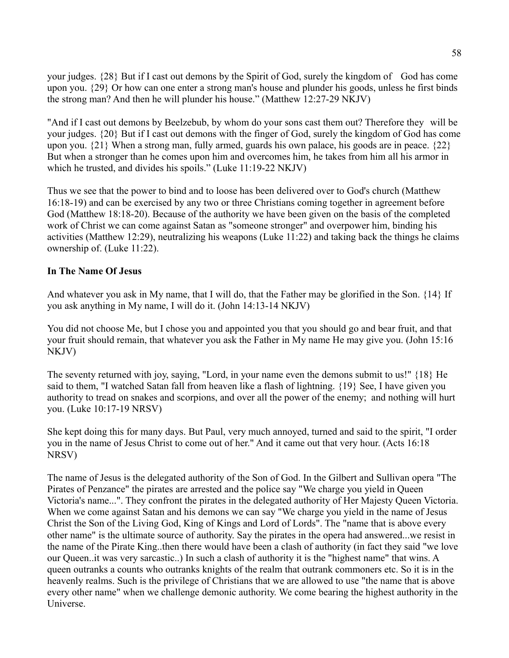your judges. {28} But if I cast out demons by the Spirit of God, surely the kingdom of God has come upon you. {29} Or how can one enter a strong man's house and plunder his goods, unless he first binds the strong man? And then he will plunder his house." (Matthew 12:27-29 NKJV)

"And if I cast out demons by Beelzebub, by whom do your sons cast them out? Therefore they will be your judges. {20} But if I cast out demons with the finger of God, surely the kingdom of God has come upon you. {21} When a strong man, fully armed, guards his own palace, his goods are in peace. {22} But when a stronger than he comes upon him and overcomes him, he takes from him all his armor in which he trusted, and divides his spoils." (Luke 11:19-22 NKJV)

Thus we see that the power to bind and to loose has been delivered over to God's church (Matthew 16:18-19) and can be exercised by any two or three Christians coming together in agreement before God (Matthew 18:18-20). Because of the authority we have been given on the basis of the completed work of Christ we can come against Satan as "someone stronger" and overpower him, binding his activities (Matthew 12:29), neutralizing his weapons (Luke 11:22) and taking back the things he claims ownership of. (Luke 11:22).

#### **In The Name Of Jesus**

And whatever you ask in My name, that I will do, that the Father may be glorified in the Son. {14} If you ask anything in My name, I will do it. (John 14:13-14 NKJV)

You did not choose Me, but I chose you and appointed you that you should go and bear fruit, and that your fruit should remain, that whatever you ask the Father in My name He may give you. (John 15:16 NKJV)

The seventy returned with joy, saying, "Lord, in your name even the demons submit to us!" {18} He said to them, "I watched Satan fall from heaven like a flash of lightning. {19} See, I have given you authority to tread on snakes and scorpions, and over all the power of the enemy; and nothing will hurt you. (Luke 10:17-19 NRSV)

She kept doing this for many days. But Paul, very much annoyed, turned and said to the spirit, "I order you in the name of Jesus Christ to come out of her." And it came out that very hour. (Acts 16:18 NRSV)

The name of Jesus is the delegated authority of the Son of God. In the Gilbert and Sullivan opera "The Pirates of Penzance" the pirates are arrested and the police say "We charge you yield in Queen Victoria's name...". They confront the pirates in the delegated authority of Her Majesty Queen Victoria. When we come against Satan and his demons we can say "We charge you yield in the name of Jesus Christ the Son of the Living God, King of Kings and Lord of Lords". The "name that is above every other name" is the ultimate source of authority. Say the pirates in the opera had answered...we resist in the name of the Pirate King..then there would have been a clash of authority (in fact they said "we love our Queen..it was very sarcastic..) In such a clash of authority it is the "highest name" that wins. A queen outranks a counts who outranks knights of the realm that outrank commoners etc. So it is in the heavenly realms. Such is the privilege of Christians that we are allowed to use "the name that is above every other name" when we challenge demonic authority. We come bearing the highest authority in the Universe.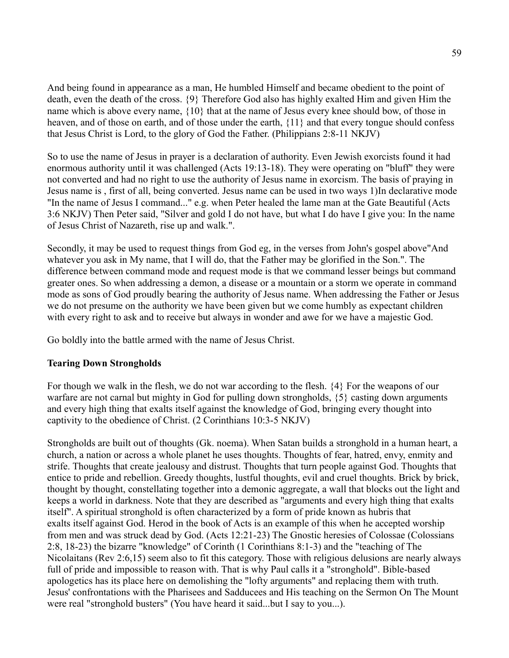And being found in appearance as a man, He humbled Himself and became obedient to the point of death, even the death of the cross. {9} Therefore God also has highly exalted Him and given Him the name which is above every name, {10} that at the name of Jesus every knee should bow, of those in heaven, and of those on earth, and of those under the earth, {11} and that every tongue should confess that Jesus Christ is Lord, to the glory of God the Father. (Philippians 2:8-11 NKJV)

So to use the name of Jesus in prayer is a declaration of authority. Even Jewish exorcists found it had enormous authority until it was challenged (Acts 19:13-18). They were operating on "bluff" they were not converted and had no right to use the authority of Jesus name in exorcism. The basis of praying in Jesus name is , first of all, being converted. Jesus name can be used in two ways 1)In declarative mode "In the name of Jesus I command..." e.g. when Peter healed the lame man at the Gate Beautiful (Acts 3:6 NKJV) Then Peter said, "Silver and gold I do not have, but what I do have I give you: In the name of Jesus Christ of Nazareth, rise up and walk.".

Secondly, it may be used to request things from God eg, in the verses from John's gospel above"And whatever you ask in My name, that I will do, that the Father may be glorified in the Son.". The difference between command mode and request mode is that we command lesser beings but command greater ones. So when addressing a demon, a disease or a mountain or a storm we operate in command mode as sons of God proudly bearing the authority of Jesus name. When addressing the Father or Jesus we do not presume on the authority we have been given but we come humbly as expectant children with every right to ask and to receive but always in wonder and awe for we have a majestic God.

Go boldly into the battle armed with the name of Jesus Christ.

#### **Tearing Down Strongholds**

For though we walk in the flesh, we do not war according to the flesh. {4} For the weapons of our warfare are not carnal but mighty in God for pulling down strongholds, {5} casting down arguments and every high thing that exalts itself against the knowledge of God, bringing every thought into captivity to the obedience of Christ. (2 Corinthians 10:3-5 NKJV)

Strongholds are built out of thoughts (Gk. noema). When Satan builds a stronghold in a human heart, a church, a nation or across a whole planet he uses thoughts. Thoughts of fear, hatred, envy, enmity and strife. Thoughts that create jealousy and distrust. Thoughts that turn people against God. Thoughts that entice to pride and rebellion. Greedy thoughts, lustful thoughts, evil and cruel thoughts. Brick by brick, thought by thought, constellating together into a demonic aggregate, a wall that blocks out the light and keeps a world in darkness. Note that they are described as "arguments and every high thing that exalts itself". A spiritual stronghold is often characterized by a form of pride known as hubris that exalts itself against God. Herod in the book of Acts is an example of this when he accepted worship from men and was struck dead by God. (Acts 12:21-23) The Gnostic heresies of Colossae (Colossians 2:8, 18-23) the bizarre "knowledge" of Corinth (1 Corinthians 8:1-3) and the "teaching of The Nicolaitans (Rev 2:6,15) seem also to fit this category. Those with religious delusions are nearly always full of pride and impossible to reason with. That is why Paul calls it a "stronghold". Bible-based apologetics has its place here on demolishing the "lofty arguments" and replacing them with truth. Jesus' confrontations with the Pharisees and Sadducees and His teaching on the Sermon On The Mount were real "stronghold busters" (You have heard it said...but I say to you...).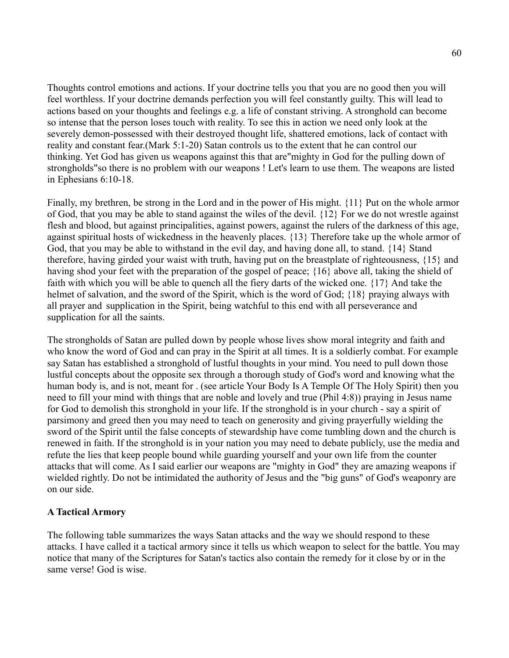Thoughts control emotions and actions. If your doctrine tells you that you are no good then you will feel worthless. If your doctrine demands perfection you will feel constantly guilty. This will lead to actions based on your thoughts and feelings e.g. a life of constant striving. A stronghold can become so intense that the person loses touch with reality. To see this in action we need only look at the severely demon-possessed with their destroyed thought life, shattered emotions, lack of contact with reality and constant fear.(Mark 5:1-20) Satan controls us to the extent that he can control our thinking. Yet God has given us weapons against this that are"mighty in God for the pulling down of strongholds"so there is no problem with our weapons ! Let's learn to use them. The weapons are listed in Ephesians 6:10-18.

Finally, my brethren, be strong in the Lord and in the power of His might. {11} Put on the whole armor of God, that you may be able to stand against the wiles of the devil. {12} For we do not wrestle against flesh and blood, but against principalities, against powers, against the rulers of the darkness of this age, against spiritual hosts of wickedness in the heavenly places. {13} Therefore take up the whole armor of God, that you may be able to withstand in the evil day, and having done all, to stand. {14} Stand therefore, having girded your waist with truth, having put on the breastplate of righteousness, {15} and having shod your feet with the preparation of the gospel of peace; {16} above all, taking the shield of faith with which you will be able to quench all the fiery darts of the wicked one. {17} And take the helmet of salvation, and the sword of the Spirit, which is the word of God;  $\{18\}$  praying always with all prayer and supplication in the Spirit, being watchful to this end with all perseverance and supplication for all the saints.

The strongholds of Satan are pulled down by people whose lives show moral integrity and faith and who know the word of God and can pray in the Spirit at all times. It is a soldierly combat. For example say Satan has established a stronghold of lustful thoughts in your mind. You need to pull down those lustful concepts about the opposite sex through a thorough study of God's word and knowing what the human body is, and is not, meant for . (see article Your Body Is A Temple Of The Holy Spirit) then you need to fill your mind with things that are noble and lovely and true (Phil 4:8)) praying in Jesus name for God to demolish this stronghold in your life. If the stronghold is in your church - say a spirit of parsimony and greed then you may need to teach on generosity and giving prayerfully wielding the sword of the Spirit until the false concepts of stewardship have come tumbling down and the church is renewed in faith. If the stronghold is in your nation you may need to debate publicly, use the media and refute the lies that keep people bound while guarding yourself and your own life from the counter attacks that will come. As I said earlier our weapons are "mighty in God" they are amazing weapons if wielded rightly. Do not be intimidated the authority of Jesus and the "big guns" of God's weaponry are on our side.

#### **A Tactical Armory**

The following table summarizes the ways Satan attacks and the way we should respond to these attacks. I have called it a tactical armory since it tells us which weapon to select for the battle. You may notice that many of the Scriptures for Satan's tactics also contain the remedy for it close by or in the same verse! God is wise.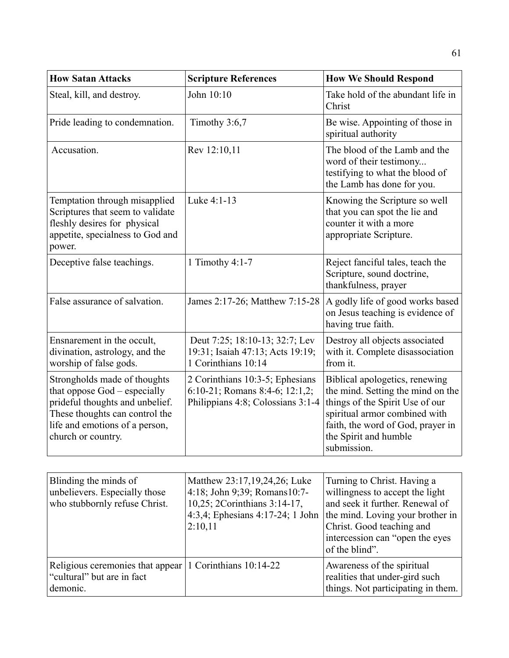| <b>How Satan Attacks</b>                                                                                                                                                                  | <b>Scripture References</b>                                                                            | <b>How We Should Respond</b>                                                                                                                                                                                         |
|-------------------------------------------------------------------------------------------------------------------------------------------------------------------------------------------|--------------------------------------------------------------------------------------------------------|----------------------------------------------------------------------------------------------------------------------------------------------------------------------------------------------------------------------|
| Steal, kill, and destroy.                                                                                                                                                                 | John 10:10                                                                                             | Take hold of the abundant life in<br>Christ                                                                                                                                                                          |
| Pride leading to condemnation.                                                                                                                                                            | Timothy 3:6,7                                                                                          | Be wise. Appointing of those in<br>spiritual authority                                                                                                                                                               |
| Accusation.                                                                                                                                                                               | Rev 12:10,11                                                                                           | The blood of the Lamb and the<br>word of their testimony<br>testifying to what the blood of<br>the Lamb has done for you.                                                                                            |
| Temptation through misapplied<br>Scriptures that seem to validate<br>fleshly desires for physical<br>appetite, specialness to God and<br>power.                                           | Luke 4:1-13                                                                                            | Knowing the Scripture so well<br>that you can spot the lie and<br>counter it with a more<br>appropriate Scripture.                                                                                                   |
| Deceptive false teachings.                                                                                                                                                                | 1 Timothy 4:1-7                                                                                        | Reject fanciful tales, teach the<br>Scripture, sound doctrine,<br>thankfulness, prayer                                                                                                                               |
| False assurance of salvation.                                                                                                                                                             | James 2:17-26; Matthew 7:15-28                                                                         | A godly life of good works based<br>on Jesus teaching is evidence of<br>having true faith.                                                                                                                           |
| Ensnarement in the occult,<br>divination, astrology, and the<br>worship of false gods.                                                                                                    | Deut 7:25; 18:10-13; 32:7; Lev<br>19:31; Isaiah 47:13; Acts 19:19;<br>1 Corinthians 10:14              | Destroy all objects associated<br>with it. Complete disassociation<br>from it.                                                                                                                                       |
| Strongholds made of thoughts<br>that oppose God – especially<br>prideful thoughts and unbelief.<br>These thoughts can control the<br>life and emotions of a person,<br>church or country. | 2 Corinthians 10:3-5; Ephesians<br>6:10-21; Romans 8:4-6; 12:1,2;<br>Philippians 4:8; Colossians 3:1-4 | Biblical apologetics, renewing<br>the mind. Setting the mind on the<br>things of the Spirit Use of our<br>spiritual armor combined with<br>faith, the word of God, prayer in<br>the Spirit and humble<br>submission. |

| Blinding the minds of<br>unbelievers. Especially those<br>who stubbornly refuse Christ.                   | Matthew 23:17,19,24,26; Luke<br>4:18; John 9:39; Romans10:7-<br>10,25; 2Corinthians 3:14-17,<br>4:3,4; Ephesians 4:17-24; 1 John  <br>2:10,11 | Turning to Christ. Having a<br>willingness to accept the light<br>and seek it further. Renewal of<br>the mind. Loving your brother in<br>Christ. Good teaching and<br>intercession can "open the eyes"<br>of the blind". |
|-----------------------------------------------------------------------------------------------------------|-----------------------------------------------------------------------------------------------------------------------------------------------|--------------------------------------------------------------------------------------------------------------------------------------------------------------------------------------------------------------------------|
| Religious ceremonies that appear $\vert$ 1 Corinthians 10:14-22<br>"cultural" but are in fact<br>demonic. |                                                                                                                                               | Awareness of the spiritual<br>realities that under-gird such<br>things. Not participating in them.                                                                                                                       |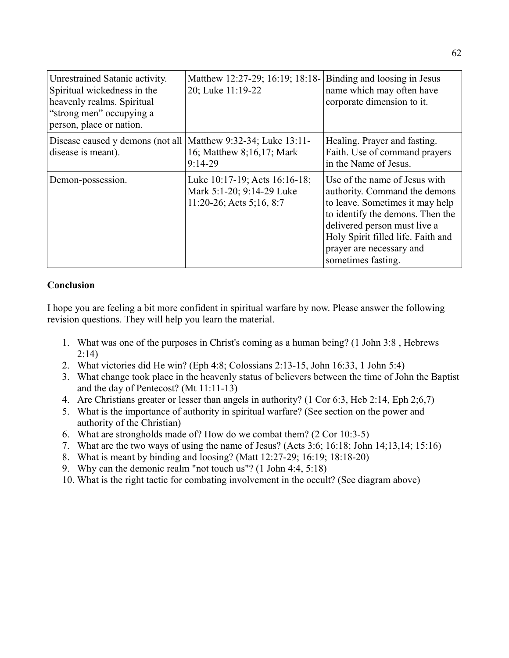| Unrestrained Satanic activity.<br>Spiritual wickedness in the<br>heavenly realms. Spiritual<br>"strong men" occupying a<br>person, place or nation. | Matthew 12:27-29; 16:19; 18:18-<br>20; Luke 11:19-22                                      | Binding and loosing in Jesus<br>name which may often have<br>corporate dimension to it.                                                                                                                                                                       |
|-----------------------------------------------------------------------------------------------------------------------------------------------------|-------------------------------------------------------------------------------------------|---------------------------------------------------------------------------------------------------------------------------------------------------------------------------------------------------------------------------------------------------------------|
| Disease caused y demons (not all<br>disease is meant).                                                                                              | Matthew 9:32-34; Luke 13:11-<br>16; Matthew 8;16,17; Mark<br>$9:14-29$                    | Healing. Prayer and fasting.<br>Faith. Use of command prayers<br>in the Name of Jesus.                                                                                                                                                                        |
| Demon-possession.                                                                                                                                   | Luke 10:17-19; Acts 16:16-18;<br>Mark 5:1-20; 9:14-29 Luke<br>$11:20-26$ ; Acts 5;16, 8:7 | Use of the name of Jesus with<br>authority. Command the demons<br>to leave. Sometimes it may help<br>to identify the demons. Then the<br>delivered person must live a<br>Holy Spirit filled life. Faith and<br>prayer are necessary and<br>sometimes fasting. |

#### **Conclusion**

I hope you are feeling a bit more confident in spiritual warfare by now. Please answer the following revision questions. They will help you learn the material.

- 1. What was one of the purposes in Christ's coming as a human being? (1 John 3:8 , Hebrews 2:14)
- 2. What victories did He win? (Eph 4:8; Colossians 2:13-15, John 16:33, 1 John 5:4)
- 3. What change took place in the heavenly status of believers between the time of John the Baptist and the day of Pentecost? (Mt 11:11-13)
- 4. Are Christians greater or lesser than angels in authority? (1 Cor 6:3, Heb 2:14, Eph 2;6,7)
- 5. What is the importance of authority in spiritual warfare? (See section on the power and authority of the Christian)
- 6. What are strongholds made of? How do we combat them? (2 Cor 10:3-5)
- 7. What are the two ways of using the name of Jesus? (Acts 3:6; 16:18; John 14;13,14; 15:16)
- 8. What is meant by binding and loosing? (Matt 12:27-29; 16:19; 18:18-20)
- 9. Why can the demonic realm "not touch us"? (1 John 4:4, 5:18)
- 10. What is the right tactic for combating involvement in the occult? (See diagram above)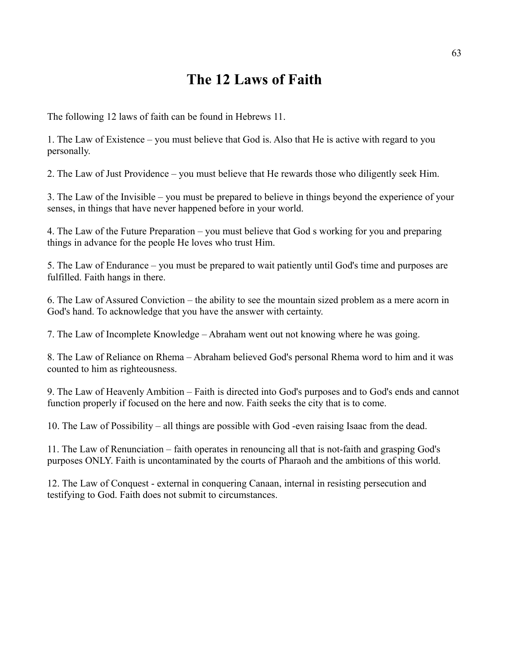# **The 12 Laws of Faith**

The following 12 laws of faith can be found in Hebrews 11.

1. The Law of Existence – you must believe that God is. Also that He is active with regard to you personally.

2. The Law of Just Providence – you must believe that He rewards those who diligently seek Him.

3. The Law of the Invisible – you must be prepared to believe in things beyond the experience of your senses, in things that have never happened before in your world.

4. The Law of the Future Preparation – you must believe that God s working for you and preparing things in advance for the people He loves who trust Him.

5. The Law of Endurance – you must be prepared to wait patiently until God's time and purposes are fulfilled. Faith hangs in there.

6. The Law of Assured Conviction – the ability to see the mountain sized problem as a mere acorn in God's hand. To acknowledge that you have the answer with certainty.

7. The Law of Incomplete Knowledge – Abraham went out not knowing where he was going.

8. The Law of Reliance on Rhema – Abraham believed God's personal Rhema word to him and it was counted to him as righteousness.

9. The Law of Heavenly Ambition – Faith is directed into God's purposes and to God's ends and cannot function properly if focused on the here and now. Faith seeks the city that is to come.

10. The Law of Possibility – all things are possible with God -even raising Isaac from the dead.

11. The Law of Renunciation – faith operates in renouncing all that is not-faith and grasping God's purposes ONLY. Faith is uncontaminated by the courts of Pharaoh and the ambitions of this world.

12. The Law of Conquest - external in conquering Canaan, internal in resisting persecution and testifying to God. Faith does not submit to circumstances.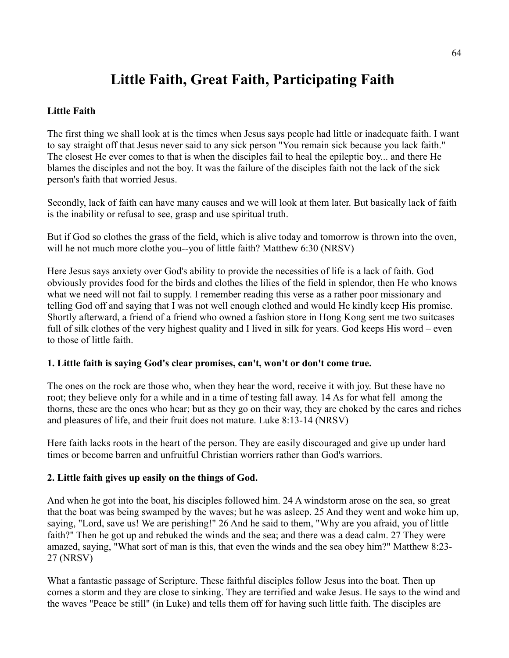# **Little Faith, Great Faith, Participating Faith**

#### **Little Faith**

The first thing we shall look at is the times when Jesus says people had little or inadequate faith. I want to say straight off that Jesus never said to any sick person "You remain sick because you lack faith." The closest He ever comes to that is when the disciples fail to heal the epileptic boy... and there He blames the disciples and not the boy. It was the failure of the disciples faith not the lack of the sick person's faith that worried Jesus.

Secondly, lack of faith can have many causes and we will look at them later. But basically lack of faith is the inability or refusal to see, grasp and use spiritual truth.

But if God so clothes the grass of the field, which is alive today and tomorrow is thrown into the oven, will he not much more clothe you--you of little faith? Matthew 6:30 (NRSV)

Here Jesus says anxiety over God's ability to provide the necessities of life is a lack of faith. God obviously provides food for the birds and clothes the lilies of the field in splendor, then He who knows what we need will not fail to supply. I remember reading this verse as a rather poor missionary and telling God off and saying that I was not well enough clothed and would He kindly keep His promise. Shortly afterward, a friend of a friend who owned a fashion store in Hong Kong sent me two suitcases full of silk clothes of the very highest quality and I lived in silk for years. God keeps His word – even to those of little faith.

#### **1. Little faith is saying God's clear promises, can't, won't or don't come true.**

The ones on the rock are those who, when they hear the word, receive it with joy. But these have no root; they believe only for a while and in a time of testing fall away. 14 As for what fell among the thorns, these are the ones who hear; but as they go on their way, they are choked by the cares and riches and pleasures of life, and their fruit does not mature. Luke 8:13-14 (NRSV)

Here faith lacks roots in the heart of the person. They are easily discouraged and give up under hard times or become barren and unfruitful Christian worriers rather than God's warriors.

#### **2. Little faith gives up easily on the things of God.**

And when he got into the boat, his disciples followed him. 24 A windstorm arose on the sea, so great that the boat was being swamped by the waves; but he was asleep. 25 And they went and woke him up, saying, "Lord, save us! We are perishing!" 26 And he said to them, "Why are you afraid, you of little faith?" Then he got up and rebuked the winds and the sea; and there was a dead calm. 27 They were amazed, saying, "What sort of man is this, that even the winds and the sea obey him?" Matthew 8:23- 27 (NRSV)

What a fantastic passage of Scripture. These faithful disciples follow Jesus into the boat. Then up comes a storm and they are close to sinking. They are terrified and wake Jesus. He says to the wind and the waves "Peace be still" (in Luke) and tells them off for having such little faith. The disciples are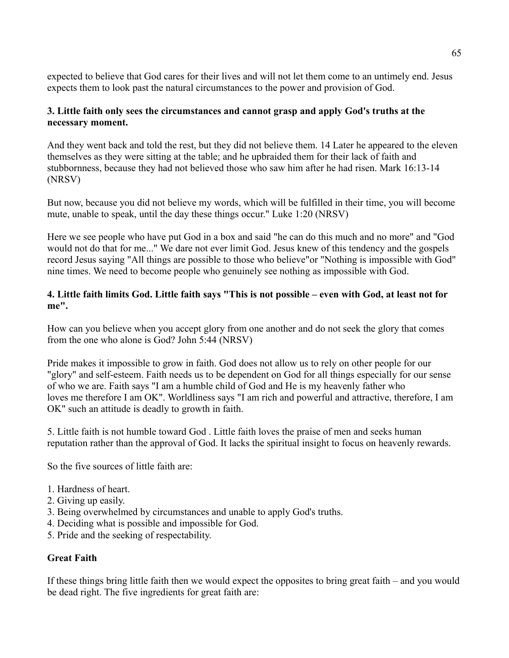expected to believe that God cares for their lives and will not let them come to an untimely end. Jesus expects them to look past the natural circumstances to the power and provision of God.

#### **3. Little faith only sees the circumstances and cannot grasp and apply God's truths at the necessary moment.**

And they went back and told the rest, but they did not believe them. 14 Later he appeared to the eleven themselves as they were sitting at the table; and he upbraided them for their lack of faith and stubbornness, because they had not believed those who saw him after he had risen. Mark 16:13-14 (NRSV)

But now, because you did not believe my words, which will be fulfilled in their time, you will become mute, unable to speak, until the day these things occur." Luke 1:20 (NRSV)

Here we see people who have put God in a box and said "he can do this much and no more" and "God would not do that for me..." We dare not ever limit God. Jesus knew of this tendency and the gospels record Jesus saying "All things are possible to those who believe"or "Nothing is impossible with God" nine times. We need to become people who genuinely see nothing as impossible with God.

#### **4. Little faith limits God. Little faith says "This is not possible – even with God, at least not for me".**

How can you believe when you accept glory from one another and do not seek the glory that comes from the one who alone is God? John 5:44 (NRSV)

Pride makes it impossible to grow in faith. God does not allow us to rely on other people for our "glory" and self-esteem. Faith needs us to be dependent on God for all things especially for our sense of who we are. Faith says "I am a humble child of God and He is my heavenly father who loves me therefore I am OK". Worldliness says "I am rich and powerful and attractive, therefore, I am OK" such an attitude is deadly to growth in faith.

5. Little faith is not humble toward God . Little faith loves the praise of men and seeks human reputation rather than the approval of God. It lacks the spiritual insight to focus on heavenly rewards.

So the five sources of little faith are:

- 1. Hardness of heart.
- 2. Giving up easily.
- 3. Being overwhelmed by circumstances and unable to apply God's truths.
- 4. Deciding what is possible and impossible for God.
- 5. Pride and the seeking of respectability.

#### **Great Faith**

If these things bring little faith then we would expect the opposites to bring great faith – and you would be dead right. The five ingredients for great faith are: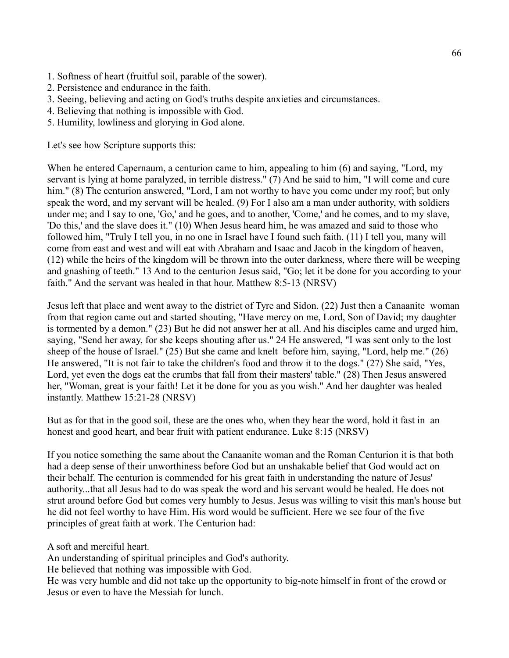- 1. Softness of heart (fruitful soil, parable of the sower).
- 2. Persistence and endurance in the faith.
- 3. Seeing, believing and acting on God's truths despite anxieties and circumstances.
- 4. Believing that nothing is impossible with God.
- 5. Humility, lowliness and glorying in God alone.

Let's see how Scripture supports this:

When he entered Capernaum, a centurion came to him, appealing to him (6) and saying, "Lord, my servant is lying at home paralyzed, in terrible distress." (7) And he said to him, "I will come and cure him." (8) The centurion answered, "Lord, I am not worthy to have you come under my roof; but only speak the word, and my servant will be healed. (9) For I also am a man under authority, with soldiers under me; and I say to one, 'Go,' and he goes, and to another, 'Come,' and he comes, and to my slave, 'Do this,' and the slave does it." (10) When Jesus heard him, he was amazed and said to those who followed him, "Truly I tell you, in no one in Israel have I found such faith. (11) I tell you, many will come from east and west and will eat with Abraham and Isaac and Jacob in the kingdom of heaven, (12) while the heirs of the kingdom will be thrown into the outer darkness, where there will be weeping and gnashing of teeth." 13 And to the centurion Jesus said, "Go; let it be done for you according to your faith." And the servant was healed in that hour. Matthew 8:5-13 (NRSV)

Jesus left that place and went away to the district of Tyre and Sidon. (22) Just then a Canaanite woman from that region came out and started shouting, "Have mercy on me, Lord, Son of David; my daughter is tormented by a demon." (23) But he did not answer her at all. And his disciples came and urged him, saying, "Send her away, for she keeps shouting after us." 24 He answered, "I was sent only to the lost sheep of the house of Israel." (25) But she came and knelt before him, saying, "Lord, help me." (26) He answered, "It is not fair to take the children's food and throw it to the dogs." (27) She said, "Yes, Lord, yet even the dogs eat the crumbs that fall from their masters' table." (28) Then Jesus answered her, "Woman, great is your faith! Let it be done for you as you wish." And her daughter was healed instantly. Matthew 15:21-28 (NRSV)

But as for that in the good soil, these are the ones who, when they hear the word, hold it fast in an honest and good heart, and bear fruit with patient endurance. Luke 8:15 (NRSV)

If you notice something the same about the Canaanite woman and the Roman Centurion it is that both had a deep sense of their unworthiness before God but an unshakable belief that God would act on their behalf. The centurion is commended for his great faith in understanding the nature of Jesus' authority...that all Jesus had to do was speak the word and his servant would be healed. He does not strut around before God but comes very humbly to Jesus. Jesus was willing to visit this man's house but he did not feel worthy to have Him. His word would be sufficient. Here we see four of the five principles of great faith at work. The Centurion had:

A soft and merciful heart.

An understanding of spiritual principles and God's authority.

He believed that nothing was impossible with God.

He was very humble and did not take up the opportunity to big-note himself in front of the crowd or Jesus or even to have the Messiah for lunch.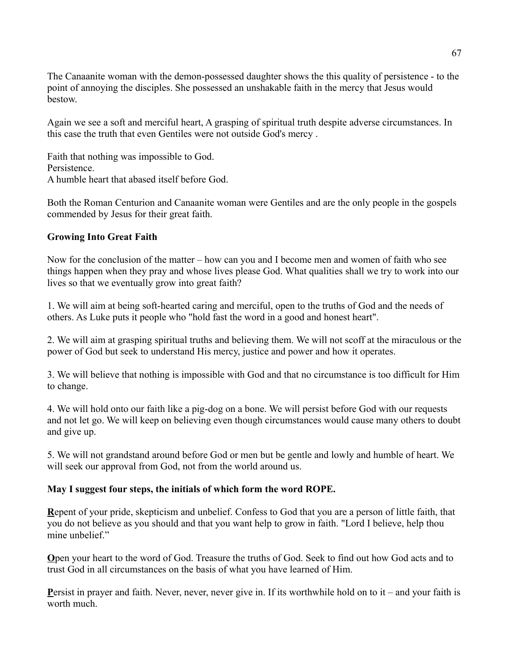The Canaanite woman with the demon-possessed daughter shows the this quality of persistence - to the point of annoying the disciples. She possessed an unshakable faith in the mercy that Jesus would bestow.

Again we see a soft and merciful heart, A grasping of spiritual truth despite adverse circumstances. In this case the truth that even Gentiles were not outside God's mercy .

Faith that nothing was impossible to God. **Persistence** A humble heart that abased itself before God.

Both the Roman Centurion and Canaanite woman were Gentiles and are the only people in the gospels commended by Jesus for their great faith.

#### **Growing Into Great Faith**

Now for the conclusion of the matter – how can you and I become men and women of faith who see things happen when they pray and whose lives please God. What qualities shall we try to work into our lives so that we eventually grow into great faith?

1. We will aim at being soft-hearted caring and merciful, open to the truths of God and the needs of others. As Luke puts it people who "hold fast the word in a good and honest heart".

2. We will aim at grasping spiritual truths and believing them. We will not scoff at the miraculous or the power of God but seek to understand His mercy, justice and power and how it operates.

3. We will believe that nothing is impossible with God and that no circumstance is too difficult for Him to change.

4. We will hold onto our faith like a pig-dog on a bone. We will persist before God with our requests and not let go. We will keep on believing even though circumstances would cause many others to doubt and give up.

5. We will not grandstand around before God or men but be gentle and lowly and humble of heart. We will seek our approval from God, not from the world around us.

#### **May I suggest four steps, the initials of which form the word ROPE.**

**R**epent of your pride, skepticism and unbelief. Confess to God that you are a person of little faith, that you do not believe as you should and that you want help to grow in faith. "Lord I believe, help thou mine unbelief"

**O**pen your heart to the word of God. Treasure the truths of God. Seek to find out how God acts and to trust God in all circumstances on the basis of what you have learned of Him.

**P**ersist in prayer and faith. Never, never, never give in. If its worthwhile hold on to it – and your faith is worth much.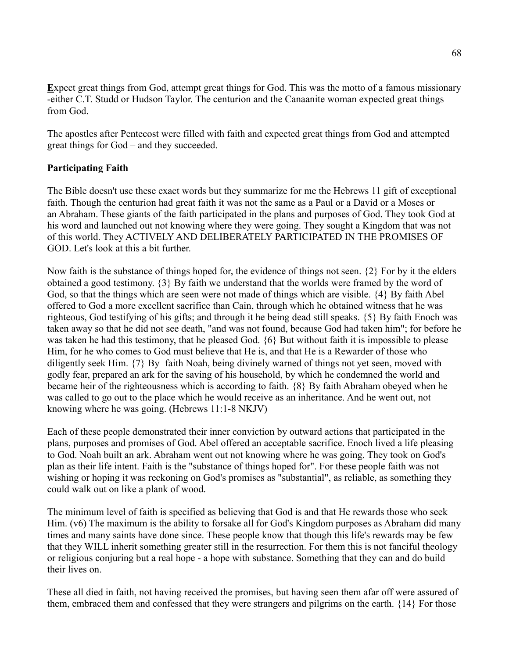**E**xpect great things from God, attempt great things for God. This was the motto of a famous missionary -either C.T. Studd or Hudson Taylor. The centurion and the Canaanite woman expected great things from God.

The apostles after Pentecost were filled with faith and expected great things from God and attempted great things for God – and they succeeded.

#### **Participating Faith**

The Bible doesn't use these exact words but they summarize for me the Hebrews 11 gift of exceptional faith. Though the centurion had great faith it was not the same as a Paul or a David or a Moses or an Abraham. These giants of the faith participated in the plans and purposes of God. They took God at his word and launched out not knowing where they were going. They sought a Kingdom that was not of this world. They ACTIVELY AND DELIBERATELY PARTICIPATED IN THE PROMISES OF GOD. Let's look at this a bit further.

Now faith is the substance of things hoped for, the evidence of things not seen. {2} For by it the elders obtained a good testimony. {3} By faith we understand that the worlds were framed by the word of God, so that the things which are seen were not made of things which are visible. {4} By faith Abel offered to God a more excellent sacrifice than Cain, through which he obtained witness that he was righteous, God testifying of his gifts; and through it he being dead still speaks. {5} By faith Enoch was taken away so that he did not see death, "and was not found, because God had taken him"; for before he was taken he had this testimony, that he pleased God. {6} But without faith it is impossible to please Him, for he who comes to God must believe that He is, and that He is a Rewarder of those who diligently seek Him. {7} By faith Noah, being divinely warned of things not yet seen, moved with godly fear, prepared an ark for the saving of his household, by which he condemned the world and became heir of the righteousness which is according to faith. {8} By faith Abraham obeyed when he was called to go out to the place which he would receive as an inheritance. And he went out, not knowing where he was going. (Hebrews 11:1-8 NKJV)

Each of these people demonstrated their inner conviction by outward actions that participated in the plans, purposes and promises of God. Abel offered an acceptable sacrifice. Enoch lived a life pleasing to God. Noah built an ark. Abraham went out not knowing where he was going. They took on God's plan as their life intent. Faith is the "substance of things hoped for". For these people faith was not wishing or hoping it was reckoning on God's promises as "substantial", as reliable, as something they could walk out on like a plank of wood.

The minimum level of faith is specified as believing that God is and that He rewards those who seek Him. (v6) The maximum is the ability to forsake all for God's Kingdom purposes as Abraham did many times and many saints have done since. These people know that though this life's rewards may be few that they WILL inherit something greater still in the resurrection. For them this is not fanciful theology or religious conjuring but a real hope - a hope with substance. Something that they can and do build their lives on.

These all died in faith, not having received the promises, but having seen them afar off were assured of them, embraced them and confessed that they were strangers and pilgrims on the earth. {14} For those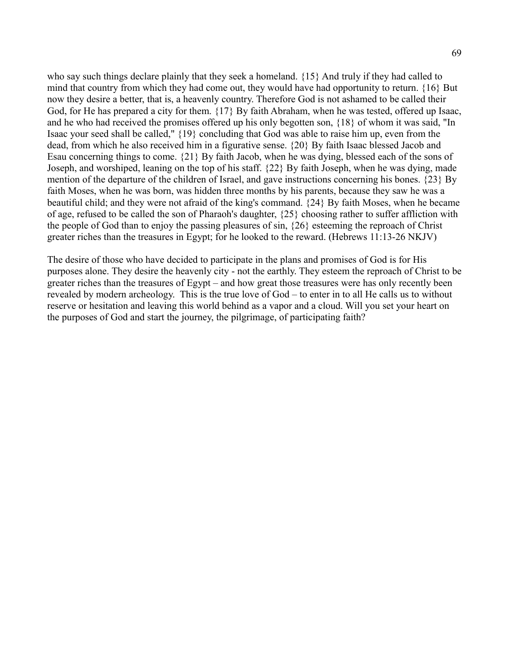who say such things declare plainly that they seek a homeland. {15} And truly if they had called to mind that country from which they had come out, they would have had opportunity to return. {16} But now they desire a better, that is, a heavenly country. Therefore God is not ashamed to be called their God, for He has prepared a city for them. {17} By faith Abraham, when he was tested, offered up Isaac, and he who had received the promises offered up his only begotten son, {18} of whom it was said, "In Isaac your seed shall be called," {19} concluding that God was able to raise him up, even from the dead, from which he also received him in a figurative sense. {20} By faith Isaac blessed Jacob and Esau concerning things to come. {21} By faith Jacob, when he was dying, blessed each of the sons of Joseph, and worshiped, leaning on the top of his staff. {22} By faith Joseph, when he was dying, made mention of the departure of the children of Israel, and gave instructions concerning his bones. {23} By faith Moses, when he was born, was hidden three months by his parents, because they saw he was a beautiful child; and they were not afraid of the king's command. {24} By faith Moses, when he became of age, refused to be called the son of Pharaoh's daughter, {25} choosing rather to suffer affliction with the people of God than to enjoy the passing pleasures of sin, {26} esteeming the reproach of Christ greater riches than the treasures in Egypt; for he looked to the reward. (Hebrews 11:13-26 NKJV)

The desire of those who have decided to participate in the plans and promises of God is for His purposes alone. They desire the heavenly city - not the earthly. They esteem the reproach of Christ to be greater riches than the treasures of Egypt – and how great those treasures were has only recently been revealed by modern archeology. This is the true love of God – to enter in to all He calls us to without reserve or hesitation and leaving this world behind as a vapor and a cloud. Will you set your heart on the purposes of God and start the journey, the pilgrimage, of participating faith?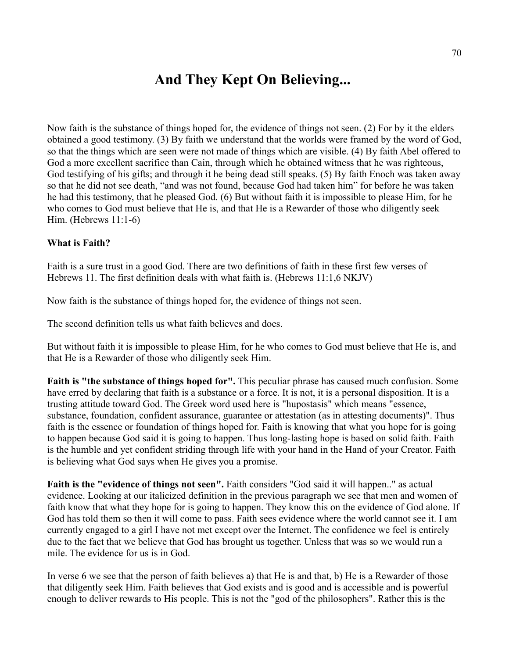## **And They Kept On Believing...**

Now faith is the substance of things hoped for, the evidence of things not seen. (2) For by it the elders obtained a good testimony. (3) By faith we understand that the worlds were framed by the word of God, so that the things which are seen were not made of things which are visible. (4) By faith Abel offered to God a more excellent sacrifice than Cain, through which he obtained witness that he was righteous, God testifying of his gifts; and through it he being dead still speaks. (5) By faith Enoch was taken away so that he did not see death, "and was not found, because God had taken him" for before he was taken he had this testimony, that he pleased God. (6) But without faith it is impossible to please Him, for he who comes to God must believe that He is, and that He is a Rewarder of those who diligently seek Him. (Hebrews 11:1-6)

#### **What is Faith?**

Faith is a sure trust in a good God. There are two definitions of faith in these first few verses of Hebrews 11. The first definition deals with what faith is. (Hebrews 11:1,6 NKJV)

Now faith is the substance of things hoped for, the evidence of things not seen.

The second definition tells us what faith believes and does.

But without faith it is impossible to please Him, for he who comes to God must believe that He is, and that He is a Rewarder of those who diligently seek Him.

**Faith is "the substance of things hoped for".** This peculiar phrase has caused much confusion. Some have erred by declaring that faith is a substance or a force. It is not, it is a personal disposition. It is a trusting attitude toward God. The Greek word used here is "hupostasis" which means "essence, substance, foundation, confident assurance, guarantee or attestation (as in attesting documents)". Thus faith is the essence or foundation of things hoped for. Faith is knowing that what you hope for is going to happen because God said it is going to happen. Thus long-lasting hope is based on solid faith. Faith is the humble and yet confident striding through life with your hand in the Hand of your Creator. Faith is believing what God says when He gives you a promise.

**Faith is the "evidence of things not seen".** Faith considers "God said it will happen.." as actual evidence. Looking at our italicized definition in the previous paragraph we see that men and women of faith know that what they hope for is going to happen. They know this on the evidence of God alone. If God has told them so then it will come to pass. Faith sees evidence where the world cannot see it. I am currently engaged to a girl I have not met except over the Internet. The confidence we feel is entirely due to the fact that we believe that God has brought us together. Unless that was so we would run a mile. The evidence for us is in God.

In verse 6 we see that the person of faith believes a) that He is and that, b) He is a Rewarder of those that diligently seek Him. Faith believes that God exists and is good and is accessible and is powerful enough to deliver rewards to His people. This is not the "god of the philosophers". Rather this is the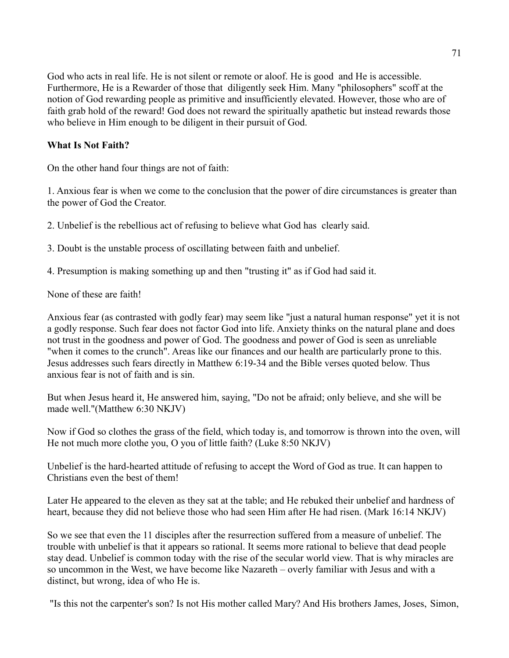God who acts in real life. He is not silent or remote or aloof. He is good and He is accessible. Furthermore, He is a Rewarder of those that diligently seek Him. Many "philosophers" scoff at the notion of God rewarding people as primitive and insufficiently elevated. However, those who are of faith grab hold of the reward! God does not reward the spiritually apathetic but instead rewards those who believe in Him enough to be diligent in their pursuit of God.

#### **What Is Not Faith?**

On the other hand four things are not of faith:

1. Anxious fear is when we come to the conclusion that the power of dire circumstances is greater than the power of God the Creator.

2. Unbelief is the rebellious act of refusing to believe what God has clearly said.

3. Doubt is the unstable process of oscillating between faith and unbelief.

4. Presumption is making something up and then "trusting it" as if God had said it.

None of these are faith!

Anxious fear (as contrasted with godly fear) may seem like "just a natural human response" yet it is not a godly response. Such fear does not factor God into life. Anxiety thinks on the natural plane and does not trust in the goodness and power of God. The goodness and power of God is seen as unreliable "when it comes to the crunch". Areas like our finances and our health are particularly prone to this. Jesus addresses such fears directly in Matthew 6:19-34 and the Bible verses quoted below. Thus anxious fear is not of faith and is sin.

But when Jesus heard it, He answered him, saying, "Do not be afraid; only believe, and she will be made well."(Matthew 6:30 NKJV)

Now if God so clothes the grass of the field, which today is, and tomorrow is thrown into the oven, will He not much more clothe you, O you of little faith? (Luke 8:50 NKJV)

Unbelief is the hard-hearted attitude of refusing to accept the Word of God as true. It can happen to Christians even the best of them!

Later He appeared to the eleven as they sat at the table; and He rebuked their unbelief and hardness of heart, because they did not believe those who had seen Him after He had risen. (Mark 16:14 NKJV)

So we see that even the 11 disciples after the resurrection suffered from a measure of unbelief. The trouble with unbelief is that it appears so rational. It seems more rational to believe that dead people stay dead. Unbelief is common today with the rise of the secular world view. That is why miracles are so uncommon in the West, we have become like Nazareth – overly familiar with Jesus and with a distinct, but wrong, idea of who He is.

"Is this not the carpenter's son? Is not His mother called Mary? And His brothers James, Joses, Simon,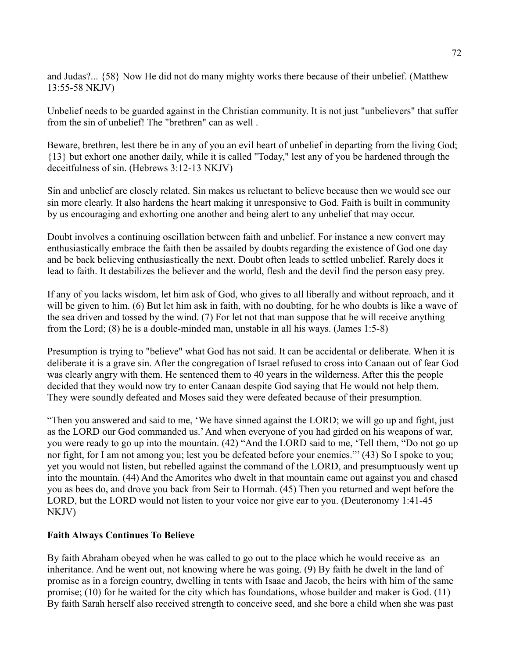and Judas?... {58} Now He did not do many mighty works there because of their unbelief. (Matthew 13:55-58 NKJV)

Unbelief needs to be guarded against in the Christian community. It is not just "unbelievers" that suffer from the sin of unbelief! The "brethren" can as well .

Beware, brethren, lest there be in any of you an evil heart of unbelief in departing from the living God; {13} but exhort one another daily, while it is called "Today," lest any of you be hardened through the deceitfulness of sin. (Hebrews 3:12-13 NKJV)

Sin and unbelief are closely related. Sin makes us reluctant to believe because then we would see our sin more clearly. It also hardens the heart making it unresponsive to God. Faith is built in community by us encouraging and exhorting one another and being alert to any unbelief that may occur.

Doubt involves a continuing oscillation between faith and unbelief. For instance a new convert may enthusiastically embrace the faith then be assailed by doubts regarding the existence of God one day and be back believing enthusiastically the next. Doubt often leads to settled unbelief. Rarely does it lead to faith. It destabilizes the believer and the world, flesh and the devil find the person easy prey.

If any of you lacks wisdom, let him ask of God, who gives to all liberally and without reproach, and it will be given to him. (6) But let him ask in faith, with no doubting, for he who doubts is like a wave of the sea driven and tossed by the wind. (7) For let not that man suppose that he will receive anything from the Lord; (8) he is a double-minded man, unstable in all his ways. (James 1:5-8)

Presumption is trying to "believe" what God has not said. It can be accidental or deliberate. When it is deliberate it is a grave sin. After the congregation of Israel refused to cross into Canaan out of fear God was clearly angry with them. He sentenced them to 40 years in the wilderness. After this the people decided that they would now try to enter Canaan despite God saying that He would not help them. They were soundly defeated and Moses said they were defeated because of their presumption.

"Then you answered and said to me, 'We have sinned against the LORD; we will go up and fight, just as the LORD our God commanded us.' And when everyone of you had girded on his weapons of war, you were ready to go up into the mountain. (42) "And the LORD said to me, 'Tell them, "Do not go up nor fight, for I am not among you; lest you be defeated before your enemies."' (43) So I spoke to you; yet you would not listen, but rebelled against the command of the LORD, and presumptuously went up into the mountain. (44) And the Amorites who dwelt in that mountain came out against you and chased you as bees do, and drove you back from Seir to Hormah. (45) Then you returned and wept before the LORD, but the LORD would not listen to your voice nor give ear to you. (Deuteronomy 1:41-45 NKJV)

#### **Faith Always Continues To Believe**

By faith Abraham obeyed when he was called to go out to the place which he would receive as an inheritance. And he went out, not knowing where he was going. (9) By faith he dwelt in the land of promise as in a foreign country, dwelling in tents with Isaac and Jacob, the heirs with him of the same promise; (10) for he waited for the city which has foundations, whose builder and maker is God. (11) By faith Sarah herself also received strength to conceive seed, and she bore a child when she was past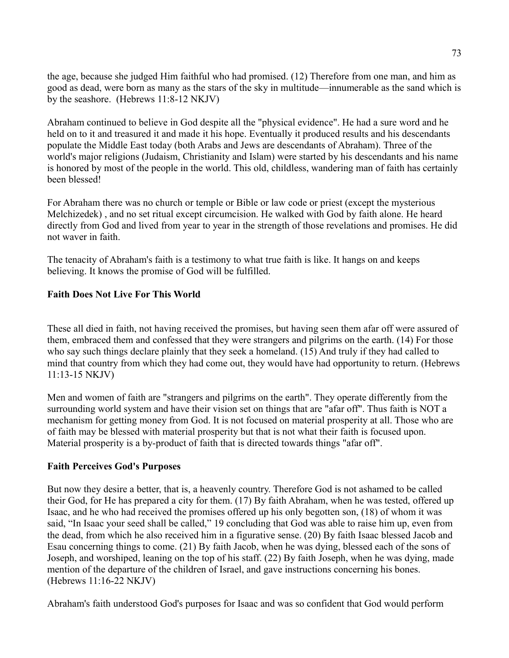the age, because she judged Him faithful who had promised. (12) Therefore from one man, and him as good as dead, were born as many as the stars of the sky in multitude—innumerable as the sand which is by the seashore. (Hebrews 11:8-12 NKJV)

Abraham continued to believe in God despite all the "physical evidence". He had a sure word and he held on to it and treasured it and made it his hope. Eventually it produced results and his descendants populate the Middle East today (both Arabs and Jews are descendants of Abraham). Three of the world's major religions (Judaism, Christianity and Islam) were started by his descendants and his name is honored by most of the people in the world. This old, childless, wandering man of faith has certainly been blessed!

For Abraham there was no church or temple or Bible or law code or priest (except the mysterious Melchizedek) , and no set ritual except circumcision. He walked with God by faith alone. He heard directly from God and lived from year to year in the strength of those revelations and promises. He did not waver in faith.

The tenacity of Abraham's faith is a testimony to what true faith is like. It hangs on and keeps believing. It knows the promise of God will be fulfilled.

### **Faith Does Not Live For This World**

These all died in faith, not having received the promises, but having seen them afar off were assured of them, embraced them and confessed that they were strangers and pilgrims on the earth. (14) For those who say such things declare plainly that they seek a homeland. (15) And truly if they had called to mind that country from which they had come out, they would have had opportunity to return. (Hebrews 11:13-15 NKJV)

Men and women of faith are "strangers and pilgrims on the earth". They operate differently from the surrounding world system and have their vision set on things that are "afar off". Thus faith is NOT a mechanism for getting money from God. It is not focused on material prosperity at all. Those who are of faith may be blessed with material prosperity but that is not what their faith is focused upon. Material prosperity is a by-product of faith that is directed towards things "afar off".

#### **Faith Perceives God's Purposes**

But now they desire a better, that is, a heavenly country. Therefore God is not ashamed to be called their God, for He has prepared a city for them. (17) By faith Abraham, when he was tested, offered up Isaac, and he who had received the promises offered up his only begotten son, (18) of whom it was said, "In Isaac your seed shall be called," 19 concluding that God was able to raise him up, even from the dead, from which he also received him in a figurative sense. (20) By faith Isaac blessed Jacob and Esau concerning things to come. (21) By faith Jacob, when he was dying, blessed each of the sons of Joseph, and worshiped, leaning on the top of his staff. (22) By faith Joseph, when he was dying, made mention of the departure of the children of Israel, and gave instructions concerning his bones. (Hebrews 11:16-22 NKJV)

Abraham's faith understood God's purposes for Isaac and was so confident that God would perform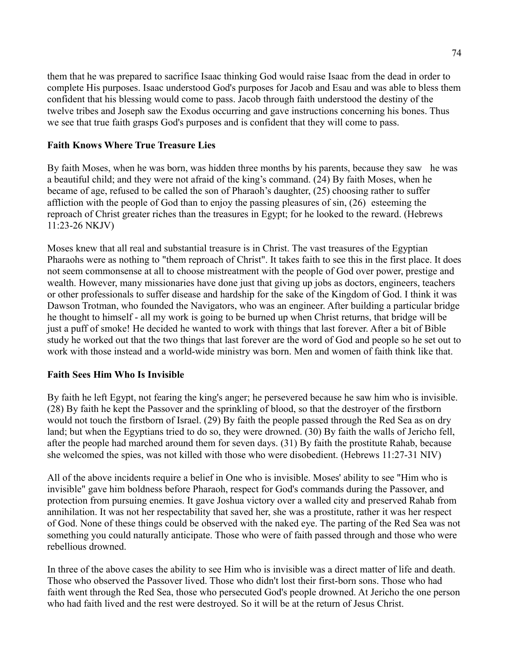them that he was prepared to sacrifice Isaac thinking God would raise Isaac from the dead in order to complete His purposes. Isaac understood God's purposes for Jacob and Esau and was able to bless them confident that his blessing would come to pass. Jacob through faith understood the destiny of the twelve tribes and Joseph saw the Exodus occurring and gave instructions concerning his bones. Thus we see that true faith grasps God's purposes and is confident that they will come to pass.

### **Faith Knows Where True Treasure Lies**

By faith Moses, when he was born, was hidden three months by his parents, because they saw he was a beautiful child; and they were not afraid of the king's command. (24) By faith Moses, when he became of age, refused to be called the son of Pharaoh's daughter, (25) choosing rather to suffer affliction with the people of God than to enjoy the passing pleasures of sin, (26) esteeming the reproach of Christ greater riches than the treasures in Egypt; for he looked to the reward. (Hebrews 11:23-26 NKJV)

Moses knew that all real and substantial treasure is in Christ. The vast treasures of the Egyptian Pharaohs were as nothing to "them reproach of Christ". It takes faith to see this in the first place. It does not seem commonsense at all to choose mistreatment with the people of God over power, prestige and wealth. However, many missionaries have done just that giving up jobs as doctors, engineers, teachers or other professionals to suffer disease and hardship for the sake of the Kingdom of God. I think it was Dawson Trotman, who founded the Navigators, who was an engineer. After building a particular bridge he thought to himself - all my work is going to be burned up when Christ returns, that bridge will be just a puff of smoke! He decided he wanted to work with things that last forever. After a bit of Bible study he worked out that the two things that last forever are the word of God and people so he set out to work with those instead and a world-wide ministry was born. Men and women of faith think like that.

# **Faith Sees Him Who Is Invisible**

By faith he left Egypt, not fearing the king's anger; he persevered because he saw him who is invisible. (28) By faith he kept the Passover and the sprinkling of blood, so that the destroyer of the firstborn would not touch the firstborn of Israel. (29) By faith the people passed through the Red Sea as on dry land; but when the Egyptians tried to do so, they were drowned. (30) By faith the walls of Jericho fell, after the people had marched around them for seven days. (31) By faith the prostitute Rahab, because she welcomed the spies, was not killed with those who were disobedient. (Hebrews 11:27-31 NIV)

All of the above incidents require a belief in One who is invisible. Moses' ability to see "Him who is invisible" gave him boldness before Pharaoh, respect for God's commands during the Passover, and protection from pursuing enemies. It gave Joshua victory over a walled city and preserved Rahab from annihilation. It was not her respectability that saved her, she was a prostitute, rather it was her respect of God. None of these things could be observed with the naked eye. The parting of the Red Sea was not something you could naturally anticipate. Those who were of faith passed through and those who were rebellious drowned.

In three of the above cases the ability to see Him who is invisible was a direct matter of life and death. Those who observed the Passover lived. Those who didn't lost their first-born sons. Those who had faith went through the Red Sea, those who persecuted God's people drowned. At Jericho the one person who had faith lived and the rest were destroyed. So it will be at the return of Jesus Christ.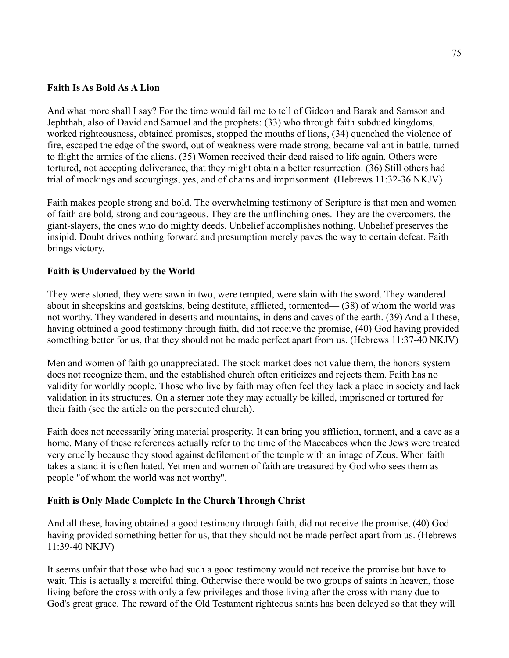#### **Faith Is As Bold As A Lion**

And what more shall I say? For the time would fail me to tell of Gideon and Barak and Samson and Jephthah, also of David and Samuel and the prophets: (33) who through faith subdued kingdoms, worked righteousness, obtained promises, stopped the mouths of lions, (34) quenched the violence of fire, escaped the edge of the sword, out of weakness were made strong, became valiant in battle, turned to flight the armies of the aliens. (35) Women received their dead raised to life again. Others were tortured, not accepting deliverance, that they might obtain a better resurrection. (36) Still others had trial of mockings and scourgings, yes, and of chains and imprisonment. (Hebrews 11:32-36 NKJV)

Faith makes people strong and bold. The overwhelming testimony of Scripture is that men and women of faith are bold, strong and courageous. They are the unflinching ones. They are the overcomers, the giant-slayers, the ones who do mighty deeds. Unbelief accomplishes nothing. Unbelief preserves the insipid. Doubt drives nothing forward and presumption merely paves the way to certain defeat. Faith brings victory.

#### **Faith is Undervalued by the World**

They were stoned, they were sawn in two, were tempted, were slain with the sword. They wandered about in sheepskins and goatskins, being destitute, afflicted, tormented— (38) of whom the world was not worthy. They wandered in deserts and mountains, in dens and caves of the earth. (39) And all these, having obtained a good testimony through faith, did not receive the promise, (40) God having provided something better for us, that they should not be made perfect apart from us. (Hebrews 11:37-40 NKJV)

Men and women of faith go unappreciated. The stock market does not value them, the honors system does not recognize them, and the established church often criticizes and rejects them. Faith has no validity for worldly people. Those who live by faith may often feel they lack a place in society and lack validation in its structures. On a sterner note they may actually be killed, imprisoned or tortured for their faith (see the article on the persecuted church).

Faith does not necessarily bring material prosperity. It can bring you affliction, torment, and a cave as a home. Many of these references actually refer to the time of the Maccabees when the Jews were treated very cruelly because they stood against defilement of the temple with an image of Zeus. When faith takes a stand it is often hated. Yet men and women of faith are treasured by God who sees them as people "of whom the world was not worthy".

#### **Faith is Only Made Complete In the Church Through Christ**

And all these, having obtained a good testimony through faith, did not receive the promise, (40) God having provided something better for us, that they should not be made perfect apart from us. (Hebrews 11:39-40 NKJV)

It seems unfair that those who had such a good testimony would not receive the promise but have to wait. This is actually a merciful thing. Otherwise there would be two groups of saints in heaven, those living before the cross with only a few privileges and those living after the cross with many due to God's great grace. The reward of the Old Testament righteous saints has been delayed so that they will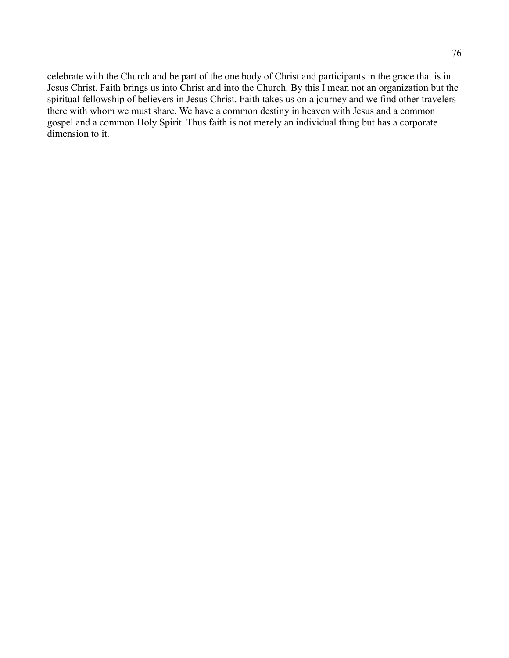celebrate with the Church and be part of the one body of Christ and participants in the grace that is in Jesus Christ. Faith brings us into Christ and into the Church. By this I mean not an organization but the spiritual fellowship of believers in Jesus Christ. Faith takes us on a journey and we find other travelers there with whom we must share. We have a common destiny in heaven with Jesus and a common gospel and a common Holy Spirit. Thus faith is not merely an individual thing but has a corporate dimension to it.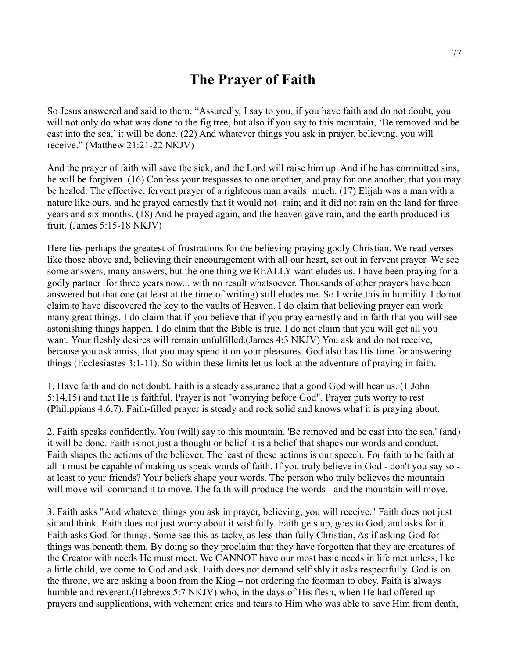# **The Prayer of Faith**

So Jesus answered and said to them, "Assuredly, I say to you, if you have faith and do not doubt, you will not only do what was done to the fig tree, but also if you say to this mountain, 'Be removed and be cast into the sea,' it will be done. (22) And whatever things you ask in prayer, believing, you will receive." (Matthew 21:21-22 NKJV)

And the prayer of faith will save the sick, and the Lord will raise him up. And if he has committed sins, he will be forgiven. (16) Confess your trespasses to one another, and pray for one another, that you may be healed. The effective, fervent prayer of a righteous man avails much. (17) Elijah was a man with a nature like ours, and he prayed earnestly that it would not rain; and it did not rain on the land for three years and six months. (18) And he prayed again, and the heaven gave rain, and the earth produced its fruit. (James 5:15-18 NKJV)

Here lies perhaps the greatest of frustrations for the believing praying godly Christian. We read verses like those above and, believing their encouragement with all our heart, set out in fervent prayer. We see some answers, many answers, but the one thing we REALLY want eludes us. I have been praying for a godly partner for three years now... with no result whatsoever. Thousands of other prayers have been answered but that one (at least at the time of writing) still eludes me. So I write this in humility. I do not claim to have discovered the key to the vaults of Heaven. I do claim that believing prayer can work many great things. I do claim that if you believe that if you pray earnestly and in faith that you will see astonishing things happen. I do claim that the Bible is true. I do not claim that you will get all you want. Your fleshly desires will remain unfulfilled.(James 4:3 NKJV) You ask and do not receive, because you ask amiss, that you may spend it on your pleasures. God also has His time for answering things (Ecclesiastes 3:1-11). So within these limits let us look at the adventure of praying in faith.

1. Have faith and do not doubt. Faith is a steady assurance that a good God will hear us. (1 John 5:14,15) and that He is faithful. Prayer is not "worrying before God". Prayer puts worry to rest (Philippians 4:6,7). Faith-filled prayer is steady and rock solid and knows what it is praying about.

2. Faith speaks confidently. You (will) say to this mountain, 'Be removed and be cast into the sea,' (and) it will be done. Faith is not just a thought or belief it is a belief that shapes our words and conduct. Faith shapes the actions of the believer. The least of these actions is our speech. For faith to be faith at all it must be capable of making us speak words of faith. If you truly believe in God - don't you say so at least to your friends? Your beliefs shape your words. The person who truly believes the mountain will move will command it to move. The faith will produce the words - and the mountain will move.

3. Faith asks "And whatever things you ask in prayer, believing, you will receive." Faith does not just sit and think. Faith does not just worry about it wishfully. Faith gets up, goes to God, and asks for it. Faith asks God for things. Some see this as tacky, as less than fully Christian, As if asking God for things was beneath them. By doing so they proclaim that they have forgotten that they are creatures of the Creator with needs He must meet. We CANNOT have our most basic needs in life met unless, like a little child, we come to God and ask. Faith does not demand selfishly it asks respectfully. God is on the throne, we are asking a boon from the King – not ordering the footman to obey. Faith is always humble and reverent. (Hebrews 5:7 NKJV) who, in the days of His flesh, when He had offered up prayers and supplications, with vehement cries and tears to Him who was able to save Him from death,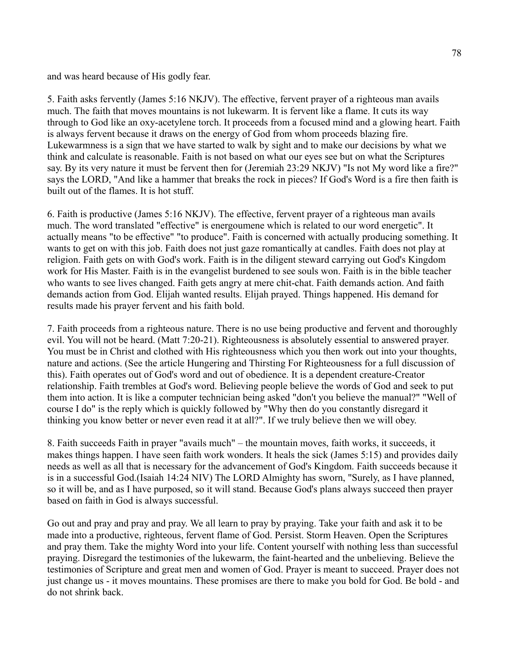and was heard because of His godly fear.

5. Faith asks fervently (James 5:16 NKJV). The effective, fervent prayer of a righteous man avails much. The faith that moves mountains is not lukewarm. It is fervent like a flame. It cuts its way through to God like an oxy-acetylene torch. It proceeds from a focused mind and a glowing heart. Faith is always fervent because it draws on the energy of God from whom proceeds blazing fire. Lukewarmness is a sign that we have started to walk by sight and to make our decisions by what we think and calculate is reasonable. Faith is not based on what our eyes see but on what the Scriptures say. By its very nature it must be fervent then for (Jeremiah 23:29 NKJV) "Is not My word like a fire?" says the LORD, "And like a hammer that breaks the rock in pieces? If God's Word is a fire then faith is built out of the flames. It is hot stuff.

6. Faith is productive (James 5:16 NKJV). The effective, fervent prayer of a righteous man avails much. The word translated "effective" is energoumene which is related to our word energetic". It actually means "to be effective" "to produce". Faith is concerned with actually producing something. It wants to get on with this job. Faith does not just gaze romantically at candles. Faith does not play at religion. Faith gets on with God's work. Faith is in the diligent steward carrying out God's Kingdom work for His Master. Faith is in the evangelist burdened to see souls won. Faith is in the bible teacher who wants to see lives changed. Faith gets angry at mere chit-chat. Faith demands action. And faith demands action from God. Elijah wanted results. Elijah prayed. Things happened. His demand for results made his prayer fervent and his faith bold.

7. Faith proceeds from a righteous nature. There is no use being productive and fervent and thoroughly evil. You will not be heard. (Matt 7:20-21). Righteousness is absolutely essential to answered prayer. You must be in Christ and clothed with His righteousness which you then work out into your thoughts, nature and actions. (See the article Hungering and Thirsting For Righteousness for a full discussion of this). Faith operates out of God's word and out of obedience. It is a dependent creature-Creator relationship. Faith trembles at God's word. Believing people believe the words of God and seek to put them into action. It is like a computer technician being asked "don't you believe the manual?" "Well of course I do" is the reply which is quickly followed by "Why then do you constantly disregard it thinking you know better or never even read it at all?". If we truly believe then we will obey.

8. Faith succeeds Faith in prayer "avails much" – the mountain moves, faith works, it succeeds, it makes things happen. I have seen faith work wonders. It heals the sick (James 5:15) and provides daily needs as well as all that is necessary for the advancement of God's Kingdom. Faith succeeds because it is in a successful God.(Isaiah 14:24 NIV) The LORD Almighty has sworn, "Surely, as I have planned, so it will be, and as I have purposed, so it will stand. Because God's plans always succeed then prayer based on faith in God is always successful.

Go out and pray and pray and pray. We all learn to pray by praying. Take your faith and ask it to be made into a productive, righteous, fervent flame of God. Persist. Storm Heaven. Open the Scriptures and pray them. Take the mighty Word into your life. Content yourself with nothing less than successful praying. Disregard the testimonies of the lukewarm, the faint-hearted and the unbelieving. Believe the testimonies of Scripture and great men and women of God. Prayer is meant to succeed. Prayer does not just change us - it moves mountains. These promises are there to make you bold for God. Be bold - and do not shrink back.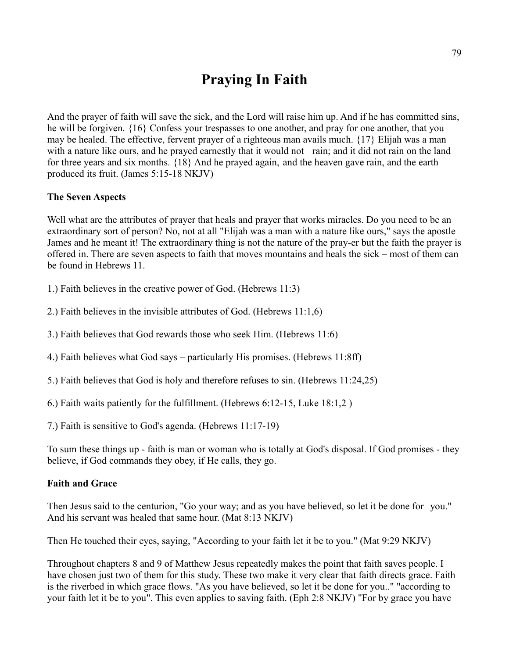# **Praying In Faith**

And the prayer of faith will save the sick, and the Lord will raise him up. And if he has committed sins, he will be forgiven. {16} Confess your trespasses to one another, and pray for one another, that you may be healed. The effective, fervent prayer of a righteous man avails much. {17} Elijah was a man with a nature like ours, and he prayed earnestly that it would not rain; and it did not rain on the land for three years and six months. {18} And he prayed again, and the heaven gave rain, and the earth produced its fruit. (James 5:15-18 NKJV)

### **The Seven Aspects**

Well what are the attributes of prayer that heals and prayer that works miracles. Do you need to be an extraordinary sort of person? No, not at all "Elijah was a man with a nature like ours," says the apostle James and he meant it! The extraordinary thing is not the nature of the pray-er but the faith the prayer is offered in. There are seven aspects to faith that moves mountains and heals the sick – most of them can be found in Hebrews 11.

1.) Faith believes in the creative power of God. (Hebrews 11:3)

2.) Faith believes in the invisible attributes of God. (Hebrews 11:1,6)

3.) Faith believes that God rewards those who seek Him. (Hebrews 11:6)

4.) Faith believes what God says – particularly His promises. (Hebrews 11:8ff)

5.) Faith believes that God is holy and therefore refuses to sin. (Hebrews 11:24,25)

6.) Faith waits patiently for the fulfillment. (Hebrews 6:12-15, Luke 18:1,2 )

7.) Faith is sensitive to God's agenda. (Hebrews 11:17-19)

To sum these things up - faith is man or woman who is totally at God's disposal. If God promises - they believe, if God commands they obey, if He calls, they go.

#### **Faith and Grace**

Then Jesus said to the centurion, "Go your way; and as you have believed, so let it be done for you." And his servant was healed that same hour. (Mat 8:13 NKJV)

Then He touched their eyes, saying, "According to your faith let it be to you." (Mat 9:29 NKJV)

Throughout chapters 8 and 9 of Matthew Jesus repeatedly makes the point that faith saves people. I have chosen just two of them for this study. These two make it very clear that faith directs grace. Faith is the riverbed in which grace flows. "As you have believed, so let it be done for you.." "according to your faith let it be to you". This even applies to saving faith. (Eph 2:8 NKJV) "For by grace you have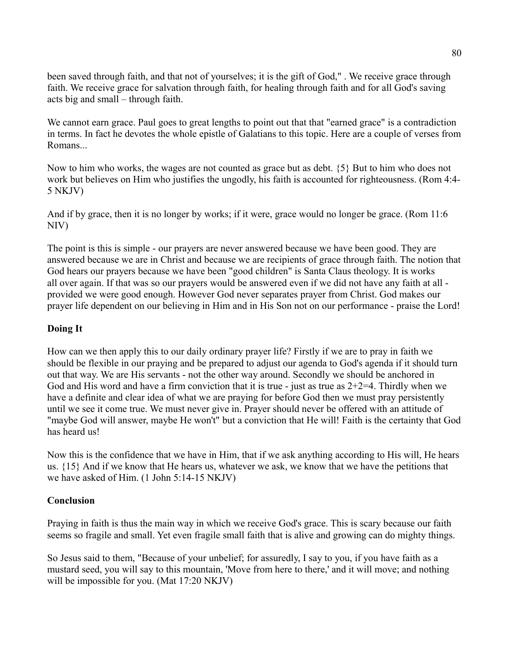been saved through faith, and that not of yourselves; it is the gift of God," . We receive grace through faith. We receive grace for salvation through faith, for healing through faith and for all God's saving acts big and small – through faith.

We cannot earn grace. Paul goes to great lengths to point out that that "earned grace" is a contradiction in terms. In fact he devotes the whole epistle of Galatians to this topic. Here are a couple of verses from Romans...

Now to him who works, the wages are not counted as grace but as debt. {5} But to him who does not work but believes on Him who justifies the ungodly, his faith is accounted for righteousness. (Rom 4:4- 5 NKJV)

And if by grace, then it is no longer by works; if it were, grace would no longer be grace. (Rom 11:6 NIV)

The point is this is simple - our prayers are never answered because we have been good. They are answered because we are in Christ and because we are recipients of grace through faith. The notion that God hears our prayers because we have been "good children" is Santa Claus theology. It is works all over again. If that was so our prayers would be answered even if we did not have any faith at all provided we were good enough. However God never separates prayer from Christ. God makes our prayer life dependent on our believing in Him and in His Son not on our performance - praise the Lord!

# **Doing It**

How can we then apply this to our daily ordinary prayer life? Firstly if we are to pray in faith we should be flexible in our praying and be prepared to adjust our agenda to God's agenda if it should turn out that way. We are His servants - not the other way around. Secondly we should be anchored in God and His word and have a firm conviction that it is true - just as true as  $2+2=4$ . Thirdly when we have a definite and clear idea of what we are praying for before God then we must pray persistently until we see it come true. We must never give in. Prayer should never be offered with an attitude of "maybe God will answer, maybe He won't" but a conviction that He will! Faith is the certainty that God has heard us!

Now this is the confidence that we have in Him, that if we ask anything according to His will, He hears us. {15} And if we know that He hears us, whatever we ask, we know that we have the petitions that we have asked of Him. (1 John 5:14-15 NKJV)

# **Conclusion**

Praying in faith is thus the main way in which we receive God's grace. This is scary because our faith seems so fragile and small. Yet even fragile small faith that is alive and growing can do mighty things.

So Jesus said to them, "Because of your unbelief; for assuredly, I say to you, if you have faith as a mustard seed, you will say to this mountain, 'Move from here to there,' and it will move; and nothing will be impossible for you. (Mat 17:20 NKJV)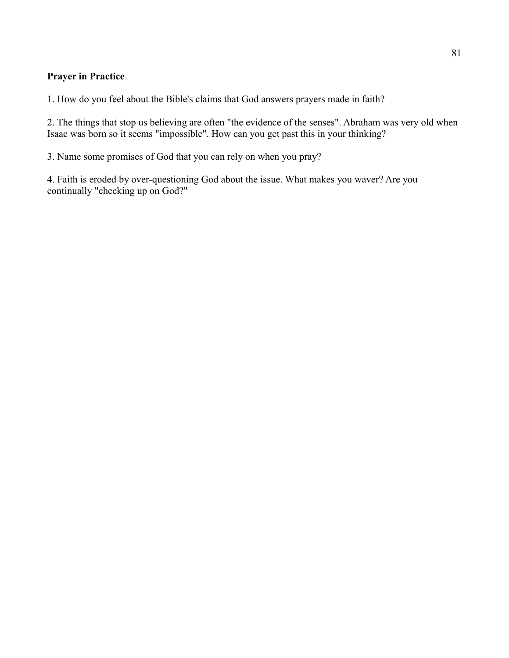# **Prayer in Practice**

1. How do you feel about the Bible's claims that God answers prayers made in faith?

2. The things that stop us believing are often "the evidence of the senses". Abraham was very old when Isaac was born so it seems "impossible". How can you get past this in your thinking?

3. Name some promises of God that you can rely on when you pray?

4. Faith is eroded by over-questioning God about the issue. What makes you waver? Are you continually "checking up on God?"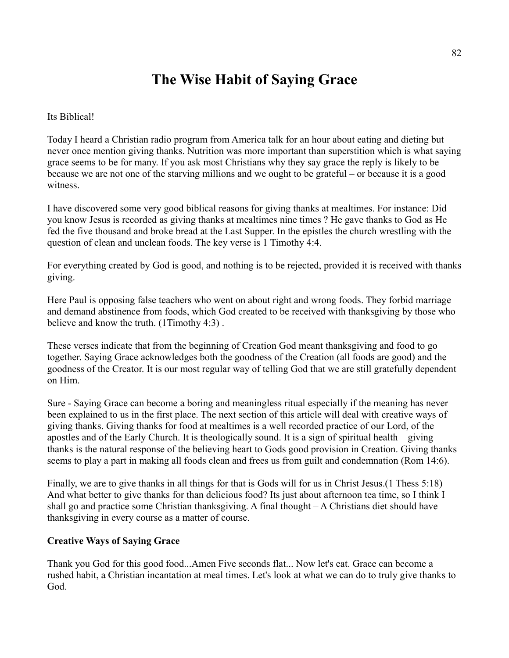# **The Wise Habit of Saying Grace**

Its Biblical!

Today I heard a Christian radio program from America talk for an hour about eating and dieting but never once mention giving thanks. Nutrition was more important than superstition which is what saying grace seems to be for many. If you ask most Christians why they say grace the reply is likely to be because we are not one of the starving millions and we ought to be grateful – or because it is a good witness.

I have discovered some very good biblical reasons for giving thanks at mealtimes. For instance: Did you know Jesus is recorded as giving thanks at mealtimes nine times ? He gave thanks to God as He fed the five thousand and broke bread at the Last Supper. In the epistles the church wrestling with the question of clean and unclean foods. The key verse is 1 Timothy 4:4.

For everything created by God is good, and nothing is to be rejected, provided it is received with thanks giving.

Here Paul is opposing false teachers who went on about right and wrong foods. They forbid marriage and demand abstinence from foods, which God created to be received with thanksgiving by those who believe and know the truth. (1Timothy 4:3) .

These verses indicate that from the beginning of Creation God meant thanksgiving and food to go together. Saying Grace acknowledges both the goodness of the Creation (all foods are good) and the goodness of the Creator. It is our most regular way of telling God that we are still gratefully dependent on Him.

Sure - Saying Grace can become a boring and meaningless ritual especially if the meaning has never been explained to us in the first place. The next section of this article will deal with creative ways of giving thanks. Giving thanks for food at mealtimes is a well recorded practice of our Lord, of the apostles and of the Early Church. It is theologically sound. It is a sign of spiritual health – giving thanks is the natural response of the believing heart to Gods good provision in Creation. Giving thanks seems to play a part in making all foods clean and frees us from guilt and condemnation (Rom 14:6).

Finally, we are to give thanks in all things for that is Gods will for us in Christ Jesus.(1 Thess 5:18) And what better to give thanks for than delicious food? Its just about afternoon tea time, so I think I shall go and practice some Christian thanksgiving. A final thought – A Christians diet should have thanksgiving in every course as a matter of course.

# **Creative Ways of Saying Grace**

Thank you God for this good food...Amen Five seconds flat... Now let's eat. Grace can become a rushed habit, a Christian incantation at meal times. Let's look at what we can do to truly give thanks to God.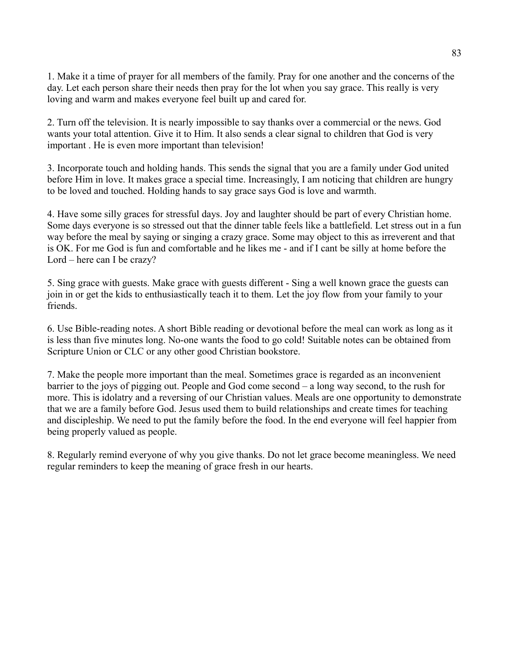1. Make it a time of prayer for all members of the family. Pray for one another and the concerns of the day. Let each person share their needs then pray for the lot when you say grace. This really is very loving and warm and makes everyone feel built up and cared for.

2. Turn off the television. It is nearly impossible to say thanks over a commercial or the news. God wants your total attention. Give it to Him. It also sends a clear signal to children that God is very important . He is even more important than television!

3. Incorporate touch and holding hands. This sends the signal that you are a family under God united before Him in love. It makes grace a special time. Increasingly, I am noticing that children are hungry to be loved and touched. Holding hands to say grace says God is love and warmth.

4. Have some silly graces for stressful days. Joy and laughter should be part of every Christian home. Some days everyone is so stressed out that the dinner table feels like a battlefield. Let stress out in a fun way before the meal by saying or singing a crazy grace. Some may object to this as irreverent and that is OK. For me God is fun and comfortable and he likes me - and if I cant be silly at home before the Lord – here can I be crazy?

5. Sing grace with guests. Make grace with guests different - Sing a well known grace the guests can join in or get the kids to enthusiastically teach it to them. Let the joy flow from your family to your friends.

6. Use Bible-reading notes. A short Bible reading or devotional before the meal can work as long as it is less than five minutes long. No-one wants the food to go cold! Suitable notes can be obtained from Scripture Union or CLC or any other good Christian bookstore.

7. Make the people more important than the meal. Sometimes grace is regarded as an inconvenient barrier to the joys of pigging out. People and God come second – a long way second, to the rush for more. This is idolatry and a reversing of our Christian values. Meals are one opportunity to demonstrate that we are a family before God. Jesus used them to build relationships and create times for teaching and discipleship. We need to put the family before the food. In the end everyone will feel happier from being properly valued as people.

8. Regularly remind everyone of why you give thanks. Do not let grace become meaningless. We need regular reminders to keep the meaning of grace fresh in our hearts.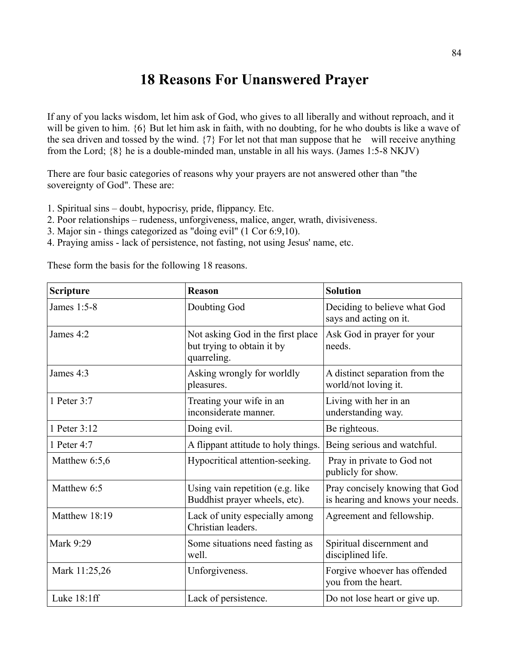# **18 Reasons For Unanswered Prayer**

If any of you lacks wisdom, let him ask of God, who gives to all liberally and without reproach, and it will be given to him.  $\{6\}$  But let him ask in faith, with no doubting, for he who doubts is like a wave of the sea driven and tossed by the wind. {7} For let not that man suppose that he will receive anything from the Lord; {8} he is a double-minded man, unstable in all his ways. (James 1:5-8 NKJV)

There are four basic categories of reasons why your prayers are not answered other than "the sovereignty of God". These are:

- 1. Spiritual sins doubt, hypocrisy, pride, flippancy. Etc.
- 2. Poor relationships rudeness, unforgiveness, malice, anger, wrath, divisiveness.
- 3. Major sin things categorized as "doing evil" (1 Cor 6:9,10).
- 4. Praying amiss lack of persistence, not fasting, not using Jesus' name, etc.

These form the basis for the following 18 reasons.

| <b>Scripture</b> | <b>Reason</b>                                                                  | <b>Solution</b>                                                     |
|------------------|--------------------------------------------------------------------------------|---------------------------------------------------------------------|
| James 1:5-8      | Doubting God                                                                   | Deciding to believe what God<br>says and acting on it.              |
| James 4:2        | Not asking God in the first place<br>but trying to obtain it by<br>quarreling. | Ask God in prayer for your<br>needs.                                |
| James 4:3        | Asking wrongly for worldly<br>pleasures.                                       | A distinct separation from the<br>world/not loving it.              |
| 1 Peter 3:7      | Treating your wife in an<br>inconsiderate manner.                              | Living with her in an<br>understanding way.                         |
| 1 Peter 3:12     | Doing evil.                                                                    | Be righteous.                                                       |
| 1 Peter 4:7      | A flippant attitude to holy things.                                            | Being serious and watchful.                                         |
| Matthew 6:5,6    | Hypocritical attention-seeking.                                                | Pray in private to God not<br>publicly for show.                    |
| Matthew 6:5      | Using vain repetition (e.g. like<br>Buddhist prayer wheels, etc).              | Pray concisely knowing that God<br>is hearing and knows your needs. |
| Matthew 18:19    | Lack of unity especially among<br>Christian leaders.                           | Agreement and fellowship.                                           |
| Mark 9:29        | Some situations need fasting as<br>well.                                       | Spiritual discernment and<br>disciplined life.                      |
| Mark 11:25,26    | Unforgiveness.                                                                 | Forgive whoever has offended<br>you from the heart.                 |
| Luke $18:1ff$    | Lack of persistence.                                                           | Do not lose heart or give up.                                       |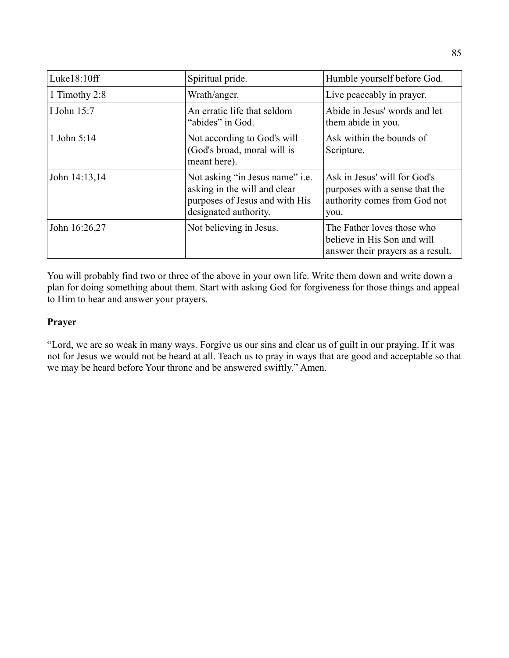| Luke18:10ff   | Spiritual pride.                                                                                                                  | Humble yourself before God.                                                                            |
|---------------|-----------------------------------------------------------------------------------------------------------------------------------|--------------------------------------------------------------------------------------------------------|
| 1 Timothy 2:8 | Wrath/anger.                                                                                                                      | Live peaceably in prayer.                                                                              |
| I John 15:7   | An erratic life that seldom<br>"abides" in God.                                                                                   | Abide in Jesus' words and let<br>them abide in you.                                                    |
| 1 John 5:14   | Not according to God's will<br>(God's broad, moral will is<br>meant here).                                                        | Ask within the bounds of<br>Scripture.                                                                 |
| John 14:13,14 | Not asking "in Jesus name" <i>i.e.</i><br>asking in the will and clear<br>purposes of Jesus and with His<br>designated authority. | Ask in Jesus' will for God's<br>purposes with a sense that the<br>authority comes from God not<br>you. |
| John 16:26,27 | Not believing in Jesus.                                                                                                           | The Father loves those who<br>believe in His Son and will<br>answer their prayers as a result.         |

You will probably find two or three of the above in your own life. Write them down and write down a plan for doing something about them. Start with asking God for forgiveness for those things and appeal to Him to hear and answer your prayers.

# **Prayer**

"Lord, we are so weak in many ways. Forgive us our sins and clear us of guilt in our praying. If it was not for Jesus we would not be heard at all. Teach us to pray in ways that are good and acceptable so that we may be heard before Your throne and be answered swiftly." Amen.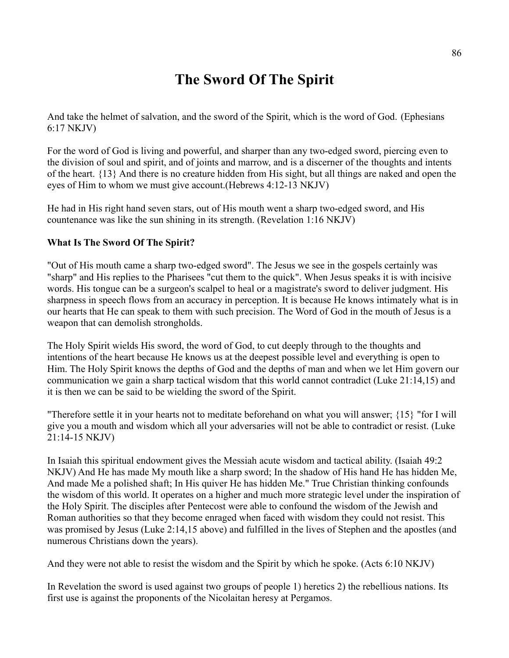# **The Sword Of The Spirit**

And take the helmet of salvation, and the sword of the Spirit, which is the word of God. (Ephesians 6:17 NKJV)

For the word of God is living and powerful, and sharper than any two-edged sword, piercing even to the division of soul and spirit, and of joints and marrow, and is a discerner of the thoughts and intents of the heart. {13} And there is no creature hidden from His sight, but all things are naked and open the eyes of Him to whom we must give account.(Hebrews 4:12-13 NKJV)

He had in His right hand seven stars, out of His mouth went a sharp two-edged sword, and His countenance was like the sun shining in its strength. (Revelation 1:16 NKJV)

# **What Is The Sword Of The Spirit?**

"Out of His mouth came a sharp two-edged sword". The Jesus we see in the gospels certainly was "sharp" and His replies to the Pharisees "cut them to the quick". When Jesus speaks it is with incisive words. His tongue can be a surgeon's scalpel to heal or a magistrate's sword to deliver judgment. His sharpness in speech flows from an accuracy in perception. It is because He knows intimately what is in our hearts that He can speak to them with such precision. The Word of God in the mouth of Jesus is a weapon that can demolish strongholds.

The Holy Spirit wields His sword, the word of God, to cut deeply through to the thoughts and intentions of the heart because He knows us at the deepest possible level and everything is open to Him. The Holy Spirit knows the depths of God and the depths of man and when we let Him govern our communication we gain a sharp tactical wisdom that this world cannot contradict (Luke 21:14,15) and it is then we can be said to be wielding the sword of the Spirit.

"Therefore settle it in your hearts not to meditate beforehand on what you will answer; {15} "for I will give you a mouth and wisdom which all your adversaries will not be able to contradict or resist. (Luke 21:14-15 NKJV)

In Isaiah this spiritual endowment gives the Messiah acute wisdom and tactical ability. (Isaiah 49:2 NKJV) And He has made My mouth like a sharp sword; In the shadow of His hand He has hidden Me, And made Me a polished shaft; In His quiver He has hidden Me." True Christian thinking confounds the wisdom of this world. It operates on a higher and much more strategic level under the inspiration of the Holy Spirit. The disciples after Pentecost were able to confound the wisdom of the Jewish and Roman authorities so that they become enraged when faced with wisdom they could not resist. This was promised by Jesus (Luke 2:14,15 above) and fulfilled in the lives of Stephen and the apostles (and numerous Christians down the years).

And they were not able to resist the wisdom and the Spirit by which he spoke. (Acts 6:10 NKJV)

In Revelation the sword is used against two groups of people 1) heretics 2) the rebellious nations. Its first use is against the proponents of the Nicolaitan heresy at Pergamos.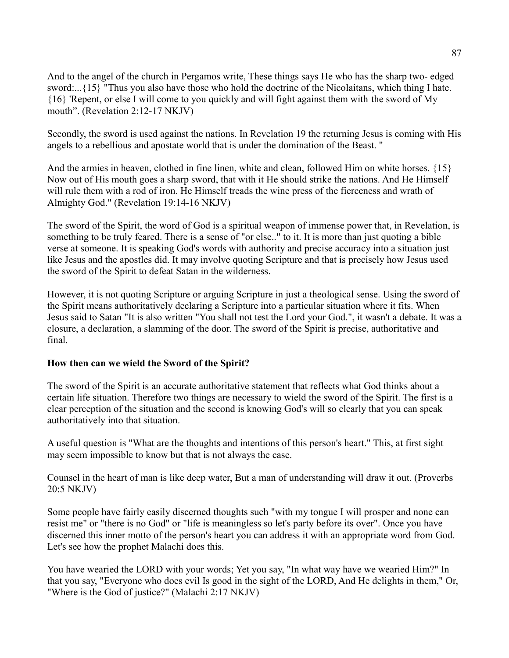And to the angel of the church in Pergamos write, These things says He who has the sharp two- edged sword:...{15} "Thus you also have those who hold the doctrine of the Nicolaitans, which thing I hate. {16} 'Repent, or else I will come to you quickly and will fight against them with the sword of My mouth". (Revelation 2:12-17 NKJV)

Secondly, the sword is used against the nations. In Revelation 19 the returning Jesus is coming with His angels to a rebellious and apostate world that is under the domination of the Beast. "

And the armies in heaven, clothed in fine linen, white and clean, followed Him on white horses. {15} Now out of His mouth goes a sharp sword, that with it He should strike the nations. And He Himself will rule them with a rod of iron. He Himself treads the wine press of the fierceness and wrath of Almighty God." (Revelation 19:14-16 NKJV)

The sword of the Spirit, the word of God is a spiritual weapon of immense power that, in Revelation, is something to be truly feared. There is a sense of "or else.." to it. It is more than just quoting a bible verse at someone. It is speaking God's words with authority and precise accuracy into a situation just like Jesus and the apostles did. It may involve quoting Scripture and that is precisely how Jesus used the sword of the Spirit to defeat Satan in the wilderness.

However, it is not quoting Scripture or arguing Scripture in just a theological sense. Using the sword of the Spirit means authoritatively declaring a Scripture into a particular situation where it fits. When Jesus said to Satan "It is also written "You shall not test the Lord your God.", it wasn't a debate. It was a closure, a declaration, a slamming of the door. The sword of the Spirit is precise, authoritative and final.

# **How then can we wield the Sword of the Spirit?**

The sword of the Spirit is an accurate authoritative statement that reflects what God thinks about a certain life situation. Therefore two things are necessary to wield the sword of the Spirit. The first is a clear perception of the situation and the second is knowing God's will so clearly that you can speak authoritatively into that situation.

A useful question is "What are the thoughts and intentions of this person's heart." This, at first sight may seem impossible to know but that is not always the case.

Counsel in the heart of man is like deep water, But a man of understanding will draw it out. (Proverbs 20:5 NKJV)

Some people have fairly easily discerned thoughts such "with my tongue I will prosper and none can resist me" or "there is no God" or "life is meaningless so let's party before its over". Once you have discerned this inner motto of the person's heart you can address it with an appropriate word from God. Let's see how the prophet Malachi does this.

You have wearied the LORD with your words; Yet you say, "In what way have we wearied Him?" In that you say, "Everyone who does evil Is good in the sight of the LORD, And He delights in them," Or, "Where is the God of justice?" (Malachi 2:17 NKJV)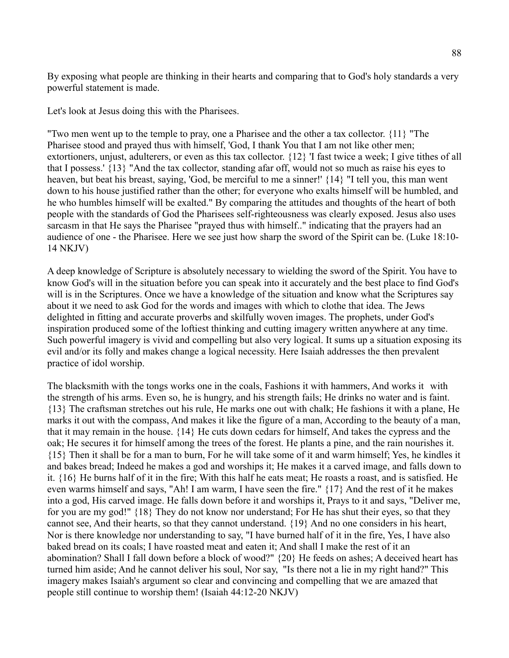By exposing what people are thinking in their hearts and comparing that to God's holy standards a very powerful statement is made.

Let's look at Jesus doing this with the Pharisees.

"Two men went up to the temple to pray, one a Pharisee and the other a tax collector. {11} "The Pharisee stood and prayed thus with himself, 'God, I thank You that I am not like other men; extortioners, unjust, adulterers, or even as this tax collector. {12} 'I fast twice a week; I give tithes of all that I possess.' {13} "And the tax collector, standing afar off, would not so much as raise his eyes to heaven, but beat his breast, saying, 'God, be merciful to me a sinner!' {14} "I tell you, this man went down to his house justified rather than the other; for everyone who exalts himself will be humbled, and he who humbles himself will be exalted." By comparing the attitudes and thoughts of the heart of both people with the standards of God the Pharisees self-righteousness was clearly exposed. Jesus also uses sarcasm in that He says the Pharisee "prayed thus with himself.." indicating that the prayers had an audience of one - the Pharisee. Here we see just how sharp the sword of the Spirit can be. (Luke 18:10- 14 NKJV)

A deep knowledge of Scripture is absolutely necessary to wielding the sword of the Spirit. You have to know God's will in the situation before you can speak into it accurately and the best place to find God's will is in the Scriptures. Once we have a knowledge of the situation and know what the Scriptures say about it we need to ask God for the words and images with which to clothe that idea. The Jews delighted in fitting and accurate proverbs and skilfully woven images. The prophets, under God's inspiration produced some of the loftiest thinking and cutting imagery written anywhere at any time. Such powerful imagery is vivid and compelling but also very logical. It sums up a situation exposing its evil and/or its folly and makes change a logical necessity. Here Isaiah addresses the then prevalent practice of idol worship.

The blacksmith with the tongs works one in the coals, Fashions it with hammers, And works it with the strength of his arms. Even so, he is hungry, and his strength fails; He drinks no water and is faint. {13} The craftsman stretches out his rule, He marks one out with chalk; He fashions it with a plane, He marks it out with the compass, And makes it like the figure of a man, According to the beauty of a man, that it may remain in the house. {14} He cuts down cedars for himself, And takes the cypress and the oak; He secures it for himself among the trees of the forest. He plants a pine, and the rain nourishes it. {15} Then it shall be for a man to burn, For he will take some of it and warm himself; Yes, he kindles it and bakes bread; Indeed he makes a god and worships it; He makes it a carved image, and falls down to it. {16} He burns half of it in the fire; With this half he eats meat; He roasts a roast, and is satisfied. He even warms himself and says, "Ah! I am warm, I have seen the fire." {17} And the rest of it he makes into a god, His carved image. He falls down before it and worships it, Prays to it and says, "Deliver me, for you are my god!" {18} They do not know nor understand; For He has shut their eyes, so that they cannot see, And their hearts, so that they cannot understand. {19} And no one considers in his heart, Nor is there knowledge nor understanding to say, "I have burned half of it in the fire, Yes, I have also baked bread on its coals; I have roasted meat and eaten it; And shall I make the rest of it an abomination? Shall I fall down before a block of wood?" {20} He feeds on ashes; A deceived heart has turned him aside; And he cannot deliver his soul, Nor say, "Is there not a lie in my right hand?" This imagery makes Isaiah's argument so clear and convincing and compelling that we are amazed that people still continue to worship them! (Isaiah 44:12-20 NKJV)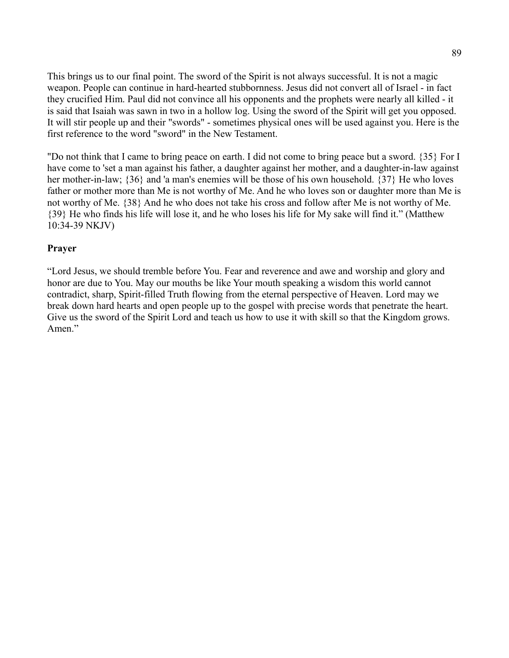This brings us to our final point. The sword of the Spirit is not always successful. It is not a magic weapon. People can continue in hard-hearted stubbornness. Jesus did not convert all of Israel - in fact they crucified Him. Paul did not convince all his opponents and the prophets were nearly all killed - it is said that Isaiah was sawn in two in a hollow log. Using the sword of the Spirit will get you opposed. It will stir people up and their "swords" - sometimes physical ones will be used against you. Here is the first reference to the word "sword" in the New Testament.

"Do not think that I came to bring peace on earth. I did not come to bring peace but a sword. {35} For I have come to 'set a man against his father, a daughter against her mother, and a daughter-in-law against her mother-in-law; {36} and 'a man's enemies will be those of his own household. {37} He who loves father or mother more than Me is not worthy of Me. And he who loves son or daughter more than Me is not worthy of Me. {38} And he who does not take his cross and follow after Me is not worthy of Me. {39} He who finds his life will lose it, and he who loses his life for My sake will find it." (Matthew 10:34-39 NKJV)

#### **Prayer**

"Lord Jesus, we should tremble before You. Fear and reverence and awe and worship and glory and honor are due to You. May our mouths be like Your mouth speaking a wisdom this world cannot contradict, sharp, Spirit-filled Truth flowing from the eternal perspective of Heaven. Lord may we break down hard hearts and open people up to the gospel with precise words that penetrate the heart. Give us the sword of the Spirit Lord and teach us how to use it with skill so that the Kingdom grows. Amen."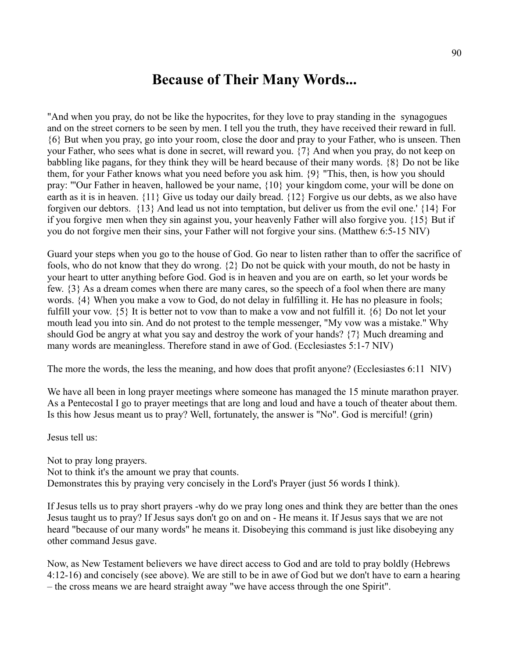# **Because of Their Many Words...**

"And when you pray, do not be like the hypocrites, for they love to pray standing in the synagogues and on the street corners to be seen by men. I tell you the truth, they have received their reward in full. {6} But when you pray, go into your room, close the door and pray to your Father, who is unseen. Then your Father, who sees what is done in secret, will reward you. {7} And when you pray, do not keep on babbling like pagans, for they think they will be heard because of their many words. {8} Do not be like them, for your Father knows what you need before you ask him. {9} "This, then, is how you should pray: "'Our Father in heaven, hallowed be your name, {10} your kingdom come, your will be done on earth as it is in heaven. {11} Give us today our daily bread. {12} Forgive us our debts, as we also have forgiven our debtors. {13} And lead us not into temptation, but deliver us from the evil one.' {14} For if you forgive men when they sin against you, your heavenly Father will also forgive you. {15} But if you do not forgive men their sins, your Father will not forgive your sins. (Matthew 6:5-15 NIV)

Guard your steps when you go to the house of God. Go near to listen rather than to offer the sacrifice of fools, who do not know that they do wrong. {2} Do not be quick with your mouth, do not be hasty in your heart to utter anything before God. God is in heaven and you are on earth, so let your words be few. {3} As a dream comes when there are many cares, so the speech of a fool when there are many words. {4} When you make a vow to God, do not delay in fulfilling it. He has no pleasure in fools; fulfill your vow. {5} It is better not to vow than to make a vow and not fulfill it. {6} Do not let your mouth lead you into sin. And do not protest to the temple messenger, "My vow was a mistake." Why should God be angry at what you say and destroy the work of your hands? {7} Much dreaming and many words are meaningless. Therefore stand in awe of God. (Ecclesiastes 5:1-7 NIV)

The more the words, the less the meaning, and how does that profit anyone? (Ecclesiastes 6:11 NIV)

We have all been in long prayer meetings where someone has managed the 15 minute marathon prayer. As a Pentecostal I go to prayer meetings that are long and loud and have a touch of theater about them. Is this how Jesus meant us to pray? Well, fortunately, the answer is "No". God is merciful! (grin)

Jesus tell us:

Not to pray long prayers. Not to think it's the amount we pray that counts. Demonstrates this by praying very concisely in the Lord's Prayer (just 56 words I think).

If Jesus tells us to pray short prayers -why do we pray long ones and think they are better than the ones Jesus taught us to pray? If Jesus says don't go on and on - He means it. If Jesus says that we are not heard "because of our many words" he means it. Disobeying this command is just like disobeying any other command Jesus gave.

Now, as New Testament believers we have direct access to God and are told to pray boldly (Hebrews 4:12-16) and concisely (see above). We are still to be in awe of God but we don't have to earn a hearing – the cross means we are heard straight away "we have access through the one Spirit".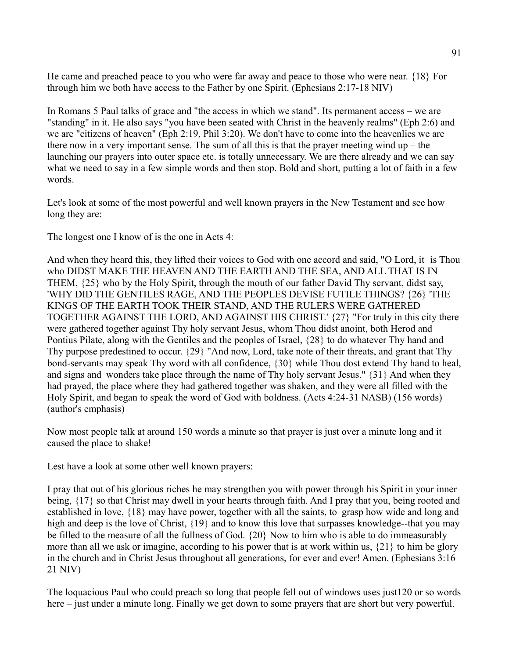He came and preached peace to you who were far away and peace to those who were near. {18} For through him we both have access to the Father by one Spirit. (Ephesians 2:17-18 NIV)

In Romans 5 Paul talks of grace and "the access in which we stand". Its permanent access – we are "standing" in it. He also says "you have been seated with Christ in the heavenly realms" (Eph 2:6) and we are "citizens of heaven" (Eph 2:19, Phil 3:20). We don't have to come into the heavenlies we are there now in a very important sense. The sum of all this is that the prayer meeting wind  $up$  – the launching our prayers into outer space etc. is totally unnecessary. We are there already and we can say what we need to say in a few simple words and then stop. Bold and short, putting a lot of faith in a few words.

Let's look at some of the most powerful and well known prayers in the New Testament and see how long they are:

The longest one I know of is the one in Acts 4:

And when they heard this, they lifted their voices to God with one accord and said, "O Lord, it is Thou who DIDST MAKE THE HEAVEN AND THE EARTH AND THE SEA, AND ALL THAT IS IN THEM, {25} who by the Holy Spirit, through the mouth of our father David Thy servant, didst say, 'WHY DID THE GENTILES RAGE, AND THE PEOPLES DEVISE FUTILE THINGS? {26} 'THE KINGS OF THE EARTH TOOK THEIR STAND, AND THE RULERS WERE GATHERED TOGETHER AGAINST THE LORD, AND AGAINST HIS CHRIST.' {27} "For truly in this city there were gathered together against Thy holy servant Jesus, whom Thou didst anoint, both Herod and Pontius Pilate, along with the Gentiles and the peoples of Israel, {28} to do whatever Thy hand and Thy purpose predestined to occur. {29} "And now, Lord, take note of their threats, and grant that Thy bond-servants may speak Thy word with all confidence, {30} while Thou dost extend Thy hand to heal, and signs and wonders take place through the name of Thy holy servant Jesus." {31} And when they had prayed, the place where they had gathered together was shaken, and they were all filled with the Holy Spirit, and began to speak the word of God with boldness. (Acts 4:24-31 NASB) (156 words) (author's emphasis)

Now most people talk at around 150 words a minute so that prayer is just over a minute long and it caused the place to shake!

Lest have a look at some other well known prayers:

I pray that out of his glorious riches he may strengthen you with power through his Spirit in your inner being, {17} so that Christ may dwell in your hearts through faith. And I pray that you, being rooted and established in love, {18} may have power, together with all the saints, to grasp how wide and long and high and deep is the love of Christ,  $\{19\}$  and to know this love that surpasses knowledge--that you may be filled to the measure of all the fullness of God. {20} Now to him who is able to do immeasurably more than all we ask or imagine, according to his power that is at work within us, {21} to him be glory in the church and in Christ Jesus throughout all generations, for ever and ever! Amen. (Ephesians 3:16 21 NIV)

The loquacious Paul who could preach so long that people fell out of windows uses just120 or so words here – just under a minute long. Finally we get down to some prayers that are short but very powerful.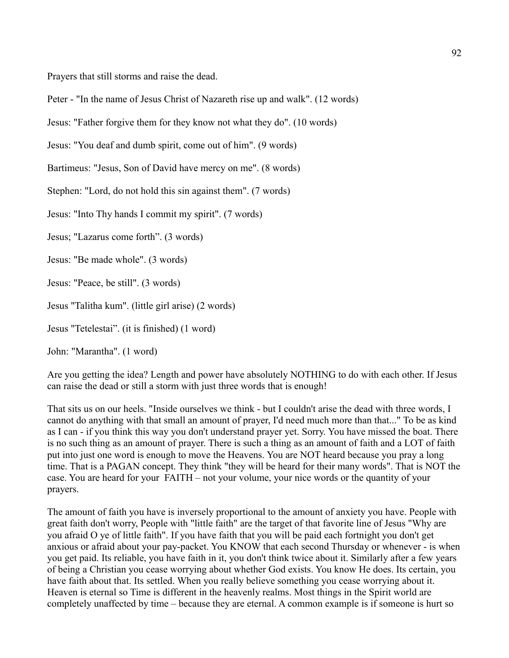Prayers that still storms and raise the dead.

Peter - "In the name of Jesus Christ of Nazareth rise up and walk". (12 words)

Jesus: "Father forgive them for they know not what they do". (10 words)

Jesus: "You deaf and dumb spirit, come out of him". (9 words)

Bartimeus: "Jesus, Son of David have mercy on me". (8 words)

Stephen: "Lord, do not hold this sin against them". (7 words)

Jesus: "Into Thy hands I commit my spirit". (7 words)

Jesus; "Lazarus come forth". (3 words)

Jesus: "Be made whole". (3 words)

Jesus: "Peace, be still". (3 words)

Jesus "Talitha kum". (little girl arise) (2 words)

Jesus "Tetelestai". (it is finished) (1 word)

John: "Marantha". (1 word)

Are you getting the idea? Length and power have absolutely NOTHING to do with each other. If Jesus can raise the dead or still a storm with just three words that is enough!

That sits us on our heels. "Inside ourselves we think - but I couldn't arise the dead with three words, I cannot do anything with that small an amount of prayer, I'd need much more than that..." To be as kind as I can - if you think this way you don't understand prayer yet. Sorry. You have missed the boat. There is no such thing as an amount of prayer. There is such a thing as an amount of faith and a LOT of faith put into just one word is enough to move the Heavens. You are NOT heard because you pray a long time. That is a PAGAN concept. They think "they will be heard for their many words". That is NOT the case. You are heard for your FAITH – not your volume, your nice words or the quantity of your prayers.

The amount of faith you have is inversely proportional to the amount of anxiety you have. People with great faith don't worry, People with "little faith" are the target of that favorite line of Jesus "Why are you afraid O ye of little faith". If you have faith that you will be paid each fortnight you don't get anxious or afraid about your pay-packet. You KNOW that each second Thursday or whenever - is when you get paid. Its reliable, you have faith in it, you don't think twice about it. Similarly after a few years of being a Christian you cease worrying about whether God exists. You know He does. Its certain, you have faith about that. Its settled. When you really believe something you cease worrying about it. Heaven is eternal so Time is different in the heavenly realms. Most things in the Spirit world are completely unaffected by time – because they are eternal. A common example is if someone is hurt so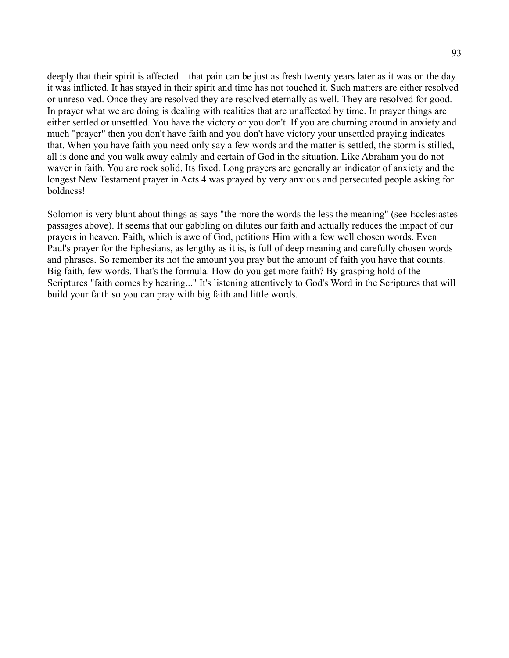deeply that their spirit is affected – that pain can be just as fresh twenty years later as it was on the day it was inflicted. It has stayed in their spirit and time has not touched it. Such matters are either resolved or unresolved. Once they are resolved they are resolved eternally as well. They are resolved for good. In prayer what we are doing is dealing with realities that are unaffected by time. In prayer things are either settled or unsettled. You have the victory or you don't. If you are churning around in anxiety and much "prayer" then you don't have faith and you don't have victory your unsettled praying indicates that. When you have faith you need only say a few words and the matter is settled, the storm is stilled, all is done and you walk away calmly and certain of God in the situation. Like Abraham you do not waver in faith. You are rock solid. Its fixed. Long prayers are generally an indicator of anxiety and the longest New Testament prayer in Acts 4 was prayed by very anxious and persecuted people asking for boldness!

Solomon is very blunt about things as says "the more the words the less the meaning" (see Ecclesiastes passages above). It seems that our gabbling on dilutes our faith and actually reduces the impact of our prayers in heaven. Faith, which is awe of God, petitions Him with a few well chosen words. Even Paul's prayer for the Ephesians, as lengthy as it is, is full of deep meaning and carefully chosen words and phrases. So remember its not the amount you pray but the amount of faith you have that counts. Big faith, few words. That's the formula. How do you get more faith? By grasping hold of the Scriptures "faith comes by hearing..." It's listening attentively to God's Word in the Scriptures that will build your faith so you can pray with big faith and little words.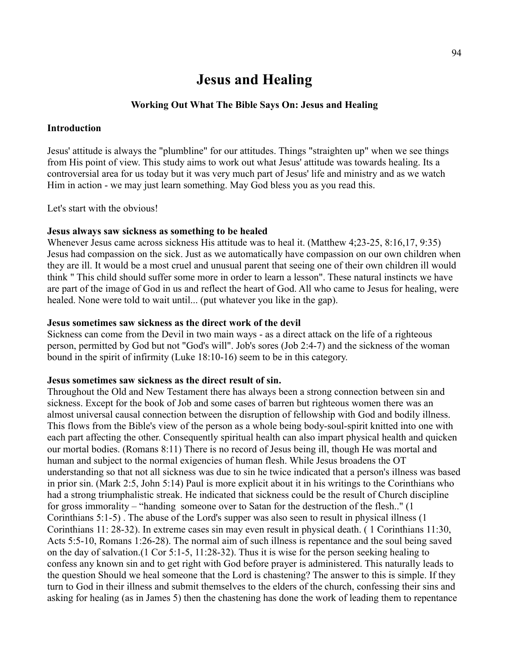# **Jesus and Healing**

#### **Working Out What The Bible Says On: Jesus and Healing**

#### **Introduction**

Jesus' attitude is always the "plumbline" for our attitudes. Things "straighten up" when we see things from His point of view. This study aims to work out what Jesus' attitude was towards healing. Its a controversial area for us today but it was very much part of Jesus' life and ministry and as we watch Him in action - we may just learn something. May God bless you as you read this.

Let's start with the obvious!

#### **Jesus always saw sickness as something to be healed**

Whenever Jesus came across sickness His attitude was to heal it. (Matthew 4;23-25, 8:16,17, 9:35) Jesus had compassion on the sick. Just as we automatically have compassion on our own children when they are ill. It would be a most cruel and unusual parent that seeing one of their own children ill would think " This child should suffer some more in order to learn a lesson". These natural instincts we have are part of the image of God in us and reflect the heart of God. All who came to Jesus for healing, were healed. None were told to wait until... (put whatever you like in the gap).

#### **Jesus sometimes saw sickness as the direct work of the devil**

Sickness can come from the Devil in two main ways - as a direct attack on the life of a righteous person, permitted by God but not "God's will". Job's sores (Job 2:4-7) and the sickness of the woman bound in the spirit of infirmity (Luke 18:10-16) seem to be in this category.

#### **Jesus sometimes saw sickness as the direct result of sin.**

Throughout the Old and New Testament there has always been a strong connection between sin and sickness. Except for the book of Job and some cases of barren but righteous women there was an almost universal causal connection between the disruption of fellowship with God and bodily illness. This flows from the Bible's view of the person as a whole being body-soul-spirit knitted into one with each part affecting the other. Consequently spiritual health can also impart physical health and quicken our mortal bodies. (Romans 8:11) There is no record of Jesus being ill, though He was mortal and human and subject to the normal exigencies of human flesh. While Jesus broadens the OT understanding so that not all sickness was due to sin he twice indicated that a person's illness was based in prior sin. (Mark 2:5, John 5:14) Paul is more explicit about it in his writings to the Corinthians who had a strong triumphalistic streak. He indicated that sickness could be the result of Church discipline for gross immorality – "handing someone over to Satan for the destruction of the flesh.." (1 Corinthians 5:1-5) . The abuse of the Lord's supper was also seen to result in physical illness (1 Corinthians 11: 28-32). In extreme cases sin may even result in physical death. ( 1 Corinthians 11:30, Acts 5:5-10, Romans 1:26-28). The normal aim of such illness is repentance and the soul being saved on the day of salvation.(1 Cor 5:1-5, 11:28-32). Thus it is wise for the person seeking healing to confess any known sin and to get right with God before prayer is administered. This naturally leads to the question Should we heal someone that the Lord is chastening? The answer to this is simple. If they turn to God in their illness and submit themselves to the elders of the church, confessing their sins and asking for healing (as in James 5) then the chastening has done the work of leading them to repentance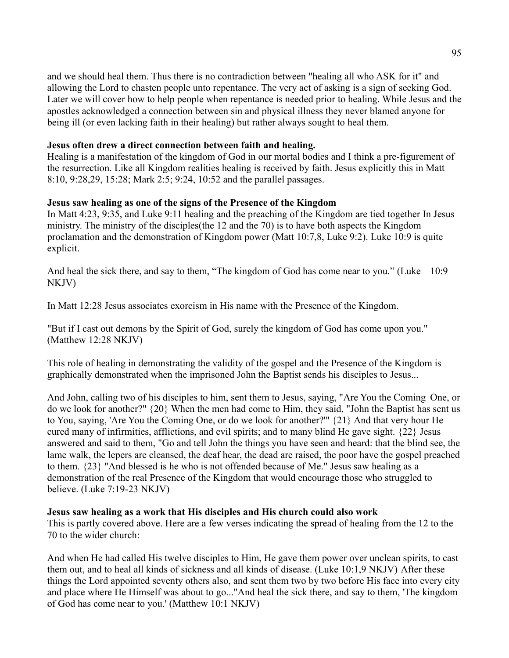and we should heal them. Thus there is no contradiction between "healing all who ASK for it" and allowing the Lord to chasten people unto repentance. The very act of asking is a sign of seeking God. Later we will cover how to help people when repentance is needed prior to healing. While Jesus and the apostles acknowledged a connection between sin and physical illness they never blamed anyone for being ill (or even lacking faith in their healing) but rather always sought to heal them.

### **Jesus often drew a direct connection between faith and healing.**

Healing is a manifestation of the kingdom of God in our mortal bodies and I think a pre-figurement of the resurrection. Like all Kingdom realities healing is received by faith. Jesus explicitly this in Matt 8:10, 9:28,29, 15:28; Mark 2:5; 9:24, 10:52 and the parallel passages.

# **Jesus saw healing as one of the signs of the Presence of the Kingdom**

In Matt 4:23, 9:35, and Luke 9:11 healing and the preaching of the Kingdom are tied together In Jesus ministry. The ministry of the disciples(the 12 and the 70) is to have both aspects the Kingdom proclamation and the demonstration of Kingdom power (Matt 10:7,8, Luke 9:2). Luke 10:9 is quite explicit.

And heal the sick there, and say to them, "The kingdom of God has come near to you." (Luke 10:9 NKJV)

In Matt 12:28 Jesus associates exorcism in His name with the Presence of the Kingdom.

"But if I cast out demons by the Spirit of God, surely the kingdom of God has come upon you." (Matthew 12:28 NKJV)

This role of healing in demonstrating the validity of the gospel and the Presence of the Kingdom is graphically demonstrated when the imprisoned John the Baptist sends his disciples to Jesus...

And John, calling two of his disciples to him, sent them to Jesus, saying, "Are You the Coming One, or do we look for another?" {20} When the men had come to Him, they said, "John the Baptist has sent us to You, saying, 'Are You the Coming One, or do we look for another?'" {21} And that very hour He cured many of infirmities, afflictions, and evil spirits; and to many blind He gave sight. {22} Jesus answered and said to them, "Go and tell John the things you have seen and heard: that the blind see, the lame walk, the lepers are cleansed, the deaf hear, the dead are raised, the poor have the gospel preached to them. {23} "And blessed is he who is not offended because of Me." Jesus saw healing as a demonstration of the real Presence of the Kingdom that would encourage those who struggled to believe. (Luke 7:19-23 NKJV)

# **Jesus saw healing as a work that His disciples and His church could also work**

This is partly covered above. Here are a few verses indicating the spread of healing from the 12 to the 70 to the wider church:

And when He had called His twelve disciples to Him, He gave them power over unclean spirits, to cast them out, and to heal all kinds of sickness and all kinds of disease. (Luke 10:1,9 NKJV) After these things the Lord appointed seventy others also, and sent them two by two before His face into every city and place where He Himself was about to go..."And heal the sick there, and say to them, 'The kingdom of God has come near to you.' (Matthew 10:1 NKJV)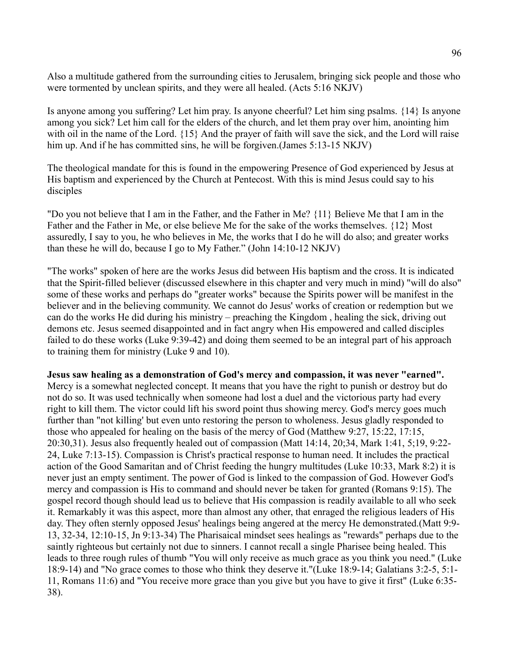Also a multitude gathered from the surrounding cities to Jerusalem, bringing sick people and those who were tormented by unclean spirits, and they were all healed. (Acts 5:16 NKJV)

Is anyone among you suffering? Let him pray. Is anyone cheerful? Let him sing psalms. {14} Is anyone among you sick? Let him call for the elders of the church, and let them pray over him, anointing him with oil in the name of the Lord.  $\{15\}$  And the prayer of faith will save the sick, and the Lord will raise him up. And if he has committed sins, he will be forgiven.(James 5:13-15 NKJV)

The theological mandate for this is found in the empowering Presence of God experienced by Jesus at His baptism and experienced by the Church at Pentecost. With this is mind Jesus could say to his disciples

"Do you not believe that I am in the Father, and the Father in Me? {11} Believe Me that I am in the Father and the Father in Me, or else believe Me for the sake of the works themselves. {12} Most assuredly, I say to you, he who believes in Me, the works that I do he will do also; and greater works than these he will do, because I go to My Father." (John 14:10-12 NKJV)

"The works" spoken of here are the works Jesus did between His baptism and the cross. It is indicated that the Spirit-filled believer (discussed elsewhere in this chapter and very much in mind) "will do also" some of these works and perhaps do "greater works" because the Spirits power will be manifest in the believer and in the believing community. We cannot do Jesus' works of creation or redemption but we can do the works He did during his ministry – preaching the Kingdom , healing the sick, driving out demons etc. Jesus seemed disappointed and in fact angry when His empowered and called disciples failed to do these works (Luke 9:39-42) and doing them seemed to be an integral part of his approach to training them for ministry (Luke 9 and 10).

#### **Jesus saw healing as a demonstration of God's mercy and compassion, it was never "earned".**

Mercy is a somewhat neglected concept. It means that you have the right to punish or destroy but do not do so. It was used technically when someone had lost a duel and the victorious party had every right to kill them. The victor could lift his sword point thus showing mercy. God's mercy goes much further than "not killing' but even unto restoring the person to wholeness. Jesus gladly responded to those who appealed for healing on the basis of the mercy of God (Matthew 9:27, 15:22, 17:15, 20:30,31). Jesus also frequently healed out of compassion (Matt 14:14, 20;34, Mark 1:41, 5;19, 9:22- 24, Luke 7:13-15). Compassion is Christ's practical response to human need. It includes the practical action of the Good Samaritan and of Christ feeding the hungry multitudes (Luke 10:33, Mark 8:2) it is never just an empty sentiment. The power of God is linked to the compassion of God. However God's mercy and compassion is His to command and should never be taken for granted (Romans 9:15). The gospel record though should lead us to believe that His compassion is readily available to all who seek it. Remarkably it was this aspect, more than almost any other, that enraged the religious leaders of His day. They often sternly opposed Jesus' healings being angered at the mercy He demonstrated.(Matt 9:9- 13, 32-34, 12:10-15, Jn 9:13-34) The Pharisaical mindset sees healings as "rewards" perhaps due to the saintly righteous but certainly not due to sinners. I cannot recall a single Pharisee being healed. This leads to three rough rules of thumb "You will only receive as much grace as you think you need." (Luke 18:9-14) and "No grace comes to those who think they deserve it."(Luke 18:9-14; Galatians 3:2-5, 5:1- 11, Romans 11:6) and "You receive more grace than you give but you have to give it first" (Luke 6:35- 38).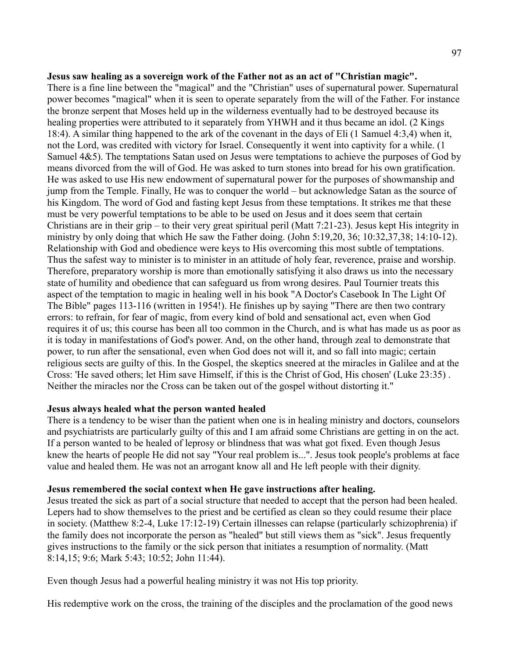#### **Jesus saw healing as a sovereign work of the Father not as an act of "Christian magic".**

There is a fine line between the "magical" and the "Christian" uses of supernatural power. Supernatural power becomes "magical" when it is seen to operate separately from the will of the Father. For instance the bronze serpent that Moses held up in the wilderness eventually had to be destroyed because its healing properties were attributed to it separately from YHWH and it thus became an idol. (2 Kings 18:4). A similar thing happened to the ark of the covenant in the days of Eli (1 Samuel 4:3,4) when it, not the Lord, was credited with victory for Israel. Consequently it went into captivity for a while. (1 Samuel 4&5). The temptations Satan used on Jesus were temptations to achieve the purposes of God by means divorced from the will of God. He was asked to turn stones into bread for his own gratification. He was asked to use His new endowment of supernatural power for the purposes of showmanship and jump from the Temple. Finally, He was to conquer the world – but acknowledge Satan as the source of his Kingdom. The word of God and fasting kept Jesus from these temptations. It strikes me that these must be very powerful temptations to be able to be used on Jesus and it does seem that certain Christians are in their grip – to their very great spiritual peril (Matt 7:21-23). Jesus kept His integrity in ministry by only doing that which He saw the Father doing. (John 5:19,20, 36; 10:32,37,38; 14:10-12). Relationship with God and obedience were keys to His overcoming this most subtle of temptations. Thus the safest way to minister is to minister in an attitude of holy fear, reverence, praise and worship. Therefore, preparatory worship is more than emotionally satisfying it also draws us into the necessary state of humility and obedience that can safeguard us from wrong desires. Paul Tournier treats this aspect of the temptation to magic in healing well in his book "A Doctor's Casebook In The Light Of The Bible" pages 113-116 (written in 1954!). He finishes up by saying "There are then two contrary errors: to refrain, for fear of magic, from every kind of bold and sensational act, even when God requires it of us; this course has been all too common in the Church, and is what has made us as poor as it is today in manifestations of God's power. And, on the other hand, through zeal to demonstrate that power, to run after the sensational, even when God does not will it, and so fall into magic; certain religious sects are guilty of this. In the Gospel, the skeptics sneered at the miracles in Galilee and at the Cross: 'He saved others; let Him save Himself, if this is the Christ of God, His chosen' (Luke 23:35) . Neither the miracles nor the Cross can be taken out of the gospel without distorting it."

#### **Jesus always healed what the person wanted healed**

There is a tendency to be wiser than the patient when one is in healing ministry and doctors, counselors and psychiatrists are particularly guilty of this and I am afraid some Christians are getting in on the act. If a person wanted to be healed of leprosy or blindness that was what got fixed. Even though Jesus knew the hearts of people He did not say "Your real problem is...". Jesus took people's problems at face value and healed them. He was not an arrogant know all and He left people with their dignity.

#### **Jesus remembered the social context when He gave instructions after healing.**

Jesus treated the sick as part of a social structure that needed to accept that the person had been healed. Lepers had to show themselves to the priest and be certified as clean so they could resume their place in society. (Matthew 8:2-4, Luke 17:12-19) Certain illnesses can relapse (particularly schizophrenia) if the family does not incorporate the person as "healed" but still views them as "sick". Jesus frequently gives instructions to the family or the sick person that initiates a resumption of normality. (Matt 8:14,15; 9:6; Mark 5:43; 10:52; John 11:44).

Even though Jesus had a powerful healing ministry it was not His top priority.

His redemptive work on the cross, the training of the disciples and the proclamation of the good news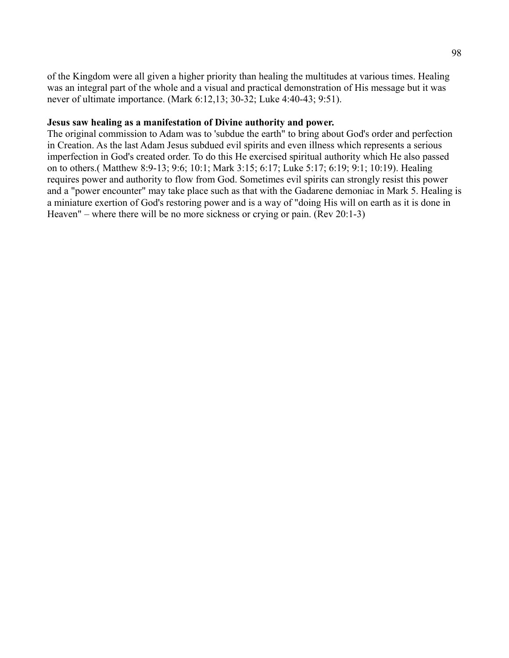of the Kingdom were all given a higher priority than healing the multitudes at various times. Healing was an integral part of the whole and a visual and practical demonstration of His message but it was never of ultimate importance. (Mark 6:12,13; 30-32; Luke 4:40-43; 9:51).

#### **Jesus saw healing as a manifestation of Divine authority and power.**

The original commission to Adam was to 'subdue the earth" to bring about God's order and perfection in Creation. As the last Adam Jesus subdued evil spirits and even illness which represents a serious imperfection in God's created order. To do this He exercised spiritual authority which He also passed on to others.( Matthew 8:9-13; 9:6; 10:1; Mark 3:15; 6:17; Luke 5:17; 6:19; 9:1; 10:19). Healing requires power and authority to flow from God. Sometimes evil spirits can strongly resist this power and a "power encounter" may take place such as that with the Gadarene demoniac in Mark 5. Healing is a miniature exertion of God's restoring power and is a way of "doing His will on earth as it is done in Heaven" – where there will be no more sickness or crying or pain. (Rev 20:1-3)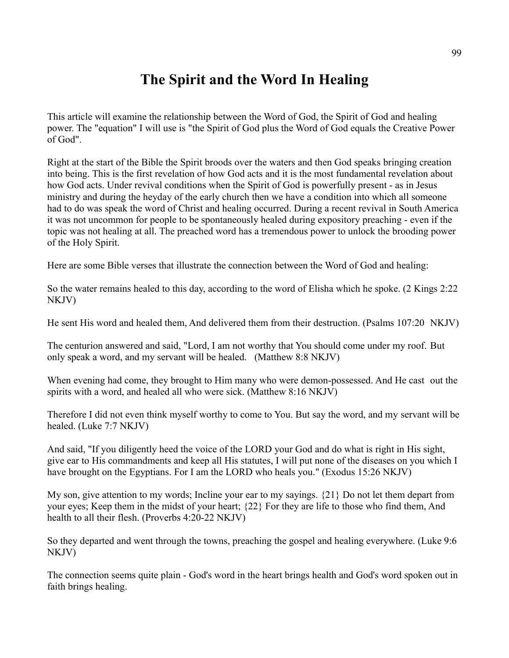# **The Spirit and the Word In Healing**

This article will examine the relationship between the Word of God, the Spirit of God and healing power. The "equation" I will use is "the Spirit of God plus the Word of God equals the Creative Power of God".

Right at the start of the Bible the Spirit broods over the waters and then God speaks bringing creation into being. This is the first revelation of how God acts and it is the most fundamental revelation about how God acts. Under revival conditions when the Spirit of God is powerfully present - as in Jesus ministry and during the heyday of the early church then we have a condition into which all someone had to do was speak the word of Christ and healing occurred. During a recent revival in South America it was not uncommon for people to be spontaneously healed during expository preaching - even if the topic was not healing at all. The preached word has a tremendous power to unlock the brooding power of the Holy Spirit.

Here are some Bible verses that illustrate the connection between the Word of God and healing:

So the water remains healed to this day, according to the word of Elisha which he spoke. (2 Kings 2:22 NKJV)

He sent His word and healed them, And delivered them from their destruction. (Psalms 107:20 NKJV)

The centurion answered and said, "Lord, I am not worthy that You should come under my roof. But only speak a word, and my servant will be healed. (Matthew 8:8 NKJV)

When evening had come, they brought to Him many who were demon-possessed. And He cast out the spirits with a word, and healed all who were sick. (Matthew 8:16 NKJV)

Therefore I did not even think myself worthy to come to You. But say the word, and my servant will be healed. (Luke 7:7 NKJV)

And said, "If you diligently heed the voice of the LORD your God and do what is right in His sight, give ear to His commandments and keep all His statutes, I will put none of the diseases on you which I have brought on the Egyptians. For I am the LORD who heals you." (Exodus 15:26 NKJV)

My son, give attention to my words; Incline your ear to my sayings. {21} Do not let them depart from your eyes; Keep them in the midst of your heart; {22} For they are life to those who find them, And health to all their flesh. (Proverbs 4:20-22 NKJV)

So they departed and went through the towns, preaching the gospel and healing everywhere. (Luke 9:6 NKJV)

The connection seems quite plain - God's word in the heart brings health and God's word spoken out in faith brings healing.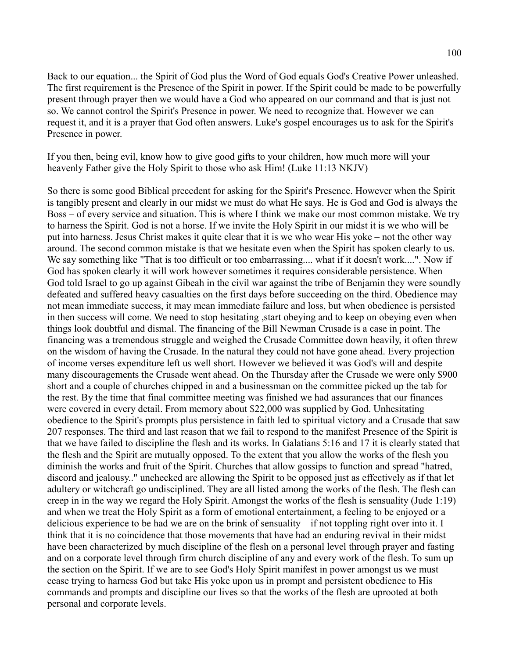Back to our equation... the Spirit of God plus the Word of God equals God's Creative Power unleashed. The first requirement is the Presence of the Spirit in power. If the Spirit could be made to be powerfully present through prayer then we would have a God who appeared on our command and that is just not so. We cannot control the Spirit's Presence in power. We need to recognize that. However we can request it, and it is a prayer that God often answers. Luke's gospel encourages us to ask for the Spirit's Presence in power.

If you then, being evil, know how to give good gifts to your children, how much more will your heavenly Father give the Holy Spirit to those who ask Him! (Luke 11:13 NKJV)

So there is some good Biblical precedent for asking for the Spirit's Presence. However when the Spirit is tangibly present and clearly in our midst we must do what He says. He is God and God is always the Boss – of every service and situation. This is where I think we make our most common mistake. We try to harness the Spirit. God is not a horse. If we invite the Holy Spirit in our midst it is we who will be put into harness. Jesus Christ makes it quite clear that it is we who wear His yoke – not the other way around. The second common mistake is that we hesitate even when the Spirit has spoken clearly to us. We say something like "That is too difficult or too embarrassing.... what if it doesn't work....". Now if God has spoken clearly it will work however sometimes it requires considerable persistence. When God told Israel to go up against Gibeah in the civil war against the tribe of Benjamin they were soundly defeated and suffered heavy casualties on the first days before succeeding on the third. Obedience may not mean immediate success, it may mean immediate failure and loss, but when obedience is persisted in then success will come. We need to stop hesitating ,start obeying and to keep on obeying even when things look doubtful and dismal. The financing of the Bill Newman Crusade is a case in point. The financing was a tremendous struggle and weighed the Crusade Committee down heavily, it often threw on the wisdom of having the Crusade. In the natural they could not have gone ahead. Every projection of income verses expenditure left us well short. However we believed it was God's will and despite many discouragements the Crusade went ahead. On the Thursday after the Crusade we were only \$900 short and a couple of churches chipped in and a businessman on the committee picked up the tab for the rest. By the time that final committee meeting was finished we had assurances that our finances were covered in every detail. From memory about \$22,000 was supplied by God. Unhesitating obedience to the Spirit's prompts plus persistence in faith led to spiritual victory and a Crusade that saw 207 responses. The third and last reason that we fail to respond to the manifest Presence of the Spirit is that we have failed to discipline the flesh and its works. In Galatians 5:16 and 17 it is clearly stated that the flesh and the Spirit are mutually opposed. To the extent that you allow the works of the flesh you diminish the works and fruit of the Spirit. Churches that allow gossips to function and spread "hatred, discord and jealousy.." unchecked are allowing the Spirit to be opposed just as effectively as if that let adultery or witchcraft go undisciplined. They are all listed among the works of the flesh. The flesh can creep in in the way we regard the Holy Spirit. Amongst the works of the flesh is sensuality (Jude 1:19) and when we treat the Holy Spirit as a form of emotional entertainment, a feeling to be enjoyed or a delicious experience to be had we are on the brink of sensuality – if not toppling right over into it. I think that it is no coincidence that those movements that have had an enduring revival in their midst have been characterized by much discipline of the flesh on a personal level through prayer and fasting and on a corporate level through firm church discipline of any and every work of the flesh. To sum up the section on the Spirit. If we are to see God's Holy Spirit manifest in power amongst us we must cease trying to harness God but take His yoke upon us in prompt and persistent obedience to His commands and prompts and discipline our lives so that the works of the flesh are uprooted at both personal and corporate levels.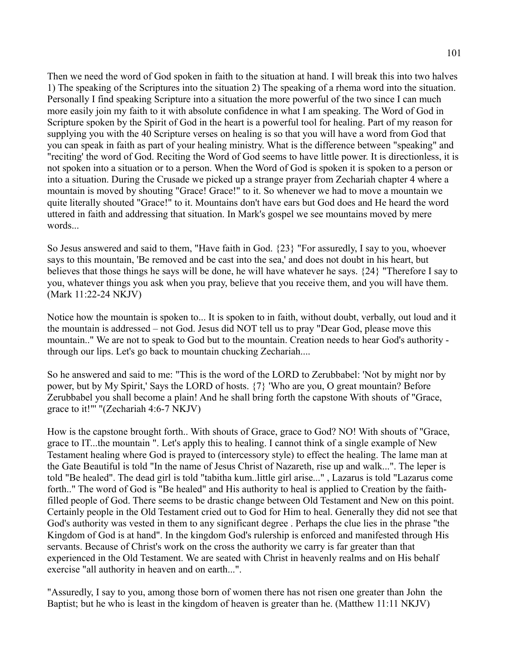Then we need the word of God spoken in faith to the situation at hand. I will break this into two halves 1) The speaking of the Scriptures into the situation 2) The speaking of a rhema word into the situation. Personally I find speaking Scripture into a situation the more powerful of the two since I can much more easily join my faith to it with absolute confidence in what I am speaking. The Word of God in Scripture spoken by the Spirit of God in the heart is a powerful tool for healing. Part of my reason for supplying you with the 40 Scripture verses on healing is so that you will have a word from God that you can speak in faith as part of your healing ministry. What is the difference between "speaking" and "reciting' the word of God. Reciting the Word of God seems to have little power. It is directionless, it is not spoken into a situation or to a person. When the Word of God is spoken it is spoken to a person or into a situation. During the Crusade we picked up a strange prayer from Zechariah chapter 4 where a mountain is moved by shouting "Grace! Grace!" to it. So whenever we had to move a mountain we quite literally shouted "Grace!" to it. Mountains don't have ears but God does and He heard the word uttered in faith and addressing that situation. In Mark's gospel we see mountains moved by mere words

So Jesus answered and said to them, "Have faith in God. {23} "For assuredly, I say to you, whoever says to this mountain, 'Be removed and be cast into the sea,' and does not doubt in his heart, but believes that those things he says will be done, he will have whatever he says. {24} "Therefore I say to you, whatever things you ask when you pray, believe that you receive them, and you will have them. (Mark 11:22-24 NKJV)

Notice how the mountain is spoken to... It is spoken to in faith, without doubt, verbally, out loud and it the mountain is addressed – not God. Jesus did NOT tell us to pray "Dear God, please move this mountain.." We are not to speak to God but to the mountain. Creation needs to hear God's authority through our lips. Let's go back to mountain chucking Zechariah....

So he answered and said to me: "This is the word of the LORD to Zerubbabel: 'Not by might nor by power, but by My Spirit,' Says the LORD of hosts. {7} 'Who are you, O great mountain? Before Zerubbabel you shall become a plain! And he shall bring forth the capstone With shouts of "Grace, grace to it!"' "(Zechariah 4:6-7 NKJV)

How is the capstone brought forth.. With shouts of Grace, grace to God? NO! With shouts of "Grace, grace to IT...the mountain ". Let's apply this to healing. I cannot think of a single example of New Testament healing where God is prayed to (intercessory style) to effect the healing. The lame man at the Gate Beautiful is told "In the name of Jesus Christ of Nazareth, rise up and walk...". The leper is told "Be healed". The dead girl is told "tabitha kum..little girl arise..." , Lazarus is told "Lazarus come forth.." The word of God is "Be healed" and His authority to heal is applied to Creation by the faithfilled people of God. There seems to be drastic change between Old Testament and New on this point. Certainly people in the Old Testament cried out to God for Him to heal. Generally they did not see that God's authority was vested in them to any significant degree . Perhaps the clue lies in the phrase "the Kingdom of God is at hand". In the kingdom God's rulership is enforced and manifested through His servants. Because of Christ's work on the cross the authority we carry is far greater than that experienced in the Old Testament. We are seated with Christ in heavenly realms and on His behalf exercise "all authority in heaven and on earth...".

"Assuredly, I say to you, among those born of women there has not risen one greater than John the Baptist; but he who is least in the kingdom of heaven is greater than he. (Matthew 11:11 NKJV)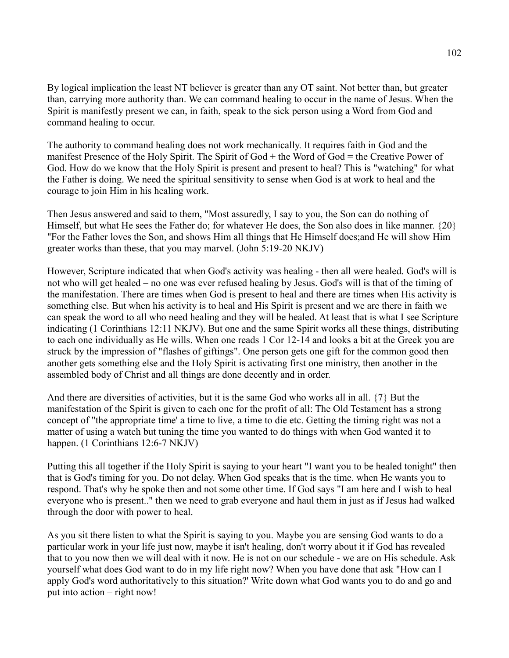By logical implication the least NT believer is greater than any OT saint. Not better than, but greater than, carrying more authority than. We can command healing to occur in the name of Jesus. When the Spirit is manifestly present we can, in faith, speak to the sick person using a Word from God and command healing to occur.

The authority to command healing does not work mechanically. It requires faith in God and the manifest Presence of the Holy Spirit. The Spirit of God + the Word of God = the Creative Power of God. How do we know that the Holy Spirit is present and present to heal? This is "watching" for what the Father is doing. We need the spiritual sensitivity to sense when God is at work to heal and the courage to join Him in his healing work.

Then Jesus answered and said to them, "Most assuredly, I say to you, the Son can do nothing of Himself, but what He sees the Father do; for whatever He does, the Son also does in like manner. {20} "For the Father loves the Son, and shows Him all things that He Himself does;and He will show Him greater works than these, that you may marvel. (John 5:19-20 NKJV)

However, Scripture indicated that when God's activity was healing - then all were healed. God's will is not who will get healed – no one was ever refused healing by Jesus. God's will is that of the timing of the manifestation. There are times when God is present to heal and there are times when His activity is something else. But when his activity is to heal and His Spirit is present and we are there in faith we can speak the word to all who need healing and they will be healed. At least that is what I see Scripture indicating (1 Corinthians 12:11 NKJV). But one and the same Spirit works all these things, distributing to each one individually as He wills. When one reads 1 Cor 12-14 and looks a bit at the Greek you are struck by the impression of "flashes of giftings". One person gets one gift for the common good then another gets something else and the Holy Spirit is activating first one ministry, then another in the assembled body of Christ and all things are done decently and in order.

And there are diversities of activities, but it is the same God who works all in all. {7} But the manifestation of the Spirit is given to each one for the profit of all: The Old Testament has a strong concept of "the appropriate time' a time to live, a time to die etc. Getting the timing right was not a matter of using a watch but tuning the time you wanted to do things with when God wanted it to happen. (1 Corinthians 12:6-7 NKJV)

Putting this all together if the Holy Spirit is saying to your heart "I want you to be healed tonight" then that is God's timing for you. Do not delay. When God speaks that is the time. when He wants you to respond. That's why he spoke then and not some other time. If God says "I am here and I wish to heal everyone who is present.." then we need to grab everyone and haul them in just as if Jesus had walked through the door with power to heal.

As you sit there listen to what the Spirit is saying to you. Maybe you are sensing God wants to do a particular work in your life just now, maybe it isn't healing, don't worry about it if God has revealed that to you now then we will deal with it now. He is not on our schedule - we are on His schedule. Ask yourself what does God want to do in my life right now? When you have done that ask "How can I apply God's word authoritatively to this situation?' Write down what God wants you to do and go and put into action – right now!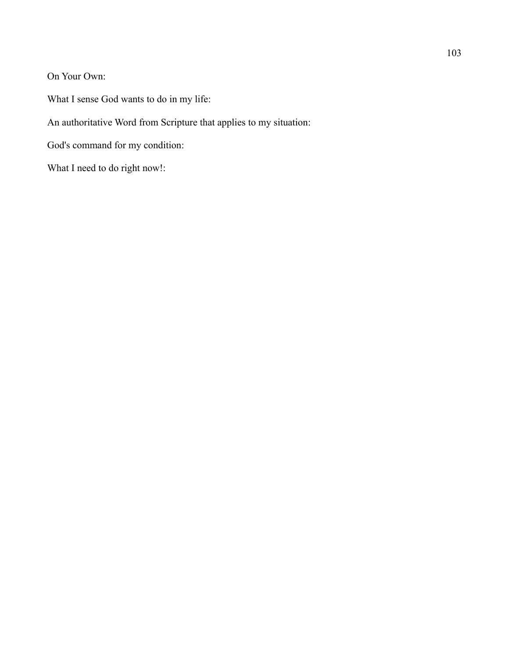On Your Own:

What I sense God wants to do in my life:

An authoritative Word from Scripture that applies to my situation:

God's command for my condition:

What I need to do right now!: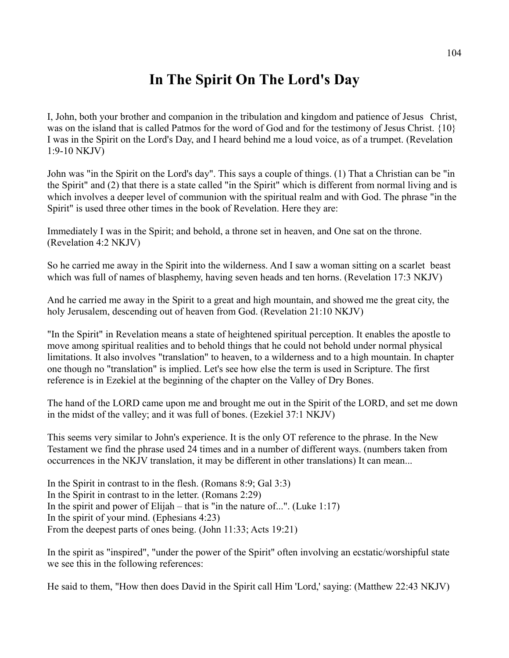# **In The Spirit On The Lord's Day**

I, John, both your brother and companion in the tribulation and kingdom and patience of Jesus Christ, was on the island that is called Patmos for the word of God and for the testimony of Jesus Christ. {10} I was in the Spirit on the Lord's Day, and I heard behind me a loud voice, as of a trumpet. (Revelation 1:9-10 NKJV)

John was "in the Spirit on the Lord's day". This says a couple of things. (1) That a Christian can be "in the Spirit" and (2) that there is a state called "in the Spirit" which is different from normal living and is which involves a deeper level of communion with the spiritual realm and with God. The phrase "in the Spirit" is used three other times in the book of Revelation. Here they are:

Immediately I was in the Spirit; and behold, a throne set in heaven, and One sat on the throne. (Revelation 4:2 NKJV)

So he carried me away in the Spirit into the wilderness. And I saw a woman sitting on a scarlet beast which was full of names of blasphemy, having seven heads and ten horns. (Revelation 17:3 NKJV)

And he carried me away in the Spirit to a great and high mountain, and showed me the great city, the holy Jerusalem, descending out of heaven from God. (Revelation 21:10 NKJV)

"In the Spirit" in Revelation means a state of heightened spiritual perception. It enables the apostle to move among spiritual realities and to behold things that he could not behold under normal physical limitations. It also involves "translation" to heaven, to a wilderness and to a high mountain. In chapter one though no "translation" is implied. Let's see how else the term is used in Scripture. The first reference is in Ezekiel at the beginning of the chapter on the Valley of Dry Bones.

The hand of the LORD came upon me and brought me out in the Spirit of the LORD, and set me down in the midst of the valley; and it was full of bones. (Ezekiel 37:1 NKJV)

This seems very similar to John's experience. It is the only OT reference to the phrase. In the New Testament we find the phrase used 24 times and in a number of different ways. (numbers taken from occurrences in the NKJV translation, it may be different in other translations) It can mean...

In the Spirit in contrast to in the flesh. (Romans 8:9; Gal 3:3) In the Spirit in contrast to in the letter. (Romans 2:29) In the spirit and power of Elijah – that is "in the nature of...". (Luke 1:17) In the spirit of your mind. (Ephesians 4:23) From the deepest parts of ones being. (John 11:33; Acts 19:21)

In the spirit as "inspired", "under the power of the Spirit" often involving an ecstatic/worshipful state we see this in the following references:

He said to them, "How then does David in the Spirit call Him 'Lord,' saying: (Matthew 22:43 NKJV)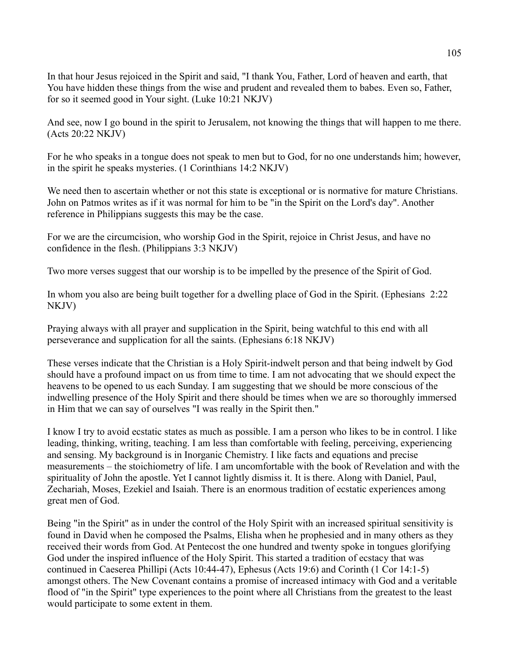In that hour Jesus rejoiced in the Spirit and said, "I thank You, Father, Lord of heaven and earth, that You have hidden these things from the wise and prudent and revealed them to babes. Even so, Father, for so it seemed good in Your sight. (Luke 10:21 NKJV)

And see, now I go bound in the spirit to Jerusalem, not knowing the things that will happen to me there. (Acts 20:22 NKJV)

For he who speaks in a tongue does not speak to men but to God, for no one understands him; however, in the spirit he speaks mysteries. (1 Corinthians 14:2 NKJV)

We need then to ascertain whether or not this state is exceptional or is normative for mature Christians. John on Patmos writes as if it was normal for him to be "in the Spirit on the Lord's day". Another reference in Philippians suggests this may be the case.

For we are the circumcision, who worship God in the Spirit, rejoice in Christ Jesus, and have no confidence in the flesh. (Philippians 3:3 NKJV)

Two more verses suggest that our worship is to be impelled by the presence of the Spirit of God.

In whom you also are being built together for a dwelling place of God in the Spirit. (Ephesians 2:22 NKJV)

Praying always with all prayer and supplication in the Spirit, being watchful to this end with all perseverance and supplication for all the saints. (Ephesians 6:18 NKJV)

These verses indicate that the Christian is a Holy Spirit-indwelt person and that being indwelt by God should have a profound impact on us from time to time. I am not advocating that we should expect the heavens to be opened to us each Sunday. I am suggesting that we should be more conscious of the indwelling presence of the Holy Spirit and there should be times when we are so thoroughly immersed in Him that we can say of ourselves "I was really in the Spirit then."

I know I try to avoid ecstatic states as much as possible. I am a person who likes to be in control. I like leading, thinking, writing, teaching. I am less than comfortable with feeling, perceiving, experiencing and sensing. My background is in Inorganic Chemistry. I like facts and equations and precise measurements – the stoichiometry of life. I am uncomfortable with the book of Revelation and with the spirituality of John the apostle. Yet I cannot lightly dismiss it. It is there. Along with Daniel, Paul, Zechariah, Moses, Ezekiel and Isaiah. There is an enormous tradition of ecstatic experiences among great men of God.

Being "in the Spirit" as in under the control of the Holy Spirit with an increased spiritual sensitivity is found in David when he composed the Psalms, Elisha when he prophesied and in many others as they received their words from God. At Pentecost the one hundred and twenty spoke in tongues glorifying God under the inspired influence of the Holy Spirit. This started a tradition of ecstacy that was continued in Caeserea Phillipi (Acts 10:44-47), Ephesus (Acts 19:6) and Corinth (1 Cor 14:1-5) amongst others. The New Covenant contains a promise of increased intimacy with God and a veritable flood of "in the Spirit" type experiences to the point where all Christians from the greatest to the least would participate to some extent in them.